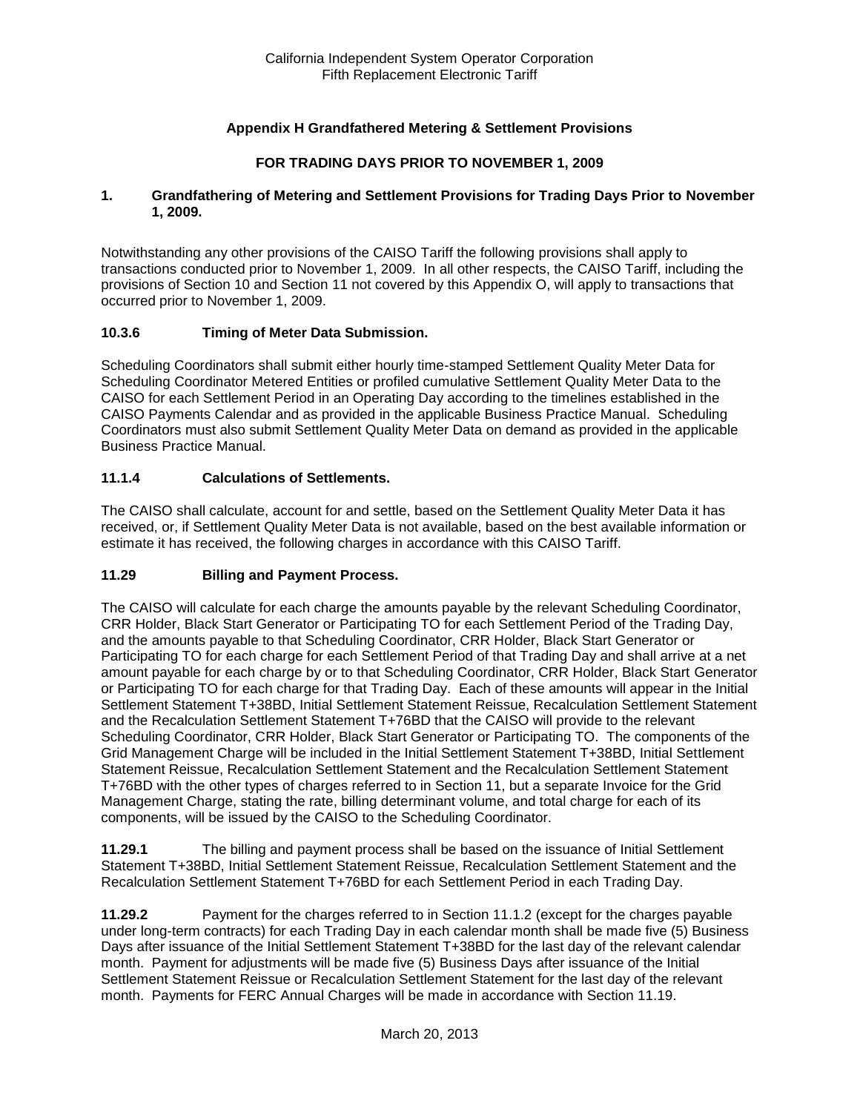## **Appendix H Grandfathered Metering & Settlement Provisions**

### **FOR TRADING DAYS PRIOR TO NOVEMBER 1, 2009**

#### **1. Grandfathering of Metering and Settlement Provisions for Trading Days Prior to November 1, 2009.**

Notwithstanding any other provisions of the CAISO Tariff the following provisions shall apply to transactions conducted prior to November 1, 2009. In all other respects, the CAISO Tariff, including the provisions of Section 10 and Section 11 not covered by this Appendix O, will apply to transactions that occurred prior to November 1, 2009.

### **10.3.6 Timing of Meter Data Submission.**

Scheduling Coordinators shall submit either hourly time-stamped Settlement Quality Meter Data for Scheduling Coordinator Metered Entities or profiled cumulative Settlement Quality Meter Data to the CAISO for each Settlement Period in an Operating Day according to the timelines established in the CAISO Payments Calendar and as provided in the applicable Business Practice Manual. Scheduling Coordinators must also submit Settlement Quality Meter Data on demand as provided in the applicable Business Practice Manual.

### **11.1.4 Calculations of Settlements.**

The CAISO shall calculate, account for and settle, based on the Settlement Quality Meter Data it has received, or, if Settlement Quality Meter Data is not available, based on the best available information or estimate it has received, the following charges in accordance with this CAISO Tariff.

### **11.29 Billing and Payment Process.**

The CAISO will calculate for each charge the amounts payable by the relevant Scheduling Coordinator, CRR Holder, Black Start Generator or Participating TO for each Settlement Period of the Trading Day, and the amounts payable to that Scheduling Coordinator, CRR Holder, Black Start Generator or Participating TO for each charge for each Settlement Period of that Trading Day and shall arrive at a net amount payable for each charge by or to that Scheduling Coordinator, CRR Holder, Black Start Generator or Participating TO for each charge for that Trading Day. Each of these amounts will appear in the Initial Settlement Statement T+38BD, Initial Settlement Statement Reissue, Recalculation Settlement Statement and the Recalculation Settlement Statement T+76BD that the CAISO will provide to the relevant Scheduling Coordinator, CRR Holder, Black Start Generator or Participating TO. The components of the Grid Management Charge will be included in the Initial Settlement Statement T+38BD, Initial Settlement Statement Reissue, Recalculation Settlement Statement and the Recalculation Settlement Statement T+76BD with the other types of charges referred to in Section 11, but a separate Invoice for the Grid Management Charge, stating the rate, billing determinant volume, and total charge for each of its components, will be issued by the CAISO to the Scheduling Coordinator.

**11.29.1** The billing and payment process shall be based on the issuance of Initial Settlement Statement T+38BD, Initial Settlement Statement Reissue, Recalculation Settlement Statement and the Recalculation Settlement Statement T+76BD for each Settlement Period in each Trading Day.

**11.29.2** Payment for the charges referred to in Section 11.1.2 (except for the charges payable under long-term contracts) for each Trading Day in each calendar month shall be made five (5) Business Days after issuance of the Initial Settlement Statement T+38BD for the last day of the relevant calendar month. Payment for adjustments will be made five (5) Business Days after issuance of the Initial Settlement Statement Reissue or Recalculation Settlement Statement for the last day of the relevant month. Payments for FERC Annual Charges will be made in accordance with Section 11.19.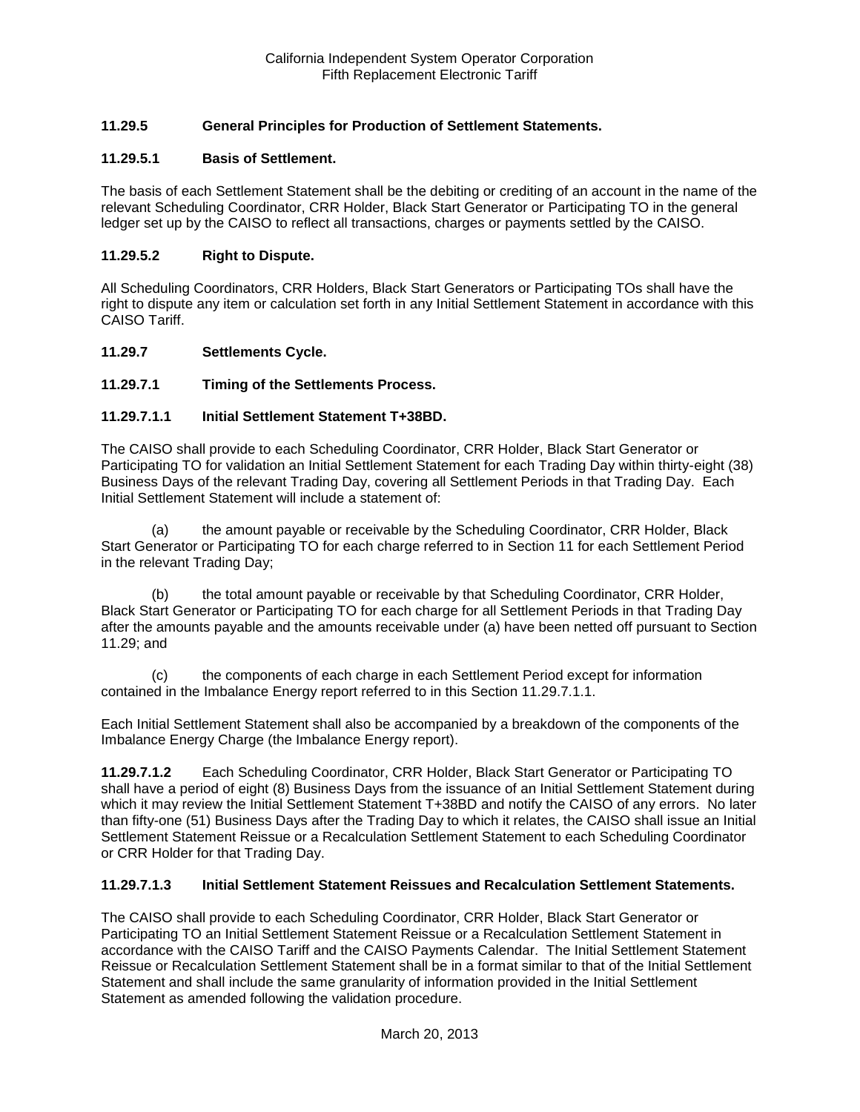## **11.29.5 General Principles for Production of Settlement Statements.**

### **11.29.5.1 Basis of Settlement.**

The basis of each Settlement Statement shall be the debiting or crediting of an account in the name of the relevant Scheduling Coordinator, CRR Holder, Black Start Generator or Participating TO in the general ledger set up by the CAISO to reflect all transactions, charges or payments settled by the CAISO.

#### **11.29.5.2 Right to Dispute.**

All Scheduling Coordinators, CRR Holders, Black Start Generators or Participating TOs shall have the right to dispute any item or calculation set forth in any Initial Settlement Statement in accordance with this CAISO Tariff.

#### **11.29.7 Settlements Cycle.**

### **11.29.7.1 Timing of the Settlements Process.**

#### **11.29.7.1.1 Initial Settlement Statement T+38BD.**

The CAISO shall provide to each Scheduling Coordinator, CRR Holder, Black Start Generator or Participating TO for validation an Initial Settlement Statement for each Trading Day within thirty-eight (38) Business Days of the relevant Trading Day, covering all Settlement Periods in that Trading Day. Each Initial Settlement Statement will include a statement of:

(a) the amount payable or receivable by the Scheduling Coordinator, CRR Holder, Black Start Generator or Participating TO for each charge referred to in Section 11 for each Settlement Period in the relevant Trading Day;

(b) the total amount payable or receivable by that Scheduling Coordinator, CRR Holder, Black Start Generator or Participating TO for each charge for all Settlement Periods in that Trading Day after the amounts payable and the amounts receivable under (a) have been netted off pursuant to Section 11.29; and

(c) the components of each charge in each Settlement Period except for information contained in the Imbalance Energy report referred to in this Section 11.29.7.1.1.

Each Initial Settlement Statement shall also be accompanied by a breakdown of the components of the Imbalance Energy Charge (the Imbalance Energy report).

**11.29.7.1.2** Each Scheduling Coordinator, CRR Holder, Black Start Generator or Participating TO shall have a period of eight (8) Business Days from the issuance of an Initial Settlement Statement during which it may review the Initial Settlement Statement T+38BD and notify the CAISO of any errors. No later than fifty-one (51) Business Days after the Trading Day to which it relates, the CAISO shall issue an Initial Settlement Statement Reissue or a Recalculation Settlement Statement to each Scheduling Coordinator or CRR Holder for that Trading Day.

#### **11.29.7.1.3 Initial Settlement Statement Reissues and Recalculation Settlement Statements.**

The CAISO shall provide to each Scheduling Coordinator, CRR Holder, Black Start Generator or Participating TO an Initial Settlement Statement Reissue or a Recalculation Settlement Statement in accordance with the CAISO Tariff and the CAISO Payments Calendar. The Initial Settlement Statement Reissue or Recalculation Settlement Statement shall be in a format similar to that of the Initial Settlement Statement and shall include the same granularity of information provided in the Initial Settlement Statement as amended following the validation procedure.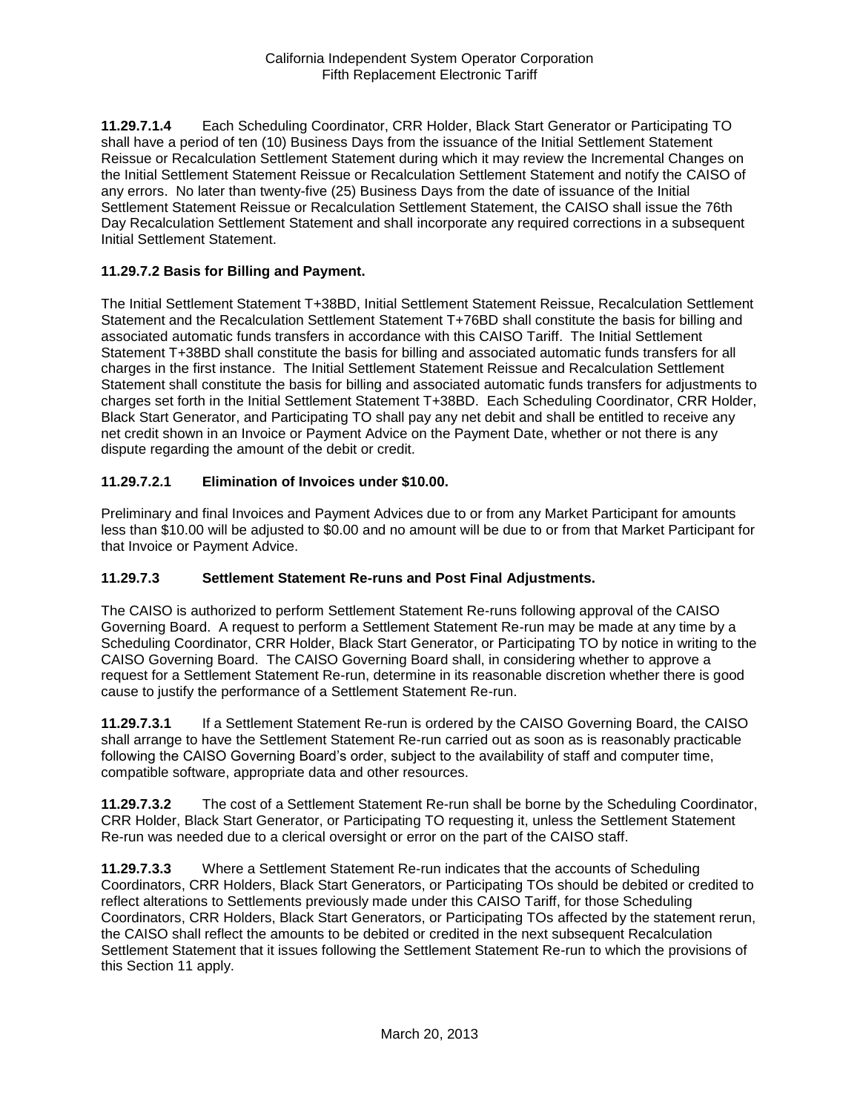**11.29.7.1.4** Each Scheduling Coordinator, CRR Holder, Black Start Generator or Participating TO shall have a period of ten (10) Business Days from the issuance of the Initial Settlement Statement Reissue or Recalculation Settlement Statement during which it may review the Incremental Changes on the Initial Settlement Statement Reissue or Recalculation Settlement Statement and notify the CAISO of any errors. No later than twenty-five (25) Business Days from the date of issuance of the Initial Settlement Statement Reissue or Recalculation Settlement Statement, the CAISO shall issue the 76th Day Recalculation Settlement Statement and shall incorporate any required corrections in a subsequent Initial Settlement Statement.

### **11.29.7.2 Basis for Billing and Payment.**

The Initial Settlement Statement T+38BD, Initial Settlement Statement Reissue, Recalculation Settlement Statement and the Recalculation Settlement Statement T+76BD shall constitute the basis for billing and associated automatic funds transfers in accordance with this CAISO Tariff. The Initial Settlement Statement T+38BD shall constitute the basis for billing and associated automatic funds transfers for all charges in the first instance. The Initial Settlement Statement Reissue and Recalculation Settlement Statement shall constitute the basis for billing and associated automatic funds transfers for adjustments to charges set forth in the Initial Settlement Statement T+38BD. Each Scheduling Coordinator, CRR Holder, Black Start Generator, and Participating TO shall pay any net debit and shall be entitled to receive any net credit shown in an Invoice or Payment Advice on the Payment Date, whether or not there is any dispute regarding the amount of the debit or credit.

## **11.29.7.2.1 Elimination of Invoices under \$10.00.**

Preliminary and final Invoices and Payment Advices due to or from any Market Participant for amounts less than \$10.00 will be adjusted to \$0.00 and no amount will be due to or from that Market Participant for that Invoice or Payment Advice.

### **11.29.7.3 Settlement Statement Re-runs and Post Final Adjustments.**

The CAISO is authorized to perform Settlement Statement Re-runs following approval of the CAISO Governing Board. A request to perform a Settlement Statement Re-run may be made at any time by a Scheduling Coordinator, CRR Holder, Black Start Generator, or Participating TO by notice in writing to the CAISO Governing Board. The CAISO Governing Board shall, in considering whether to approve a request for a Settlement Statement Re-run, determine in its reasonable discretion whether there is good cause to justify the performance of a Settlement Statement Re-run.

**11.29.7.3.1** If a Settlement Statement Re-run is ordered by the CAISO Governing Board, the CAISO shall arrange to have the Settlement Statement Re-run carried out as soon as is reasonably practicable following the CAISO Governing Board's order, subject to the availability of staff and computer time, compatible software, appropriate data and other resources.

**11.29.7.3.2** The cost of a Settlement Statement Re-run shall be borne by the Scheduling Coordinator, CRR Holder, Black Start Generator, or Participating TO requesting it, unless the Settlement Statement Re-run was needed due to a clerical oversight or error on the part of the CAISO staff.

**11.29.7.3.3** Where a Settlement Statement Re-run indicates that the accounts of Scheduling Coordinators, CRR Holders, Black Start Generators, or Participating TOs should be debited or credited to reflect alterations to Settlements previously made under this CAISO Tariff, for those Scheduling Coordinators, CRR Holders, Black Start Generators, or Participating TOs affected by the statement rerun, the CAISO shall reflect the amounts to be debited or credited in the next subsequent Recalculation Settlement Statement that it issues following the Settlement Statement Re-run to which the provisions of this Section 11 apply.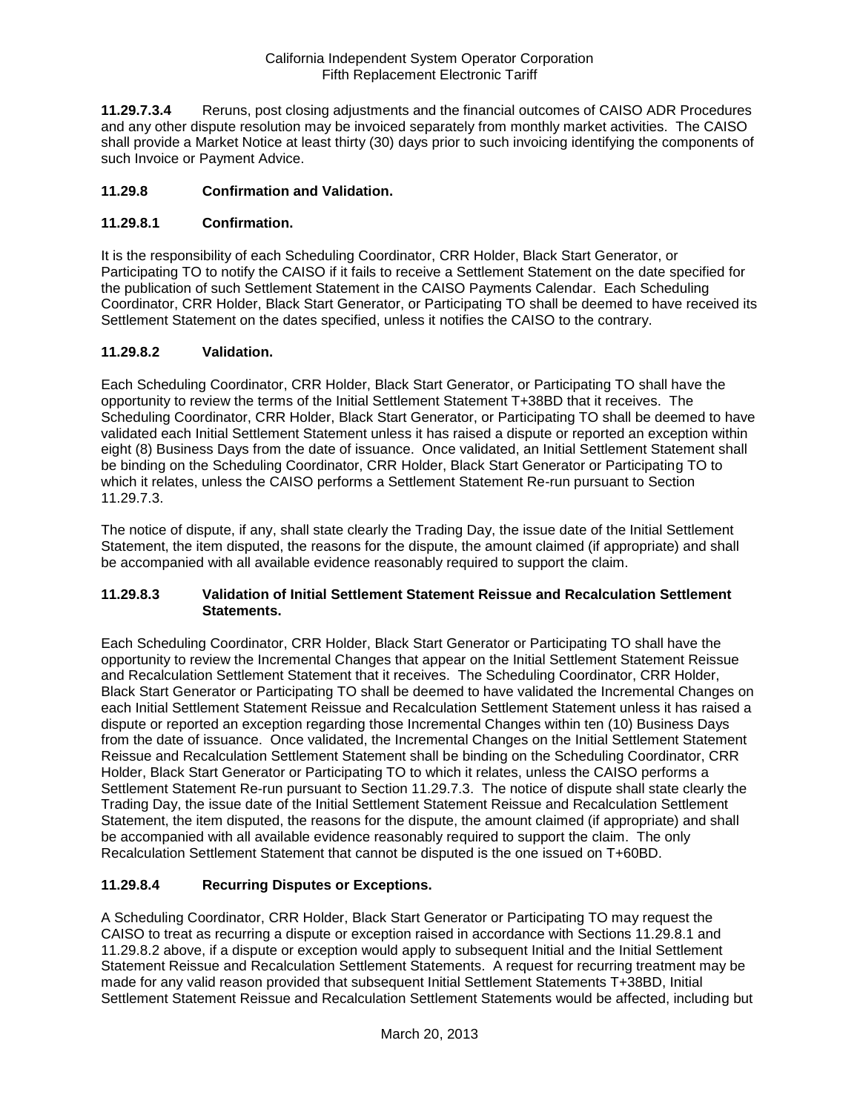**11.29.7.3.4** Reruns, post closing adjustments and the financial outcomes of CAISO ADR Procedures and any other dispute resolution may be invoiced separately from monthly market activities. The CAISO shall provide a Market Notice at least thirty (30) days prior to such invoicing identifying the components of such Invoice or Payment Advice.

### **11.29.8 Confirmation and Validation.**

### **11.29.8.1 Confirmation.**

It is the responsibility of each Scheduling Coordinator, CRR Holder, Black Start Generator, or Participating TO to notify the CAISO if it fails to receive a Settlement Statement on the date specified for the publication of such Settlement Statement in the CAISO Payments Calendar. Each Scheduling Coordinator, CRR Holder, Black Start Generator, or Participating TO shall be deemed to have received its Settlement Statement on the dates specified, unless it notifies the CAISO to the contrary.

## **11.29.8.2 Validation.**

Each Scheduling Coordinator, CRR Holder, Black Start Generator, or Participating TO shall have the opportunity to review the terms of the Initial Settlement Statement T+38BD that it receives. The Scheduling Coordinator, CRR Holder, Black Start Generator, or Participating TO shall be deemed to have validated each Initial Settlement Statement unless it has raised a dispute or reported an exception within eight (8) Business Days from the date of issuance. Once validated, an Initial Settlement Statement shall be binding on the Scheduling Coordinator, CRR Holder, Black Start Generator or Participating TO to which it relates, unless the CAISO performs a Settlement Statement Re-run pursuant to Section 11.29.7.3.

The notice of dispute, if any, shall state clearly the Trading Day, the issue date of the Initial Settlement Statement, the item disputed, the reasons for the dispute, the amount claimed (if appropriate) and shall be accompanied with all available evidence reasonably required to support the claim.

### **11.29.8.3 Validation of Initial Settlement Statement Reissue and Recalculation Settlement Statements.**

Each Scheduling Coordinator, CRR Holder, Black Start Generator or Participating TO shall have the opportunity to review the Incremental Changes that appear on the Initial Settlement Statement Reissue and Recalculation Settlement Statement that it receives. The Scheduling Coordinator, CRR Holder, Black Start Generator or Participating TO shall be deemed to have validated the Incremental Changes on each Initial Settlement Statement Reissue and Recalculation Settlement Statement unless it has raised a dispute or reported an exception regarding those Incremental Changes within ten (10) Business Days from the date of issuance. Once validated, the Incremental Changes on the Initial Settlement Statement Reissue and Recalculation Settlement Statement shall be binding on the Scheduling Coordinator, CRR Holder, Black Start Generator or Participating TO to which it relates, unless the CAISO performs a Settlement Statement Re-run pursuant to Section 11.29.7.3. The notice of dispute shall state clearly the Trading Day, the issue date of the Initial Settlement Statement Reissue and Recalculation Settlement Statement, the item disputed, the reasons for the dispute, the amount claimed (if appropriate) and shall be accompanied with all available evidence reasonably required to support the claim. The only Recalculation Settlement Statement that cannot be disputed is the one issued on T+60BD.

### **11.29.8.4 Recurring Disputes or Exceptions.**

A Scheduling Coordinator, CRR Holder, Black Start Generator or Participating TO may request the CAISO to treat as recurring a dispute or exception raised in accordance with Sections 11.29.8.1 and 11.29.8.2 above, if a dispute or exception would apply to subsequent Initial and the Initial Settlement Statement Reissue and Recalculation Settlement Statements. A request for recurring treatment may be made for any valid reason provided that subsequent Initial Settlement Statements T+38BD, Initial Settlement Statement Reissue and Recalculation Settlement Statements would be affected, including but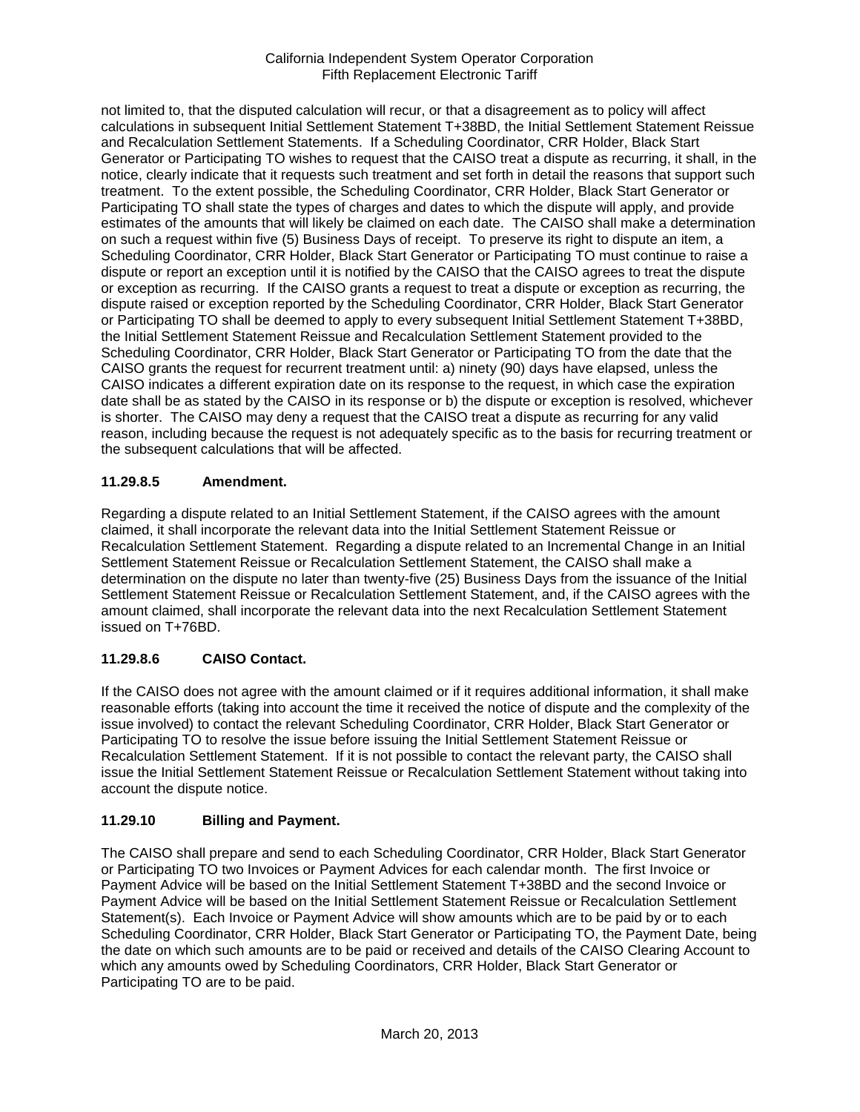not limited to, that the disputed calculation will recur, or that a disagreement as to policy will affect calculations in subsequent Initial Settlement Statement T+38BD, the Initial Settlement Statement Reissue and Recalculation Settlement Statements. If a Scheduling Coordinator, CRR Holder, Black Start Generator or Participating TO wishes to request that the CAISO treat a dispute as recurring, it shall, in the notice, clearly indicate that it requests such treatment and set forth in detail the reasons that support such treatment. To the extent possible, the Scheduling Coordinator, CRR Holder, Black Start Generator or Participating TO shall state the types of charges and dates to which the dispute will apply, and provide estimates of the amounts that will likely be claimed on each date. The CAISO shall make a determination on such a request within five (5) Business Days of receipt. To preserve its right to dispute an item, a Scheduling Coordinator, CRR Holder, Black Start Generator or Participating TO must continue to raise a dispute or report an exception until it is notified by the CAISO that the CAISO agrees to treat the dispute or exception as recurring. If the CAISO grants a request to treat a dispute or exception as recurring, the dispute raised or exception reported by the Scheduling Coordinator, CRR Holder, Black Start Generator or Participating TO shall be deemed to apply to every subsequent Initial Settlement Statement T+38BD, the Initial Settlement Statement Reissue and Recalculation Settlement Statement provided to the Scheduling Coordinator, CRR Holder, Black Start Generator or Participating TO from the date that the CAISO grants the request for recurrent treatment until: a) ninety (90) days have elapsed, unless the CAISO indicates a different expiration date on its response to the request, in which case the expiration date shall be as stated by the CAISO in its response or b) the dispute or exception is resolved, whichever is shorter. The CAISO may deny a request that the CAISO treat a dispute as recurring for any valid reason, including because the request is not adequately specific as to the basis for recurring treatment or the subsequent calculations that will be affected.

## **11.29.8.5 Amendment.**

Regarding a dispute related to an Initial Settlement Statement, if the CAISO agrees with the amount claimed, it shall incorporate the relevant data into the Initial Settlement Statement Reissue or Recalculation Settlement Statement. Regarding a dispute related to an Incremental Change in an Initial Settlement Statement Reissue or Recalculation Settlement Statement, the CAISO shall make a determination on the dispute no later than twenty-five (25) Business Days from the issuance of the Initial Settlement Statement Reissue or Recalculation Settlement Statement, and, if the CAISO agrees with the amount claimed, shall incorporate the relevant data into the next Recalculation Settlement Statement issued on T+76BD.

## **11.29.8.6 CAISO Contact.**

If the CAISO does not agree with the amount claimed or if it requires additional information, it shall make reasonable efforts (taking into account the time it received the notice of dispute and the complexity of the issue involved) to contact the relevant Scheduling Coordinator, CRR Holder, Black Start Generator or Participating TO to resolve the issue before issuing the Initial Settlement Statement Reissue or Recalculation Settlement Statement. If it is not possible to contact the relevant party, the CAISO shall issue the Initial Settlement Statement Reissue or Recalculation Settlement Statement without taking into account the dispute notice.

## **11.29.10 Billing and Payment.**

The CAISO shall prepare and send to each Scheduling Coordinator, CRR Holder, Black Start Generator or Participating TO two Invoices or Payment Advices for each calendar month. The first Invoice or Payment Advice will be based on the Initial Settlement Statement T+38BD and the second Invoice or Payment Advice will be based on the Initial Settlement Statement Reissue or Recalculation Settlement Statement(s). Each Invoice or Payment Advice will show amounts which are to be paid by or to each Scheduling Coordinator, CRR Holder, Black Start Generator or Participating TO, the Payment Date, being the date on which such amounts are to be paid or received and details of the CAISO Clearing Account to which any amounts owed by Scheduling Coordinators, CRR Holder, Black Start Generator or Participating TO are to be paid.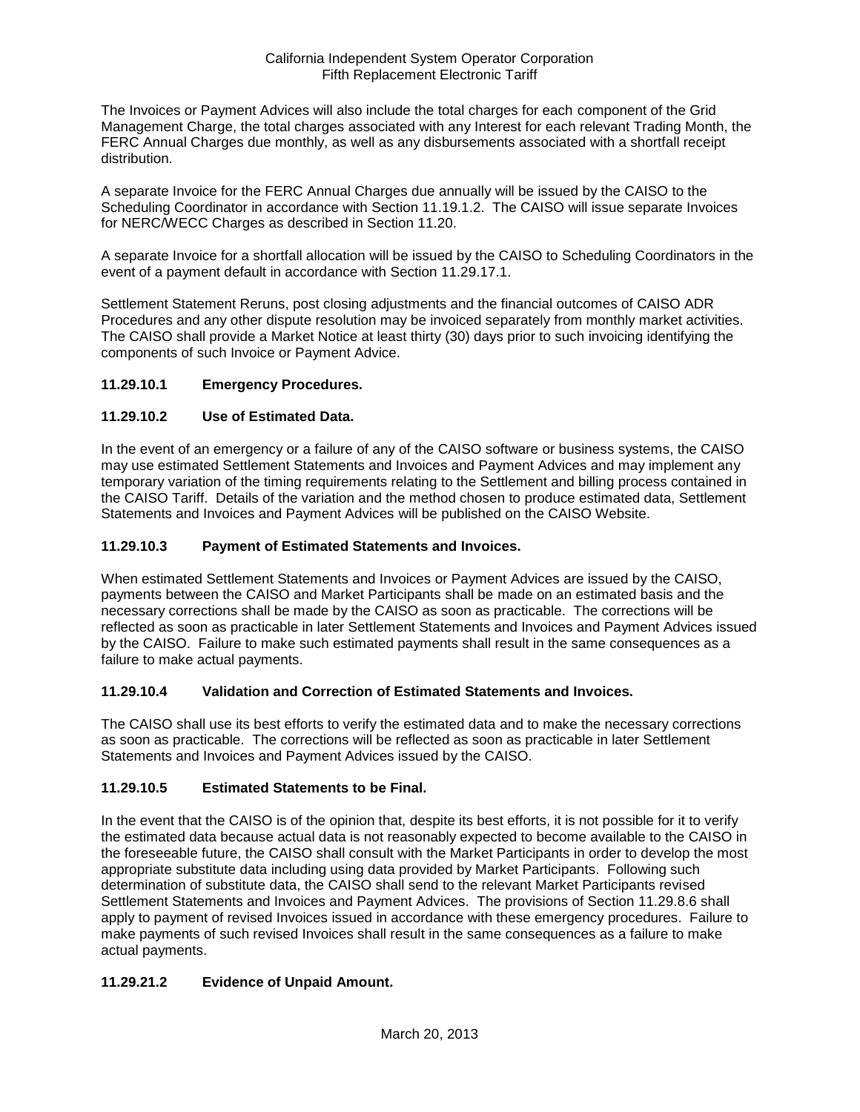The Invoices or Payment Advices will also include the total charges for each component of the Grid Management Charge, the total charges associated with any Interest for each relevant Trading Month, the FERC Annual Charges due monthly, as well as any disbursements associated with a shortfall receipt distribution.

A separate Invoice for the FERC Annual Charges due annually will be issued by the CAISO to the Scheduling Coordinator in accordance with Section 11.19.1.2. The CAISO will issue separate Invoices for NERC/WECC Charges as described in Section 11.20.

A separate Invoice for a shortfall allocation will be issued by the CAISO to Scheduling Coordinators in the event of a payment default in accordance with Section 11.29.17.1.

Settlement Statement Reruns, post closing adjustments and the financial outcomes of CAISO ADR Procedures and any other dispute resolution may be invoiced separately from monthly market activities. The CAISO shall provide a Market Notice at least thirty (30) days prior to such invoicing identifying the components of such Invoice or Payment Advice.

## **11.29.10.1 Emergency Procedures.**

## **11.29.10.2 Use of Estimated Data.**

In the event of an emergency or a failure of any of the CAISO software or business systems, the CAISO may use estimated Settlement Statements and Invoices and Payment Advices and may implement any temporary variation of the timing requirements relating to the Settlement and billing process contained in the CAISO Tariff. Details of the variation and the method chosen to produce estimated data, Settlement Statements and Invoices and Payment Advices will be published on the CAISO Website.

### **11.29.10.3 Payment of Estimated Statements and Invoices.**

When estimated Settlement Statements and Invoices or Payment Advices are issued by the CAISO, payments between the CAISO and Market Participants shall be made on an estimated basis and the necessary corrections shall be made by the CAISO as soon as practicable. The corrections will be reflected as soon as practicable in later Settlement Statements and Invoices and Payment Advices issued by the CAISO. Failure to make such estimated payments shall result in the same consequences as a failure to make actual payments.

### **11.29.10.4 Validation and Correction of Estimated Statements and Invoices.**

The CAISO shall use its best efforts to verify the estimated data and to make the necessary corrections as soon as practicable. The corrections will be reflected as soon as practicable in later Settlement Statements and Invoices and Payment Advices issued by the CAISO.

## **11.29.10.5 Estimated Statements to be Final.**

In the event that the CAISO is of the opinion that, despite its best efforts, it is not possible for it to verify the estimated data because actual data is not reasonably expected to become available to the CAISO in the foreseeable future, the CAISO shall consult with the Market Participants in order to develop the most appropriate substitute data including using data provided by Market Participants. Following such determination of substitute data, the CAISO shall send to the relevant Market Participants revised Settlement Statements and Invoices and Payment Advices. The provisions of Section 11.29.8.6 shall apply to payment of revised Invoices issued in accordance with these emergency procedures. Failure to make payments of such revised Invoices shall result in the same consequences as a failure to make actual payments.

## **11.29.21.2 Evidence of Unpaid Amount.**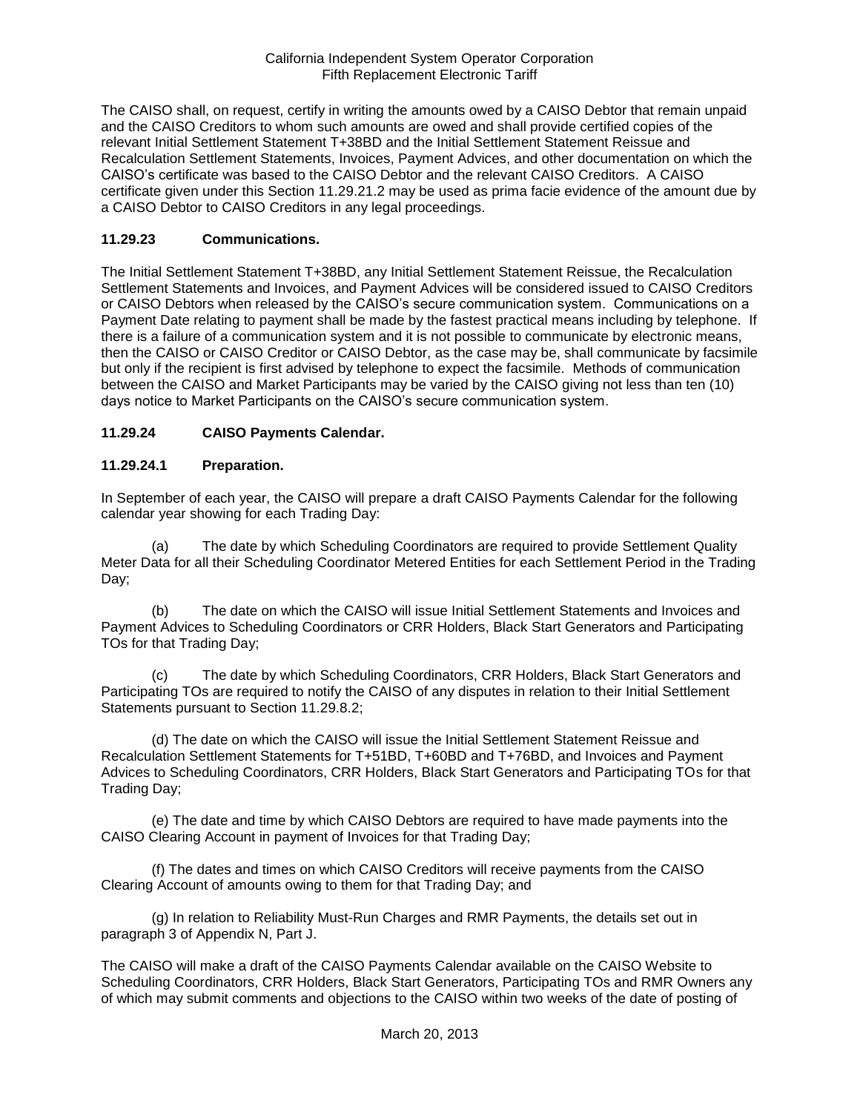The CAISO shall, on request, certify in writing the amounts owed by a CAISO Debtor that remain unpaid and the CAISO Creditors to whom such amounts are owed and shall provide certified copies of the relevant Initial Settlement Statement T+38BD and the Initial Settlement Statement Reissue and Recalculation Settlement Statements, Invoices, Payment Advices, and other documentation on which the CAISO's certificate was based to the CAISO Debtor and the relevant CAISO Creditors. A CAISO certificate given under this Section 11.29.21.2 may be used as prima facie evidence of the amount due by a CAISO Debtor to CAISO Creditors in any legal proceedings.

### **11.29.23 Communications.**

The Initial Settlement Statement T+38BD, any Initial Settlement Statement Reissue, the Recalculation Settlement Statements and Invoices, and Payment Advices will be considered issued to CAISO Creditors or CAISO Debtors when released by the CAISO's secure communication system. Communications on a Payment Date relating to payment shall be made by the fastest practical means including by telephone. If there is a failure of a communication system and it is not possible to communicate by electronic means, then the CAISO or CAISO Creditor or CAISO Debtor, as the case may be, shall communicate by facsimile but only if the recipient is first advised by telephone to expect the facsimile. Methods of communication between the CAISO and Market Participants may be varied by the CAISO giving not less than ten (10) days notice to Market Participants on the CAISO's secure communication system.

## **11.29.24 CAISO Payments Calendar.**

### **11.29.24.1 Preparation.**

In September of each year, the CAISO will prepare a draft CAISO Payments Calendar for the following calendar year showing for each Trading Day:

(a) The date by which Scheduling Coordinators are required to provide Settlement Quality Meter Data for all their Scheduling Coordinator Metered Entities for each Settlement Period in the Trading Day;

(b) The date on which the CAISO will issue Initial Settlement Statements and Invoices and Payment Advices to Scheduling Coordinators or CRR Holders, Black Start Generators and Participating TOs for that Trading Day;

(c) The date by which Scheduling Coordinators, CRR Holders, Black Start Generators and Participating TOs are required to notify the CAISO of any disputes in relation to their Initial Settlement Statements pursuant to Section 11.29.8.2;

(d) The date on which the CAISO will issue the Initial Settlement Statement Reissue and Recalculation Settlement Statements for T+51BD, T+60BD and T+76BD, and Invoices and Payment Advices to Scheduling Coordinators, CRR Holders, Black Start Generators and Participating TOs for that Trading Day;

(e) The date and time by which CAISO Debtors are required to have made payments into the CAISO Clearing Account in payment of Invoices for that Trading Day;

(f) The dates and times on which CAISO Creditors will receive payments from the CAISO Clearing Account of amounts owing to them for that Trading Day; and

(g) In relation to Reliability Must-Run Charges and RMR Payments, the details set out in paragraph 3 of Appendix N, Part J.

The CAISO will make a draft of the CAISO Payments Calendar available on the CAISO Website to Scheduling Coordinators, CRR Holders, Black Start Generators, Participating TOs and RMR Owners any of which may submit comments and objections to the CAISO within two weeks of the date of posting of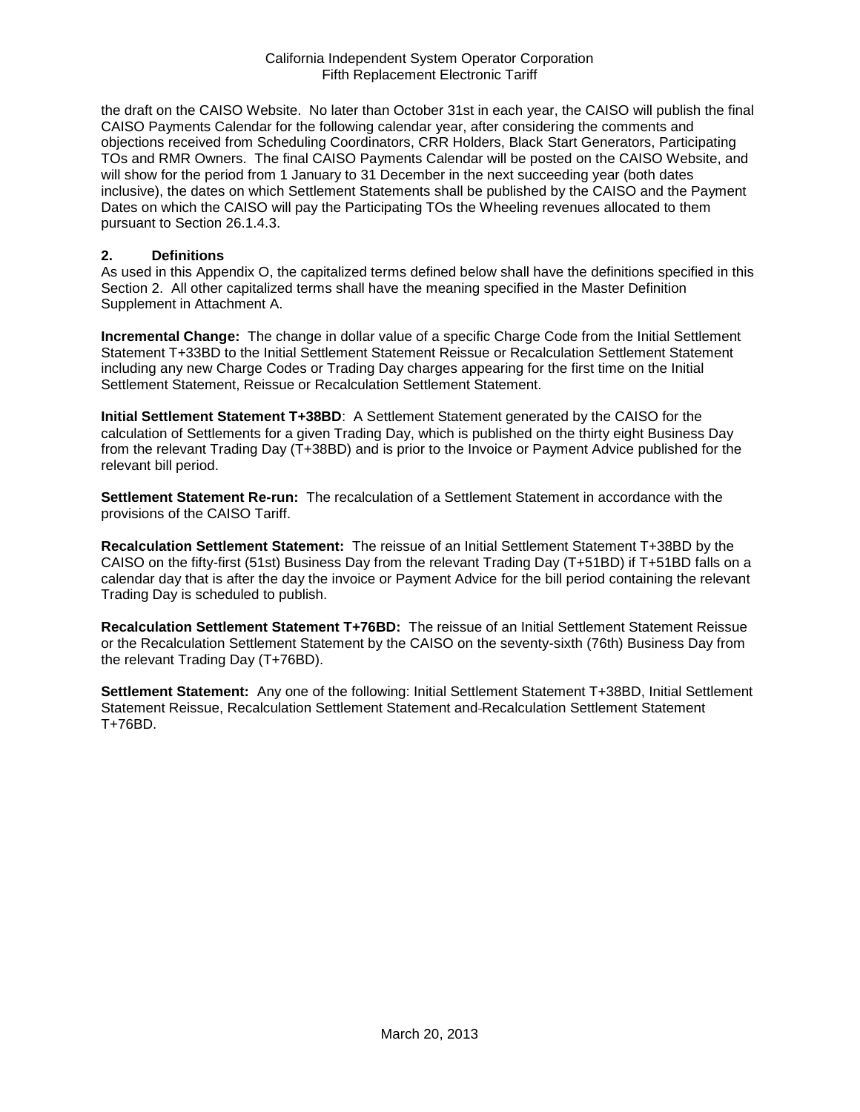the draft on the CAISO Website. No later than October 31st in each year, the CAISO will publish the final CAISO Payments Calendar for the following calendar year, after considering the comments and objections received from Scheduling Coordinators, CRR Holders, Black Start Generators, Participating TOs and RMR Owners. The final CAISO Payments Calendar will be posted on the CAISO Website, and will show for the period from 1 January to 31 December in the next succeeding year (both dates inclusive), the dates on which Settlement Statements shall be published by the CAISO and the Payment Dates on which the CAISO will pay the Participating TOs the Wheeling revenues allocated to them pursuant to Section 26.1.4.3.

#### **2. Definitions**

As used in this Appendix O, the capitalized terms defined below shall have the definitions specified in this Section 2. All other capitalized terms shall have the meaning specified in the Master Definition Supplement in Attachment A.

**Incremental Change:** The change in dollar value of a specific Charge Code from the Initial Settlement Statement T+33BD to the Initial Settlement Statement Reissue or Recalculation Settlement Statement including any new Charge Codes or Trading Day charges appearing for the first time on the Initial Settlement Statement, Reissue or Recalculation Settlement Statement.

**Initial Settlement Statement T+38BD**: A Settlement Statement generated by the CAISO for the calculation of Settlements for a given Trading Day, which is published on the thirty eight Business Day from the relevant Trading Day (T+38BD) and is prior to the Invoice or Payment Advice published for the relevant bill period.

**Settlement Statement Re-run:** The recalculation of a Settlement Statement in accordance with the provisions of the CAISO Tariff.

**Recalculation Settlement Statement:** The reissue of an Initial Settlement Statement T+38BD by the CAISO on the fifty-first (51st) Business Day from the relevant Trading Day (T+51BD) if T+51BD falls on a calendar day that is after the day the invoice or Payment Advice for the bill period containing the relevant Trading Day is scheduled to publish.

**Recalculation Settlement Statement T+76BD:** The reissue of an Initial Settlement Statement Reissue or the Recalculation Settlement Statement by the CAISO on the seventy-sixth (76th) Business Day from the relevant Trading Day (T+76BD).

**Settlement Statement:** Any one of the following: Initial Settlement Statement T+38BD, Initial Settlement Statement Reissue, Recalculation Settlement Statement and Recalculation Settlement Statement T+76BD.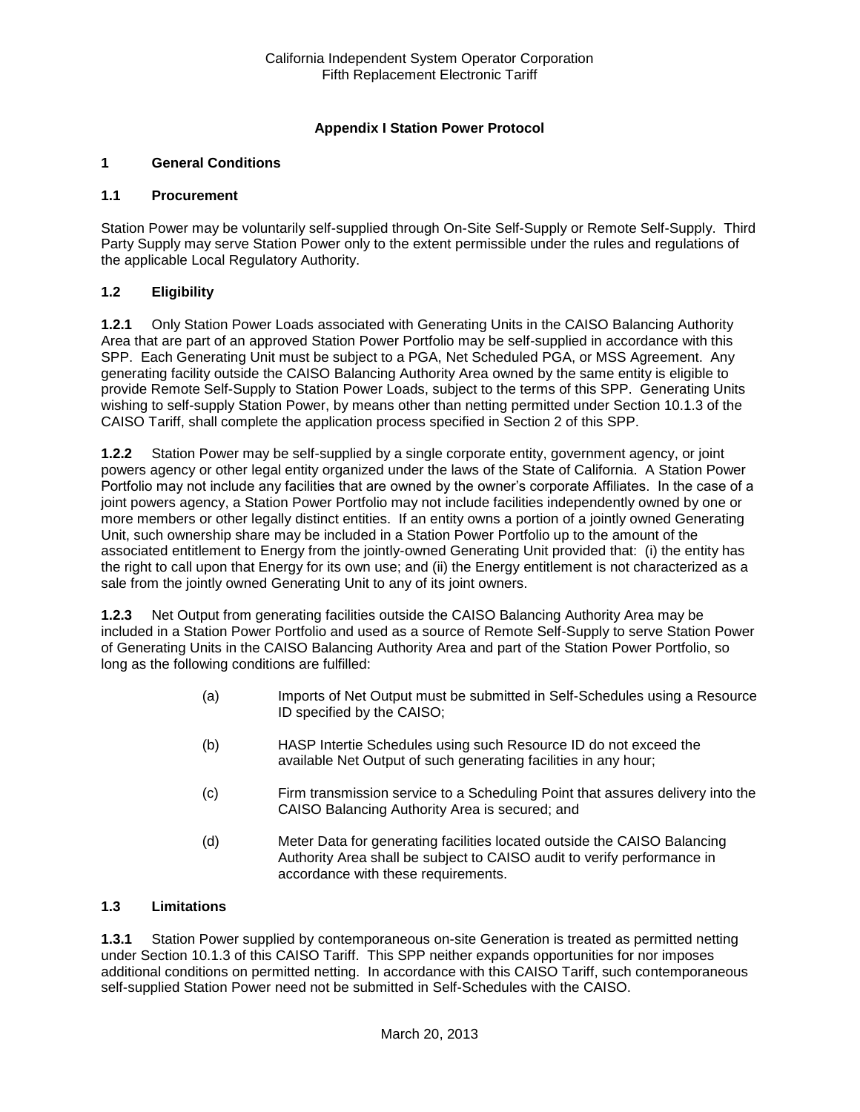## **Appendix I Station Power Protocol**

### **1 General Conditions**

#### **1.1 Procurement**

Station Power may be voluntarily self-supplied through On-Site Self-Supply or Remote Self-Supply. Third Party Supply may serve Station Power only to the extent permissible under the rules and regulations of the applicable Local Regulatory Authority.

### **1.2 Eligibility**

**1.2.1** Only Station Power Loads associated with Generating Units in the CAISO Balancing Authority Area that are part of an approved Station Power Portfolio may be self-supplied in accordance with this SPP. Each Generating Unit must be subject to a PGA, Net Scheduled PGA, or MSS Agreement. Any generating facility outside the CAISO Balancing Authority Area owned by the same entity is eligible to provide Remote Self-Supply to Station Power Loads, subject to the terms of this SPP. Generating Units wishing to self-supply Station Power, by means other than netting permitted under Section 10.1.3 of the CAISO Tariff, shall complete the application process specified in Section 2 of this SPP.

**1.2.2** Station Power may be self-supplied by a single corporate entity, government agency, or joint powers agency or other legal entity organized under the laws of the State of California. A Station Power Portfolio may not include any facilities that are owned by the owner's corporate Affiliates. In the case of a joint powers agency, a Station Power Portfolio may not include facilities independently owned by one or more members or other legally distinct entities. If an entity owns a portion of a jointly owned Generating Unit, such ownership share may be included in a Station Power Portfolio up to the amount of the associated entitlement to Energy from the jointly-owned Generating Unit provided that: (i) the entity has the right to call upon that Energy for its own use; and (ii) the Energy entitlement is not characterized as a sale from the jointly owned Generating Unit to any of its joint owners.

**1.2.3** Net Output from generating facilities outside the CAISO Balancing Authority Area may be included in a Station Power Portfolio and used as a source of Remote Self-Supply to serve Station Power of Generating Units in the CAISO Balancing Authority Area and part of the Station Power Portfolio, so long as the following conditions are fulfilled:

- (a) Imports of Net Output must be submitted in Self-Schedules using a Resource ID specified by the CAISO;
- (b) HASP Intertie Schedules using such Resource ID do not exceed the available Net Output of such generating facilities in any hour;
- (c) Firm transmission service to a Scheduling Point that assures delivery into the CAISO Balancing Authority Area is secured; and
- (d) Meter Data for generating facilities located outside the CAISO Balancing Authority Area shall be subject to CAISO audit to verify performance in accordance with these requirements.

### **1.3 Limitations**

**1.3.1** Station Power supplied by contemporaneous on-site Generation is treated as permitted netting under Section 10.1.3 of this CAISO Tariff. This SPP neither expands opportunities for nor imposes additional conditions on permitted netting. In accordance with this CAISO Tariff, such contemporaneous self-supplied Station Power need not be submitted in Self-Schedules with the CAISO.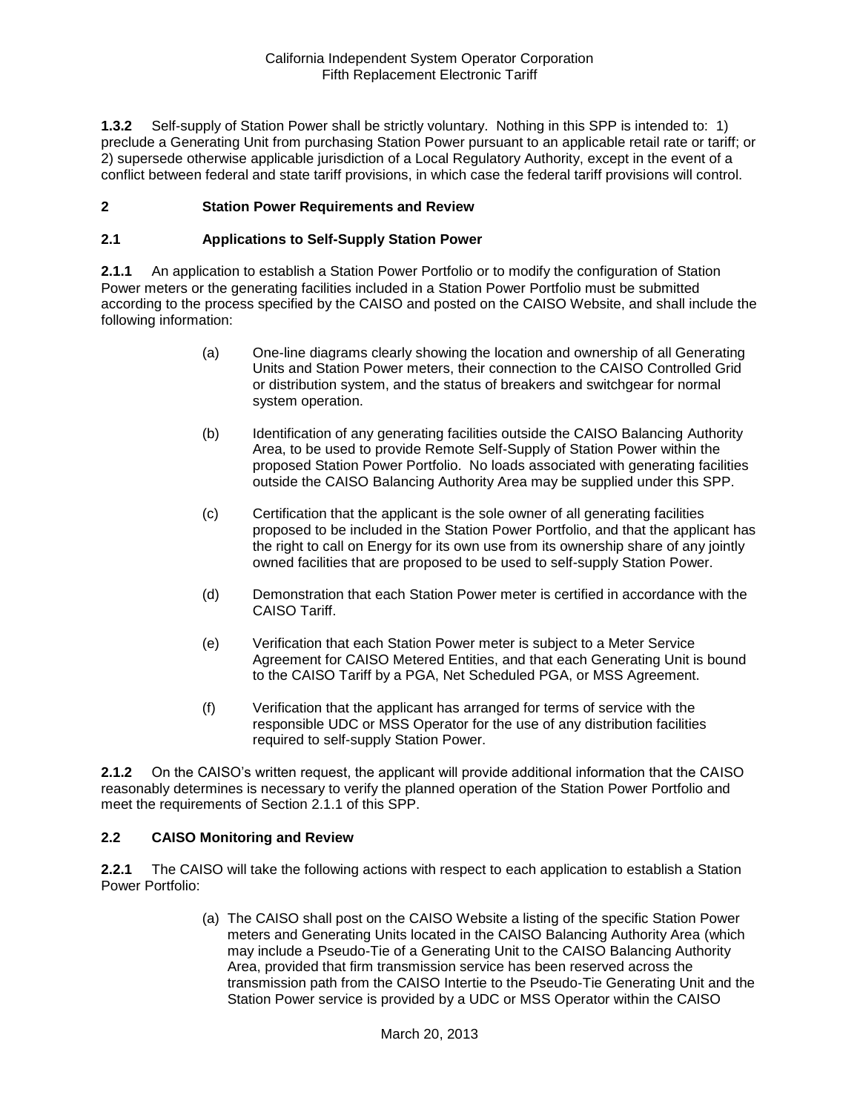**1.3.2** Self-supply of Station Power shall be strictly voluntary. Nothing in this SPP is intended to: 1) preclude a Generating Unit from purchasing Station Power pursuant to an applicable retail rate or tariff; or 2) supersede otherwise applicable jurisdiction of a Local Regulatory Authority, except in the event of a conflict between federal and state tariff provisions, in which case the federal tariff provisions will control.

### **2 Station Power Requirements and Review**

#### **2.1 Applications to Self-Supply Station Power**

**2.1.1** An application to establish a Station Power Portfolio or to modify the configuration of Station Power meters or the generating facilities included in a Station Power Portfolio must be submitted according to the process specified by the CAISO and posted on the CAISO Website, and shall include the following information:

- (a) One-line diagrams clearly showing the location and ownership of all Generating Units and Station Power meters, their connection to the CAISO Controlled Grid or distribution system, and the status of breakers and switchgear for normal system operation.
- (b) Identification of any generating facilities outside the CAISO Balancing Authority Area, to be used to provide Remote Self-Supply of Station Power within the proposed Station Power Portfolio. No loads associated with generating facilities outside the CAISO Balancing Authority Area may be supplied under this SPP.
- (c) Certification that the applicant is the sole owner of all generating facilities proposed to be included in the Station Power Portfolio, and that the applicant has the right to call on Energy for its own use from its ownership share of any jointly owned facilities that are proposed to be used to self-supply Station Power.
- (d) Demonstration that each Station Power meter is certified in accordance with the CAISO Tariff.
- (e) Verification that each Station Power meter is subject to a Meter Service Agreement for CAISO Metered Entities, and that each Generating Unit is bound to the CAISO Tariff by a PGA, Net Scheduled PGA, or MSS Agreement.
- (f) Verification that the applicant has arranged for terms of service with the responsible UDC or MSS Operator for the use of any distribution facilities required to self-supply Station Power.

**2.1.2** On the CAISO's written request, the applicant will provide additional information that the CAISO reasonably determines is necessary to verify the planned operation of the Station Power Portfolio and meet the requirements of Section 2.1.1 of this SPP.

#### **2.2 CAISO Monitoring and Review**

**2.2.1** The CAISO will take the following actions with respect to each application to establish a Station Power Portfolio:

> (a) The CAISO shall post on the CAISO Website a listing of the specific Station Power meters and Generating Units located in the CAISO Balancing Authority Area (which may include a Pseudo-Tie of a Generating Unit to the CAISO Balancing Authority Area, provided that firm transmission service has been reserved across the transmission path from the CAISO Intertie to the Pseudo-Tie Generating Unit and the Station Power service is provided by a UDC or MSS Operator within the CAISO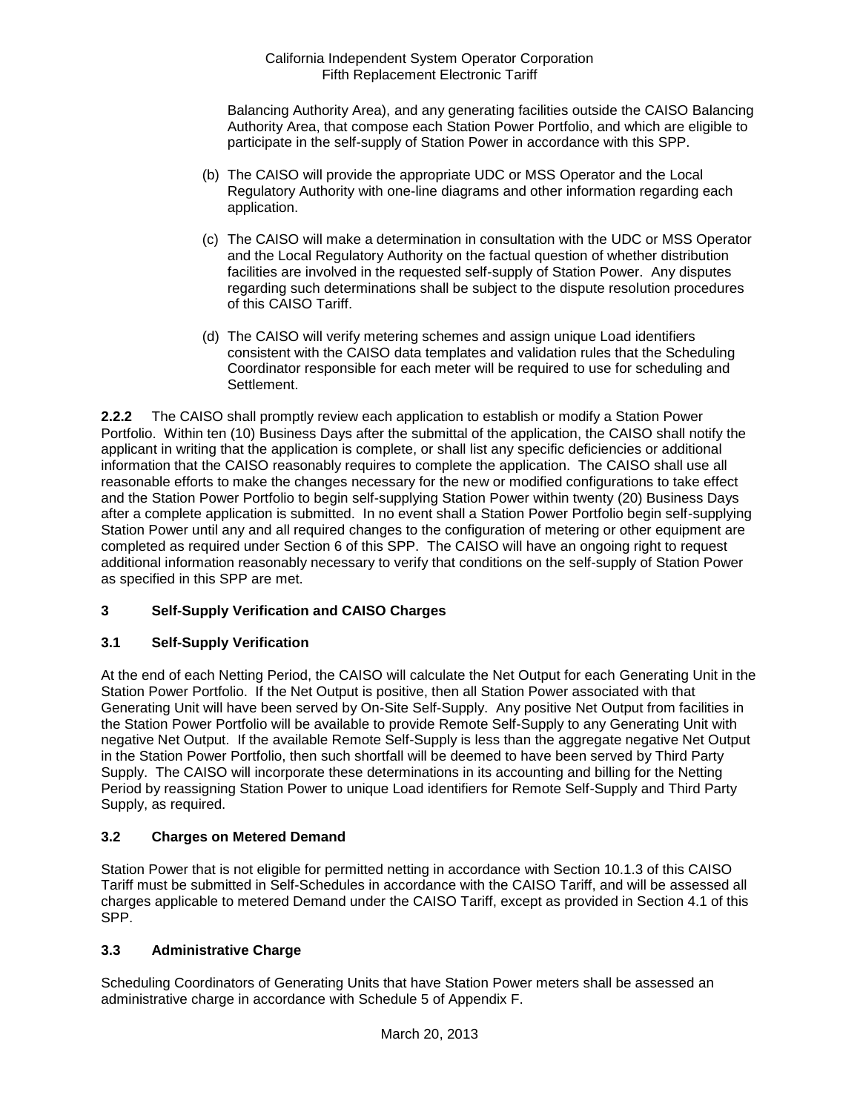Balancing Authority Area), and any generating facilities outside the CAISO Balancing Authority Area, that compose each Station Power Portfolio, and which are eligible to participate in the self-supply of Station Power in accordance with this SPP.

- (b) The CAISO will provide the appropriate UDC or MSS Operator and the Local Regulatory Authority with one-line diagrams and other information regarding each application.
- (c) The CAISO will make a determination in consultation with the UDC or MSS Operator and the Local Regulatory Authority on the factual question of whether distribution facilities are involved in the requested self-supply of Station Power. Any disputes regarding such determinations shall be subject to the dispute resolution procedures of this CAISO Tariff.
- (d) The CAISO will verify metering schemes and assign unique Load identifiers consistent with the CAISO data templates and validation rules that the Scheduling Coordinator responsible for each meter will be required to use for scheduling and Settlement.

**2.2.2** The CAISO shall promptly review each application to establish or modify a Station Power Portfolio. Within ten (10) Business Days after the submittal of the application, the CAISO shall notify the applicant in writing that the application is complete, or shall list any specific deficiencies or additional information that the CAISO reasonably requires to complete the application. The CAISO shall use all reasonable efforts to make the changes necessary for the new or modified configurations to take effect and the Station Power Portfolio to begin self-supplying Station Power within twenty (20) Business Days after a complete application is submitted. In no event shall a Station Power Portfolio begin self-supplying Station Power until any and all required changes to the configuration of metering or other equipment are completed as required under Section 6 of this SPP. The CAISO will have an ongoing right to request additional information reasonably necessary to verify that conditions on the self-supply of Station Power as specified in this SPP are met.

## **3 Self-Supply Verification and CAISO Charges**

### **3.1 Self-Supply Verification**

At the end of each Netting Period, the CAISO will calculate the Net Output for each Generating Unit in the Station Power Portfolio. If the Net Output is positive, then all Station Power associated with that Generating Unit will have been served by On-Site Self-Supply. Any positive Net Output from facilities in the Station Power Portfolio will be available to provide Remote Self-Supply to any Generating Unit with negative Net Output. If the available Remote Self-Supply is less than the aggregate negative Net Output in the Station Power Portfolio, then such shortfall will be deemed to have been served by Third Party Supply. The CAISO will incorporate these determinations in its accounting and billing for the Netting Period by reassigning Station Power to unique Load identifiers for Remote Self-Supply and Third Party Supply, as required.

### **3.2 Charges on Metered Demand**

Station Power that is not eligible for permitted netting in accordance with Section 10.1.3 of this CAISO Tariff must be submitted in Self-Schedules in accordance with the CAISO Tariff, and will be assessed all charges applicable to metered Demand under the CAISO Tariff, except as provided in Section 4.1 of this SPP.

### **3.3 Administrative Charge**

Scheduling Coordinators of Generating Units that have Station Power meters shall be assessed an administrative charge in accordance with Schedule 5 of Appendix F.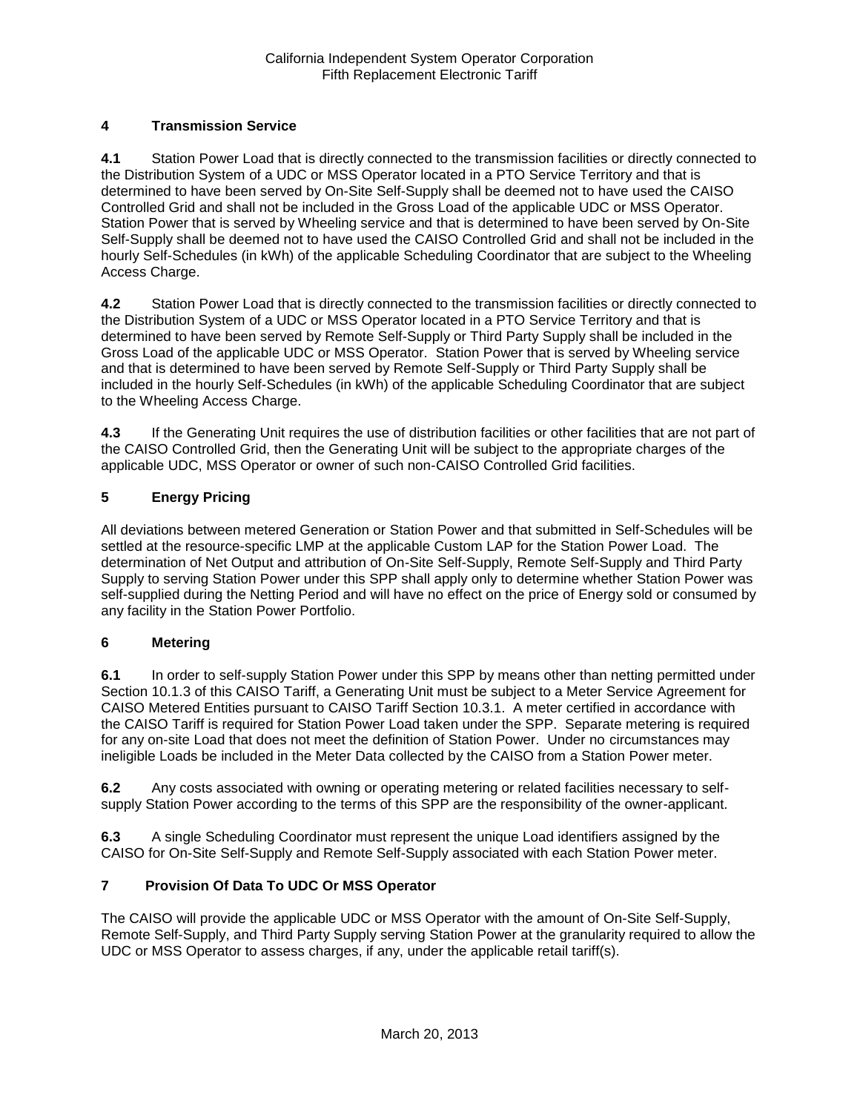## **4 Transmission Service**

**4.1** Station Power Load that is directly connected to the transmission facilities or directly connected to the Distribution System of a UDC or MSS Operator located in a PTO Service Territory and that is determined to have been served by On-Site Self-Supply shall be deemed not to have used the CAISO Controlled Grid and shall not be included in the Gross Load of the applicable UDC or MSS Operator. Station Power that is served by Wheeling service and that is determined to have been served by On-Site Self-Supply shall be deemed not to have used the CAISO Controlled Grid and shall not be included in the hourly Self-Schedules (in kWh) of the applicable Scheduling Coordinator that are subject to the Wheeling Access Charge.

**4.2** Station Power Load that is directly connected to the transmission facilities or directly connected to the Distribution System of a UDC or MSS Operator located in a PTO Service Territory and that is determined to have been served by Remote Self-Supply or Third Party Supply shall be included in the Gross Load of the applicable UDC or MSS Operator. Station Power that is served by Wheeling service and that is determined to have been served by Remote Self-Supply or Third Party Supply shall be included in the hourly Self-Schedules (in kWh) of the applicable Scheduling Coordinator that are subject to the Wheeling Access Charge.

**4.3** If the Generating Unit requires the use of distribution facilities or other facilities that are not part of the CAISO Controlled Grid, then the Generating Unit will be subject to the appropriate charges of the applicable UDC, MSS Operator or owner of such non-CAISO Controlled Grid facilities.

## **5 Energy Pricing**

All deviations between metered Generation or Station Power and that submitted in Self-Schedules will be settled at the resource-specific LMP at the applicable Custom LAP for the Station Power Load. The determination of Net Output and attribution of On-Site Self-Supply, Remote Self-Supply and Third Party Supply to serving Station Power under this SPP shall apply only to determine whether Station Power was self-supplied during the Netting Period and will have no effect on the price of Energy sold or consumed by any facility in the Station Power Portfolio.

### **6 Metering**

**6.1** In order to self-supply Station Power under this SPP by means other than netting permitted under Section 10.1.3 of this CAISO Tariff, a Generating Unit must be subject to a Meter Service Agreement for CAISO Metered Entities pursuant to CAISO Tariff Section 10.3.1. A meter certified in accordance with the CAISO Tariff is required for Station Power Load taken under the SPP. Separate metering is required for any on-site Load that does not meet the definition of Station Power. Under no circumstances may ineligible Loads be included in the Meter Data collected by the CAISO from a Station Power meter.

**6.2** Any costs associated with owning or operating metering or related facilities necessary to selfsupply Station Power according to the terms of this SPP are the responsibility of the owner-applicant.

**6.3** A single Scheduling Coordinator must represent the unique Load identifiers assigned by the CAISO for On-Site Self-Supply and Remote Self-Supply associated with each Station Power meter.

### **7 Provision Of Data To UDC Or MSS Operator**

The CAISO will provide the applicable UDC or MSS Operator with the amount of On-Site Self-Supply, Remote Self-Supply, and Third Party Supply serving Station Power at the granularity required to allow the UDC or MSS Operator to assess charges, if any, under the applicable retail tariff(s).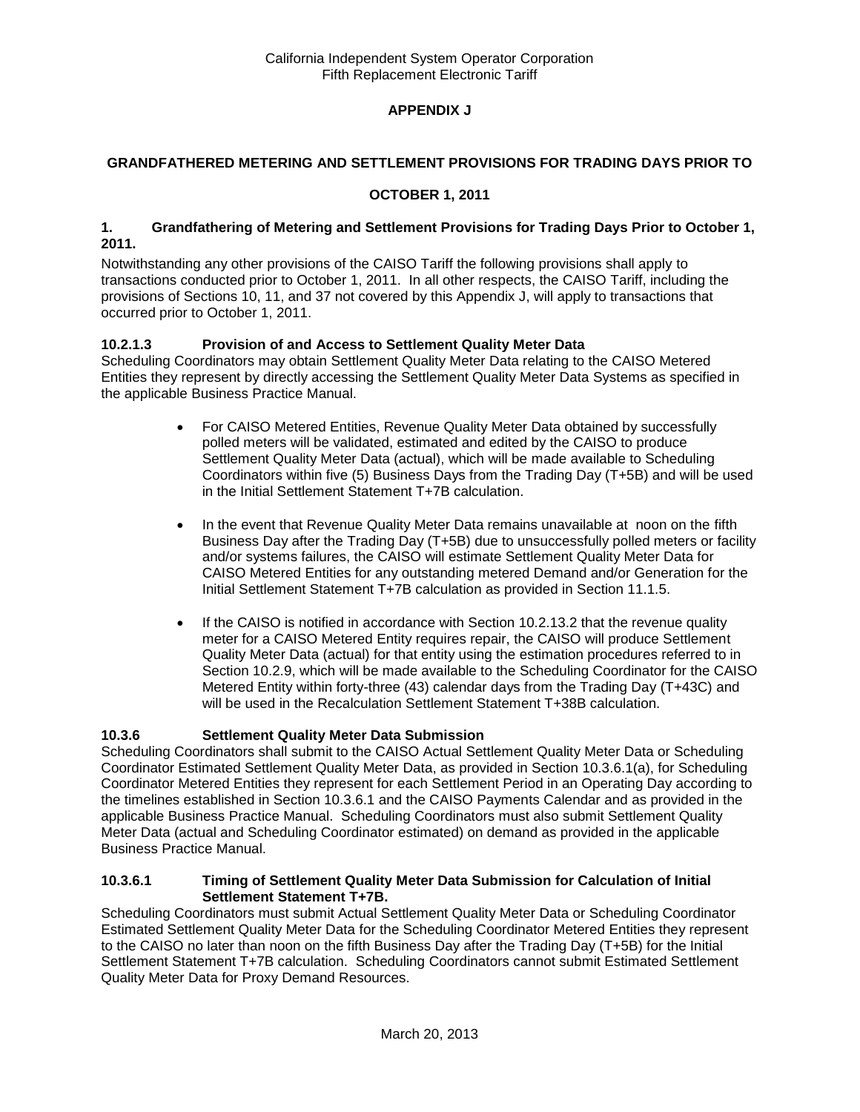## **APPENDIX J**

### **GRANDFATHERED METERING AND SETTLEMENT PROVISIONS FOR TRADING DAYS PRIOR TO**

### **OCTOBER 1, 2011**

#### **1. Grandfathering of Metering and Settlement Provisions for Trading Days Prior to October 1, 2011.**

Notwithstanding any other provisions of the CAISO Tariff the following provisions shall apply to transactions conducted prior to October 1, 2011. In all other respects, the CAISO Tariff, including the provisions of Sections 10, 11, and 37 not covered by this Appendix J, will apply to transactions that occurred prior to October 1, 2011.

### **10.2.1.3 Provision of and Access to Settlement Quality Meter Data**

Scheduling Coordinators may obtain Settlement Quality Meter Data relating to the CAISO Metered Entities they represent by directly accessing the Settlement Quality Meter Data Systems as specified in the applicable Business Practice Manual.

- For CAISO Metered Entities, Revenue Quality Meter Data obtained by successfully polled meters will be validated, estimated and edited by the CAISO to produce Settlement Quality Meter Data (actual), which will be made available to Scheduling Coordinators within five (5) Business Days from the Trading Day (T+5B) and will be used in the Initial Settlement Statement T+7B calculation.
- In the event that Revenue Quality Meter Data remains unavailable at noon on the fifth Business Day after the Trading Day (T+5B) due to unsuccessfully polled meters or facility and/or systems failures, the CAISO will estimate Settlement Quality Meter Data for CAISO Metered Entities for any outstanding metered Demand and/or Generation for the Initial Settlement Statement T+7B calculation as provided in Section 11.1.5.
- $\bullet$  If the CAISO is notified in accordance with Section 10.2.13.2 that the revenue quality meter for a CAISO Metered Entity requires repair, the CAISO will produce Settlement Quality Meter Data (actual) for that entity using the estimation procedures referred to in Section 10.2.9, which will be made available to the Scheduling Coordinator for the CAISO Metered Entity within forty-three (43) calendar days from the Trading Day (T+43C) and will be used in the Recalculation Settlement Statement T+38B calculation.

## **10.3.6 Settlement Quality Meter Data Submission**

Scheduling Coordinators shall submit to the CAISO Actual Settlement Quality Meter Data or Scheduling Coordinator Estimated Settlement Quality Meter Data, as provided in Section 10.3.6.1(a), for Scheduling Coordinator Metered Entities they represent for each Settlement Period in an Operating Day according to the timelines established in Section 10.3.6.1 and the CAISO Payments Calendar and as provided in the applicable Business Practice Manual. Scheduling Coordinators must also submit Settlement Quality Meter Data (actual and Scheduling Coordinator estimated) on demand as provided in the applicable Business Practice Manual.

#### **10.3.6.1 Timing of Settlement Quality Meter Data Submission for Calculation of Initial Settlement Statement T+7B.**

Scheduling Coordinators must submit Actual Settlement Quality Meter Data or Scheduling Coordinator Estimated Settlement Quality Meter Data for the Scheduling Coordinator Metered Entities they represent to the CAISO no later than noon on the fifth Business Day after the Trading Day (T+5B) for the Initial Settlement Statement T+7B calculation. Scheduling Coordinators cannot submit Estimated Settlement Quality Meter Data for Proxy Demand Resources.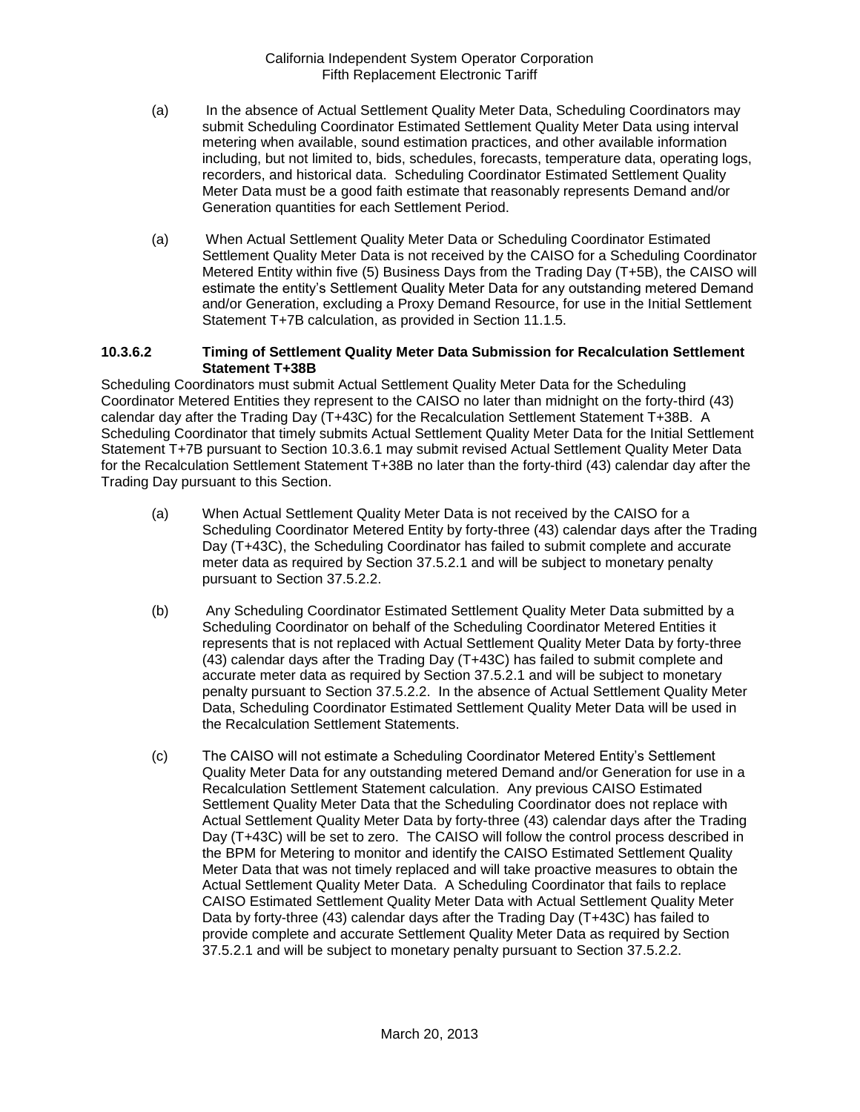- (a) In the absence of Actual Settlement Quality Meter Data, Scheduling Coordinators may submit Scheduling Coordinator Estimated Settlement Quality Meter Data using interval metering when available, sound estimation practices, and other available information including, but not limited to, bids, schedules, forecasts, temperature data, operating logs, recorders, and historical data. Scheduling Coordinator Estimated Settlement Quality Meter Data must be a good faith estimate that reasonably represents Demand and/or Generation quantities for each Settlement Period.
- (a) When Actual Settlement Quality Meter Data or Scheduling Coordinator Estimated Settlement Quality Meter Data is not received by the CAISO for a Scheduling Coordinator Metered Entity within five (5) Business Days from the Trading Day (T+5B), the CAISO will estimate the entity's Settlement Quality Meter Data for any outstanding metered Demand and/or Generation, excluding a Proxy Demand Resource, for use in the Initial Settlement Statement T+7B calculation, as provided in Section 11.1.5.

#### **10.3.6.2 Timing of Settlement Quality Meter Data Submission for Recalculation Settlement Statement T+38B**

Scheduling Coordinators must submit Actual Settlement Quality Meter Data for the Scheduling Coordinator Metered Entities they represent to the CAISO no later than midnight on the forty-third (43) calendar day after the Trading Day (T+43C) for the Recalculation Settlement Statement T+38B. A Scheduling Coordinator that timely submits Actual Settlement Quality Meter Data for the Initial Settlement Statement T+7B pursuant to Section 10.3.6.1 may submit revised Actual Settlement Quality Meter Data for the Recalculation Settlement Statement T+38B no later than the forty-third (43) calendar day after the Trading Day pursuant to this Section.

- (a) When Actual Settlement Quality Meter Data is not received by the CAISO for a Scheduling Coordinator Metered Entity by forty-three (43) calendar days after the Trading Day (T+43C), the Scheduling Coordinator has failed to submit complete and accurate meter data as required by Section 37.5.2.1 and will be subject to monetary penalty pursuant to Section 37.5.2.2.
- (b) Any Scheduling Coordinator Estimated Settlement Quality Meter Data submitted by a Scheduling Coordinator on behalf of the Scheduling Coordinator Metered Entities it represents that is not replaced with Actual Settlement Quality Meter Data by forty-three (43) calendar days after the Trading Day (T+43C) has failed to submit complete and accurate meter data as required by Section 37.5.2.1 and will be subject to monetary penalty pursuant to Section 37.5.2.2. In the absence of Actual Settlement Quality Meter Data, Scheduling Coordinator Estimated Settlement Quality Meter Data will be used in the Recalculation Settlement Statements.
- (c) The CAISO will not estimate a Scheduling Coordinator Metered Entity's Settlement Quality Meter Data for any outstanding metered Demand and/or Generation for use in a Recalculation Settlement Statement calculation. Any previous CAISO Estimated Settlement Quality Meter Data that the Scheduling Coordinator does not replace with Actual Settlement Quality Meter Data by forty-three (43) calendar days after the Trading Day (T+43C) will be set to zero. The CAISO will follow the control process described in the BPM for Metering to monitor and identify the CAISO Estimated Settlement Quality Meter Data that was not timely replaced and will take proactive measures to obtain the Actual Settlement Quality Meter Data. A Scheduling Coordinator that fails to replace CAISO Estimated Settlement Quality Meter Data with Actual Settlement Quality Meter Data by forty-three (43) calendar days after the Trading Day (T+43C) has failed to provide complete and accurate Settlement Quality Meter Data as required by Section 37.5.2.1 and will be subject to monetary penalty pursuant to Section 37.5.2.2.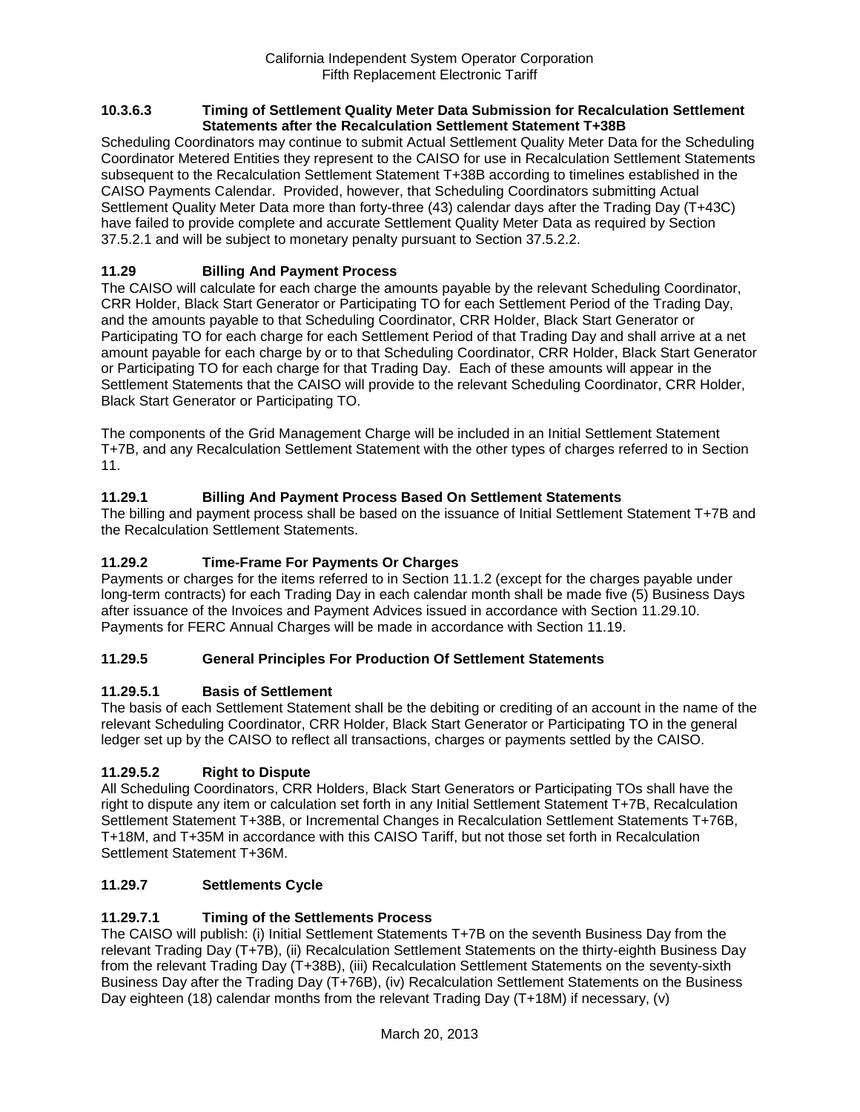#### **10.3.6.3 Timing of Settlement Quality Meter Data Submission for Recalculation Settlement Statements after the Recalculation Settlement Statement T+38B**

Scheduling Coordinators may continue to submit Actual Settlement Quality Meter Data for the Scheduling Coordinator Metered Entities they represent to the CAISO for use in Recalculation Settlement Statements subsequent to the Recalculation Settlement Statement T+38B according to timelines established in the CAISO Payments Calendar. Provided, however, that Scheduling Coordinators submitting Actual Settlement Quality Meter Data more than forty-three (43) calendar days after the Trading Day (T+43C) have failed to provide complete and accurate Settlement Quality Meter Data as required by Section 37.5.2.1 and will be subject to monetary penalty pursuant to Section 37.5.2.2.

## **11.29 Billing And Payment Process**

The CAISO will calculate for each charge the amounts payable by the relevant Scheduling Coordinator, CRR Holder, Black Start Generator or Participating TO for each Settlement Period of the Trading Day, and the amounts payable to that Scheduling Coordinator, CRR Holder, Black Start Generator or Participating TO for each charge for each Settlement Period of that Trading Day and shall arrive at a net amount payable for each charge by or to that Scheduling Coordinator, CRR Holder, Black Start Generator or Participating TO for each charge for that Trading Day. Each of these amounts will appear in the Settlement Statements that the CAISO will provide to the relevant Scheduling Coordinator, CRR Holder, Black Start Generator or Participating TO.

The components of the Grid Management Charge will be included in an Initial Settlement Statement T+7B, and any Recalculation Settlement Statement with the other types of charges referred to in Section 11.

## **11.29.1 Billing And Payment Process Based On Settlement Statements**

The billing and payment process shall be based on the issuance of Initial Settlement Statement T+7B and the Recalculation Settlement Statements.

### **11.29.2 Time-Frame For Payments Or Charges**

Payments or charges for the items referred to in Section 11.1.2 (except for the charges payable under long-term contracts) for each Trading Day in each calendar month shall be made five (5) Business Days after issuance of the Invoices and Payment Advices issued in accordance with Section 11.29.10. Payments for FERC Annual Charges will be made in accordance with Section 11.19.

### **11.29.5 General Principles For Production Of Settlement Statements**

### **11.29.5.1 Basis of Settlement**

The basis of each Settlement Statement shall be the debiting or crediting of an account in the name of the relevant Scheduling Coordinator, CRR Holder, Black Start Generator or Participating TO in the general ledger set up by the CAISO to reflect all transactions, charges or payments settled by the CAISO.

### **11.29.5.2 Right to Dispute**

All Scheduling Coordinators, CRR Holders, Black Start Generators or Participating TOs shall have the right to dispute any item or calculation set forth in any Initial Settlement Statement T+7B, Recalculation Settlement Statement T+38B, or Incremental Changes in Recalculation Settlement Statements T+76B, T+18M, and T+35M in accordance with this CAISO Tariff, but not those set forth in Recalculation Settlement Statement T+36M.

### **11.29.7 Settlements Cycle**

### **11.29.7.1 Timing of the Settlements Process**

The CAISO will publish: (i) Initial Settlement Statements T+7B on the seventh Business Day from the relevant Trading Day (T+7B), (ii) Recalculation Settlement Statements on the thirty-eighth Business Day from the relevant Trading Day (T+38B), (iii) Recalculation Settlement Statements on the seventy-sixth Business Day after the Trading Day (T+76B), (iv) Recalculation Settlement Statements on the Business Day eighteen (18) calendar months from the relevant Trading Day (T+18M) if necessary, (v)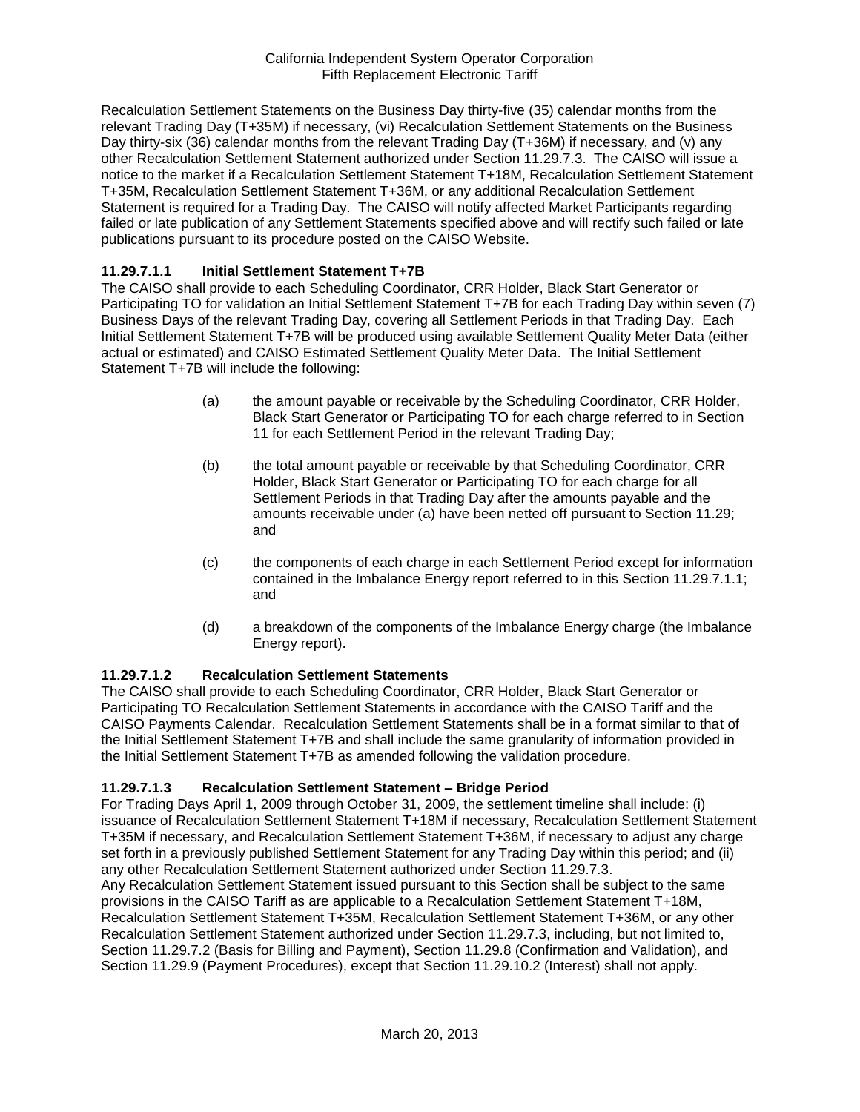Recalculation Settlement Statements on the Business Day thirty-five (35) calendar months from the relevant Trading Day (T+35M) if necessary, (vi) Recalculation Settlement Statements on the Business Day thirty-six (36) calendar months from the relevant Trading Day (T+36M) if necessary, and (v) any other Recalculation Settlement Statement authorized under Section 11.29.7.3. The CAISO will issue a notice to the market if a Recalculation Settlement Statement T+18M, Recalculation Settlement Statement T+35M, Recalculation Settlement Statement T+36M, or any additional Recalculation Settlement Statement is required for a Trading Day. The CAISO will notify affected Market Participants regarding failed or late publication of any Settlement Statements specified above and will rectify such failed or late publications pursuant to its procedure posted on the CAISO Website.

### **11.29.7.1.1 Initial Settlement Statement T+7B**

The CAISO shall provide to each Scheduling Coordinator, CRR Holder, Black Start Generator or Participating TO for validation an Initial Settlement Statement T+7B for each Trading Day within seven (7) Business Days of the relevant Trading Day, covering all Settlement Periods in that Trading Day. Each Initial Settlement Statement T+7B will be produced using available Settlement Quality Meter Data (either actual or estimated) and CAISO Estimated Settlement Quality Meter Data. The Initial Settlement Statement T+7B will include the following:

- (a) the amount payable or receivable by the Scheduling Coordinator, CRR Holder, Black Start Generator or Participating TO for each charge referred to in Section 11 for each Settlement Period in the relevant Trading Day;
- (b) the total amount payable or receivable by that Scheduling Coordinator, CRR Holder, Black Start Generator or Participating TO for each charge for all Settlement Periods in that Trading Day after the amounts payable and the amounts receivable under (a) have been netted off pursuant to Section 11.29; and
- (c) the components of each charge in each Settlement Period except for information contained in the Imbalance Energy report referred to in this Section 11.29.7.1.1; and
- (d) a breakdown of the components of the Imbalance Energy charge (the Imbalance Energy report).

### **11.29.7.1.2 Recalculation Settlement Statements**

The CAISO shall provide to each Scheduling Coordinator, CRR Holder, Black Start Generator or Participating TO Recalculation Settlement Statements in accordance with the CAISO Tariff and the CAISO Payments Calendar. Recalculation Settlement Statements shall be in a format similar to that of the Initial Settlement Statement T+7B and shall include the same granularity of information provided in the Initial Settlement Statement T+7B as amended following the validation procedure.

### **11.29.7.1.3 Recalculation Settlement Statement – Bridge Period**

For Trading Days April 1, 2009 through October 31, 2009, the settlement timeline shall include: (i) issuance of Recalculation Settlement Statement T+18M if necessary, Recalculation Settlement Statement T+35M if necessary, and Recalculation Settlement Statement T+36M, if necessary to adjust any charge set forth in a previously published Settlement Statement for any Trading Day within this period; and (ii) any other Recalculation Settlement Statement authorized under Section 11.29.7.3.

Any Recalculation Settlement Statement issued pursuant to this Section shall be subject to the same provisions in the CAISO Tariff as are applicable to a Recalculation Settlement Statement T+18M, Recalculation Settlement Statement T+35M, Recalculation Settlement Statement T+36M, or any other Recalculation Settlement Statement authorized under Section 11.29.7.3, including, but not limited to, Section 11.29.7.2 (Basis for Billing and Payment), Section 11.29.8 (Confirmation and Validation), and Section 11.29.9 (Payment Procedures), except that Section 11.29.10.2 (Interest) shall not apply.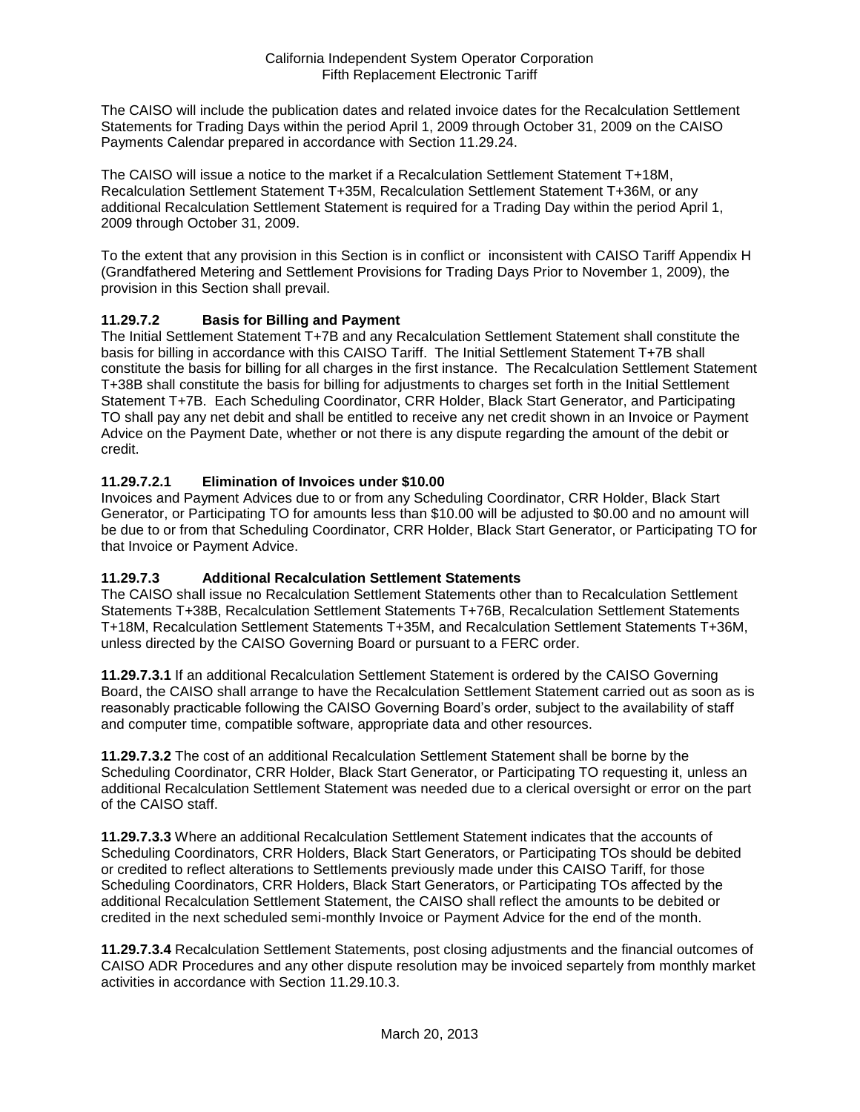The CAISO will include the publication dates and related invoice dates for the Recalculation Settlement Statements for Trading Days within the period April 1, 2009 through October 31, 2009 on the CAISO Payments Calendar prepared in accordance with Section 11.29.24.

The CAISO will issue a notice to the market if a Recalculation Settlement Statement T+18M, Recalculation Settlement Statement T+35M, Recalculation Settlement Statement T+36M, or any additional Recalculation Settlement Statement is required for a Trading Day within the period April 1, 2009 through October 31, 2009.

To the extent that any provision in this Section is in conflict or inconsistent with CAISO Tariff Appendix H (Grandfathered Metering and Settlement Provisions for Trading Days Prior to November 1, 2009), the provision in this Section shall prevail.

## **11.29.7.2 Basis for Billing and Payment**

The Initial Settlement Statement T+7B and any Recalculation Settlement Statement shall constitute the basis for billing in accordance with this CAISO Tariff. The Initial Settlement Statement T+7B shall constitute the basis for billing for all charges in the first instance. The Recalculation Settlement Statement T+38B shall constitute the basis for billing for adjustments to charges set forth in the Initial Settlement Statement T+7B. Each Scheduling Coordinator, CRR Holder, Black Start Generator, and Participating TO shall pay any net debit and shall be entitled to receive any net credit shown in an Invoice or Payment Advice on the Payment Date, whether or not there is any dispute regarding the amount of the debit or credit.

## **11.29.7.2.1 Elimination of Invoices under \$10.00**

Invoices and Payment Advices due to or from any Scheduling Coordinator, CRR Holder, Black Start Generator, or Participating TO for amounts less than \$10.00 will be adjusted to \$0.00 and no amount will be due to or from that Scheduling Coordinator, CRR Holder, Black Start Generator, or Participating TO for that Invoice or Payment Advice.

### **11.29.7.3 Additional Recalculation Settlement Statements**

The CAISO shall issue no Recalculation Settlement Statements other than to Recalculation Settlement Statements T+38B, Recalculation Settlement Statements T+76B, Recalculation Settlement Statements T+18M, Recalculation Settlement Statements T+35M, and Recalculation Settlement Statements T+36M, unless directed by the CAISO Governing Board or pursuant to a FERC order.

**11.29.7.3.1** If an additional Recalculation Settlement Statement is ordered by the CAISO Governing Board, the CAISO shall arrange to have the Recalculation Settlement Statement carried out as soon as is reasonably practicable following the CAISO Governing Board's order, subject to the availability of staff and computer time, compatible software, appropriate data and other resources.

**11.29.7.3.2** The cost of an additional Recalculation Settlement Statement shall be borne by the Scheduling Coordinator, CRR Holder, Black Start Generator, or Participating TO requesting it, unless an additional Recalculation Settlement Statement was needed due to a clerical oversight or error on the part of the CAISO staff.

**11.29.7.3.3** Where an additional Recalculation Settlement Statement indicates that the accounts of Scheduling Coordinators, CRR Holders, Black Start Generators, or Participating TOs should be debited or credited to reflect alterations to Settlements previously made under this CAISO Tariff, for those Scheduling Coordinators, CRR Holders, Black Start Generators, or Participating TOs affected by the additional Recalculation Settlement Statement, the CAISO shall reflect the amounts to be debited or credited in the next scheduled semi-monthly Invoice or Payment Advice for the end of the month.

**11.29.7.3.4** Recalculation Settlement Statements, post closing adjustments and the financial outcomes of CAISO ADR Procedures and any other dispute resolution may be invoiced separtely from monthly market activities in accordance with Section 11.29.10.3.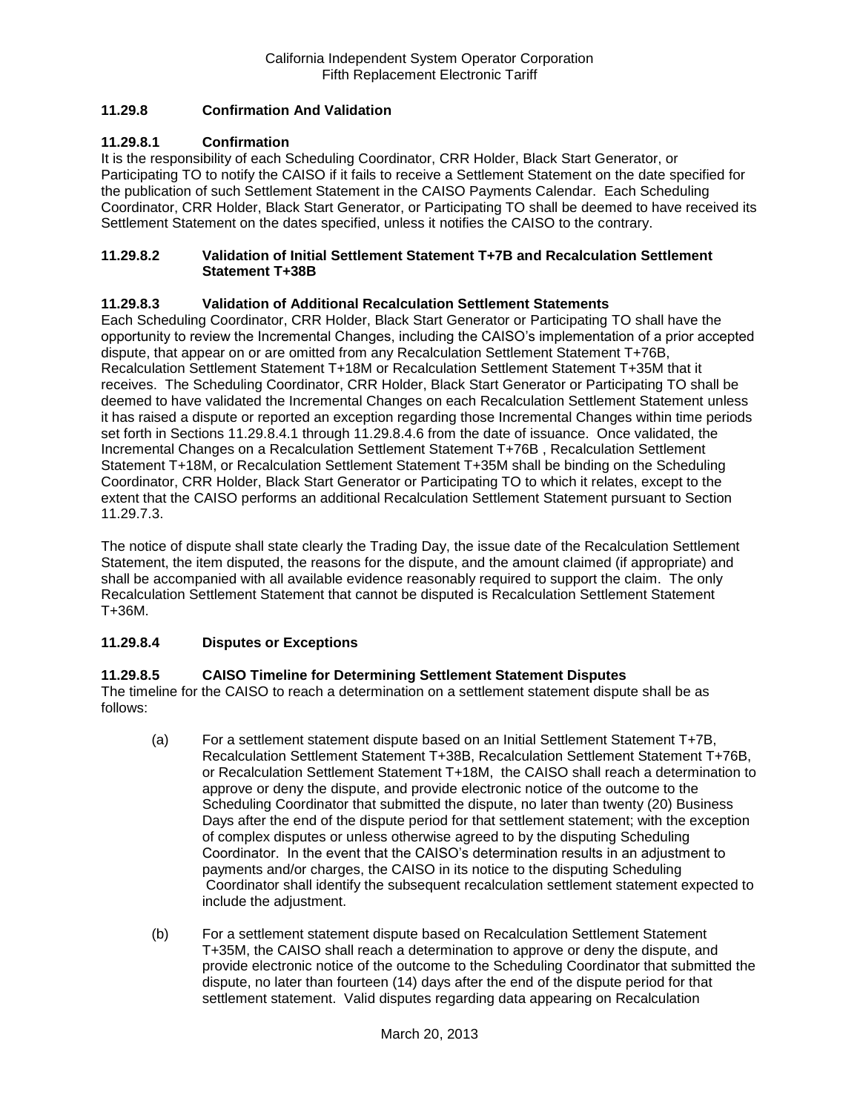### **11.29.8 Confirmation And Validation**

### **11.29.8.1 Confirmation**

It is the responsibility of each Scheduling Coordinator, CRR Holder, Black Start Generator, or Participating TO to notify the CAISO if it fails to receive a Settlement Statement on the date specified for the publication of such Settlement Statement in the CAISO Payments Calendar. Each Scheduling Coordinator, CRR Holder, Black Start Generator, or Participating TO shall be deemed to have received its Settlement Statement on the dates specified, unless it notifies the CAISO to the contrary.

#### **11.29.8.2 Validation of Initial Settlement Statement T+7B and Recalculation Settlement Statement T+38B**

### **11.29.8.3 Validation of Additional Recalculation Settlement Statements**

Each Scheduling Coordinator, CRR Holder, Black Start Generator or Participating TO shall have the opportunity to review the Incremental Changes, including the CAISO's implementation of a prior accepted dispute, that appear on or are omitted from any Recalculation Settlement Statement T+76B, Recalculation Settlement Statement T+18M or Recalculation Settlement Statement T+35M that it receives. The Scheduling Coordinator, CRR Holder, Black Start Generator or Participating TO shall be deemed to have validated the Incremental Changes on each Recalculation Settlement Statement unless it has raised a dispute or reported an exception regarding those Incremental Changes within time periods set forth in Sections 11.29.8.4.1 through 11.29.8.4.6 from the date of issuance. Once validated, the Incremental Changes on a Recalculation Settlement Statement T+76B , Recalculation Settlement Statement T+18M, or Recalculation Settlement Statement T+35M shall be binding on the Scheduling Coordinator, CRR Holder, Black Start Generator or Participating TO to which it relates, except to the extent that the CAISO performs an additional Recalculation Settlement Statement pursuant to Section 11.29.7.3.

The notice of dispute shall state clearly the Trading Day, the issue date of the Recalculation Settlement Statement, the item disputed, the reasons for the dispute, and the amount claimed (if appropriate) and shall be accompanied with all available evidence reasonably required to support the claim. The only Recalculation Settlement Statement that cannot be disputed is Recalculation Settlement Statement T+36M.

### **11.29.8.4 Disputes or Exceptions**

### **11.29.8.5 CAISO Timeline for Determining Settlement Statement Disputes**

The timeline for the CAISO to reach a determination on a settlement statement dispute shall be as follows:

- (a) For a settlement statement dispute based on an Initial Settlement Statement T+7B, Recalculation Settlement Statement T+38B, Recalculation Settlement Statement T+76B, or Recalculation Settlement Statement T+18M, the CAISO shall reach a determination to approve or deny the dispute, and provide electronic notice of the outcome to the Scheduling Coordinator that submitted the dispute, no later than twenty (20) Business Days after the end of the dispute period for that settlement statement; with the exception of complex disputes or unless otherwise agreed to by the disputing Scheduling Coordinator. In the event that the CAISO's determination results in an adjustment to payments and/or charges, the CAISO in its notice to the disputing Scheduling Coordinator shall identify the subsequent recalculation settlement statement expected to include the adjustment.
- (b) For a settlement statement dispute based on Recalculation Settlement Statement T+35M, the CAISO shall reach a determination to approve or deny the dispute, and provide electronic notice of the outcome to the Scheduling Coordinator that submitted the dispute, no later than fourteen (14) days after the end of the dispute period for that settlement statement. Valid disputes regarding data appearing on Recalculation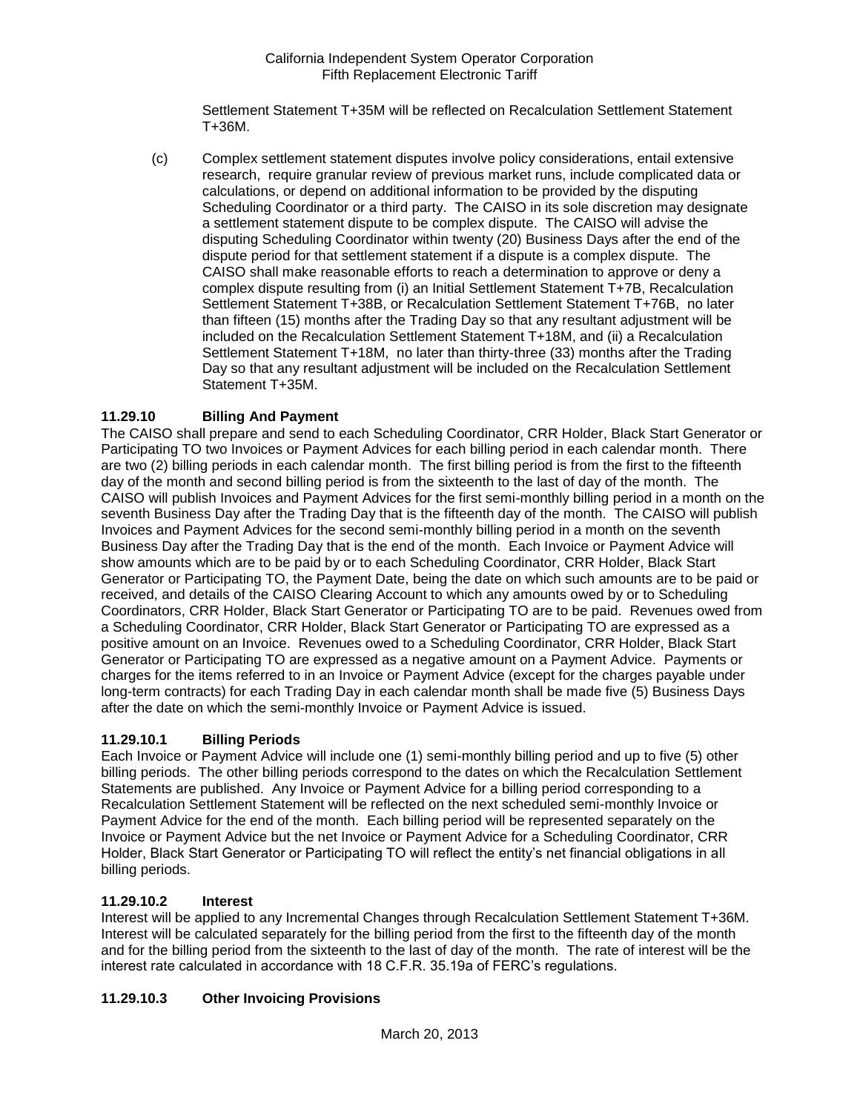Settlement Statement T+35M will be reflected on Recalculation Settlement Statement T+36M.

(c) Complex settlement statement disputes involve policy considerations, entail extensive research, require granular review of previous market runs, include complicated data or calculations, or depend on additional information to be provided by the disputing Scheduling Coordinator or a third party. The CAISO in its sole discretion may designate a settlement statement dispute to be complex dispute. The CAISO will advise the disputing Scheduling Coordinator within twenty (20) Business Days after the end of the dispute period for that settlement statement if a dispute is a complex dispute. The CAISO shall make reasonable efforts to reach a determination to approve or deny a complex dispute resulting from (i) an Initial Settlement Statement T+7B, Recalculation Settlement Statement T+38B, or Recalculation Settlement Statement T+76B, no later than fifteen (15) months after the Trading Day so that any resultant adjustment will be included on the Recalculation Settlement Statement T+18M, and (ii) a Recalculation Settlement Statement T+18M, no later than thirty-three (33) months after the Trading Day so that any resultant adjustment will be included on the Recalculation Settlement Statement T+35M.

## **11.29.10 Billing And Payment**

The CAISO shall prepare and send to each Scheduling Coordinator, CRR Holder, Black Start Generator or Participating TO two Invoices or Payment Advices for each billing period in each calendar month. There are two (2) billing periods in each calendar month. The first billing period is from the first to the fifteenth day of the month and second billing period is from the sixteenth to the last of day of the month. The CAISO will publish Invoices and Payment Advices for the first semi-monthly billing period in a month on the seventh Business Day after the Trading Day that is the fifteenth day of the month. The CAISO will publish Invoices and Payment Advices for the second semi-monthly billing period in a month on the seventh Business Day after the Trading Day that is the end of the month. Each Invoice or Payment Advice will show amounts which are to be paid by or to each Scheduling Coordinator, CRR Holder, Black Start Generator or Participating TO, the Payment Date, being the date on which such amounts are to be paid or received, and details of the CAISO Clearing Account to which any amounts owed by or to Scheduling Coordinators, CRR Holder, Black Start Generator or Participating TO are to be paid. Revenues owed from a Scheduling Coordinator, CRR Holder, Black Start Generator or Participating TO are expressed as a positive amount on an Invoice. Revenues owed to a Scheduling Coordinator, CRR Holder, Black Start Generator or Participating TO are expressed as a negative amount on a Payment Advice. Payments or charges for the items referred to in an Invoice or Payment Advice (except for the charges payable under long-term contracts) for each Trading Day in each calendar month shall be made five (5) Business Days after the date on which the semi-monthly Invoice or Payment Advice is issued.

## **11.29.10.1 Billing Periods**

Each Invoice or Payment Advice will include one (1) semi-monthly billing period and up to five (5) other billing periods. The other billing periods correspond to the dates on which the Recalculation Settlement Statements are published. Any Invoice or Payment Advice for a billing period corresponding to a Recalculation Settlement Statement will be reflected on the next scheduled semi-monthly Invoice or Payment Advice for the end of the month. Each billing period will be represented separately on the Invoice or Payment Advice but the net Invoice or Payment Advice for a Scheduling Coordinator, CRR Holder, Black Start Generator or Participating TO will reflect the entity's net financial obligations in all billing periods.

### **11.29.10.2 Interest**

Interest will be applied to any Incremental Changes through Recalculation Settlement Statement T+36M. Interest will be calculated separately for the billing period from the first to the fifteenth day of the month and for the billing period from the sixteenth to the last of day of the month. The rate of interest will be the interest rate calculated in accordance with 18 C.F.R. 35.19a of FERC's regulations.

## **11.29.10.3 Other Invoicing Provisions**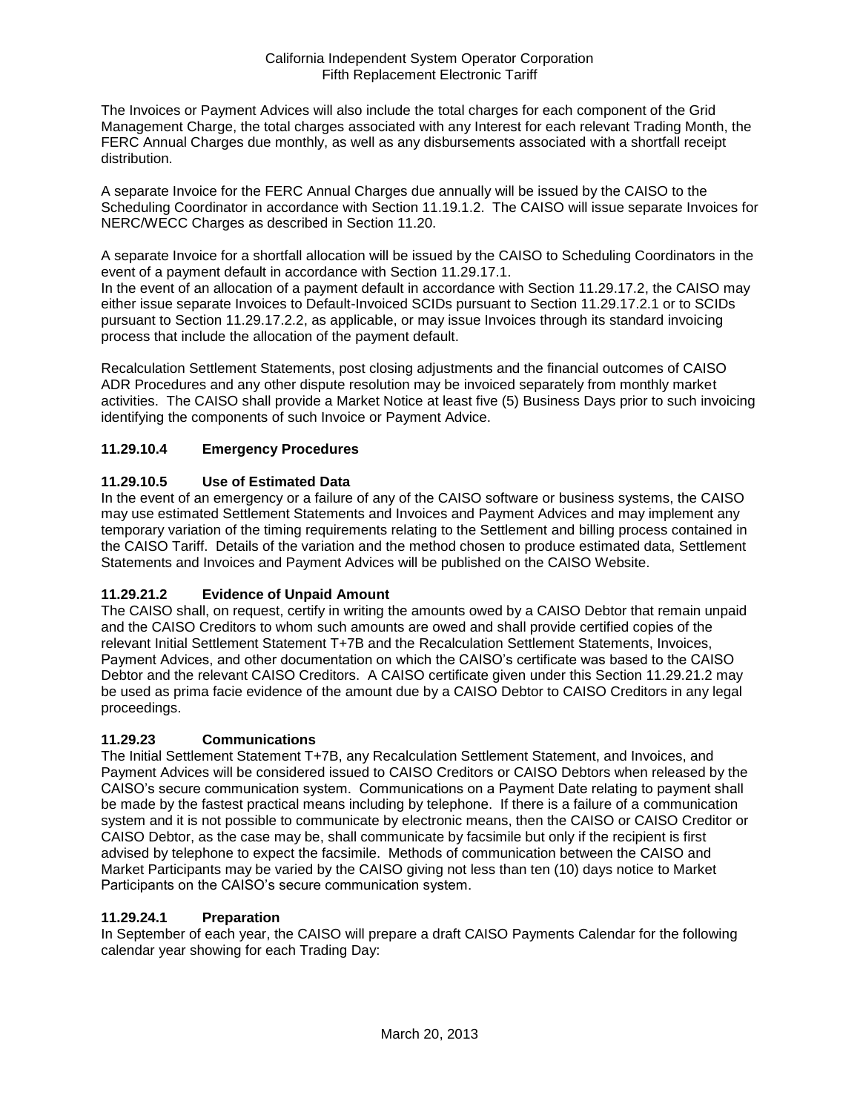The Invoices or Payment Advices will also include the total charges for each component of the Grid Management Charge, the total charges associated with any Interest for each relevant Trading Month, the FERC Annual Charges due monthly, as well as any disbursements associated with a shortfall receipt distribution.

A separate Invoice for the FERC Annual Charges due annually will be issued by the CAISO to the Scheduling Coordinator in accordance with Section 11.19.1.2. The CAISO will issue separate Invoices for NERC/WECC Charges as described in Section 11.20.

A separate Invoice for a shortfall allocation will be issued by the CAISO to Scheduling Coordinators in the event of a payment default in accordance with Section 11.29.17.1.

In the event of an allocation of a payment default in accordance with Section 11.29.17.2, the CAISO may either issue separate Invoices to Default-Invoiced SCIDs pursuant to Section 11.29.17.2.1 or to SCIDs pursuant to Section 11.29.17.2.2, as applicable, or may issue Invoices through its standard invoicing process that include the allocation of the payment default.

Recalculation Settlement Statements, post closing adjustments and the financial outcomes of CAISO ADR Procedures and any other dispute resolution may be invoiced separately from monthly market activities. The CAISO shall provide a Market Notice at least five (5) Business Days prior to such invoicing identifying the components of such Invoice or Payment Advice.

## **11.29.10.4 Emergency Procedures**

## **11.29.10.5 Use of Estimated Data**

In the event of an emergency or a failure of any of the CAISO software or business systems, the CAISO may use estimated Settlement Statements and Invoices and Payment Advices and may implement any temporary variation of the timing requirements relating to the Settlement and billing process contained in the CAISO Tariff. Details of the variation and the method chosen to produce estimated data, Settlement Statements and Invoices and Payment Advices will be published on the CAISO Website.

## **11.29.21.2 Evidence of Unpaid Amount**

The CAISO shall, on request, certify in writing the amounts owed by a CAISO Debtor that remain unpaid and the CAISO Creditors to whom such amounts are owed and shall provide certified copies of the relevant Initial Settlement Statement T+7B and the Recalculation Settlement Statements, Invoices, Payment Advices, and other documentation on which the CAISO's certificate was based to the CAISO Debtor and the relevant CAISO Creditors. A CAISO certificate given under this Section 11.29.21.2 may be used as prima facie evidence of the amount due by a CAISO Debtor to CAISO Creditors in any legal proceedings.

### **11.29.23 Communications**

The Initial Settlement Statement T+7B, any Recalculation Settlement Statement, and Invoices, and Payment Advices will be considered issued to CAISO Creditors or CAISO Debtors when released by the CAISO's secure communication system. Communications on a Payment Date relating to payment shall be made by the fastest practical means including by telephone. If there is a failure of a communication system and it is not possible to communicate by electronic means, then the CAISO or CAISO Creditor or CAISO Debtor, as the case may be, shall communicate by facsimile but only if the recipient is first advised by telephone to expect the facsimile. Methods of communication between the CAISO and Market Participants may be varied by the CAISO giving not less than ten (10) days notice to Market Participants on the CAISO's secure communication system.

### **11.29.24.1 Preparation**

In September of each year, the CAISO will prepare a draft CAISO Payments Calendar for the following calendar year showing for each Trading Day: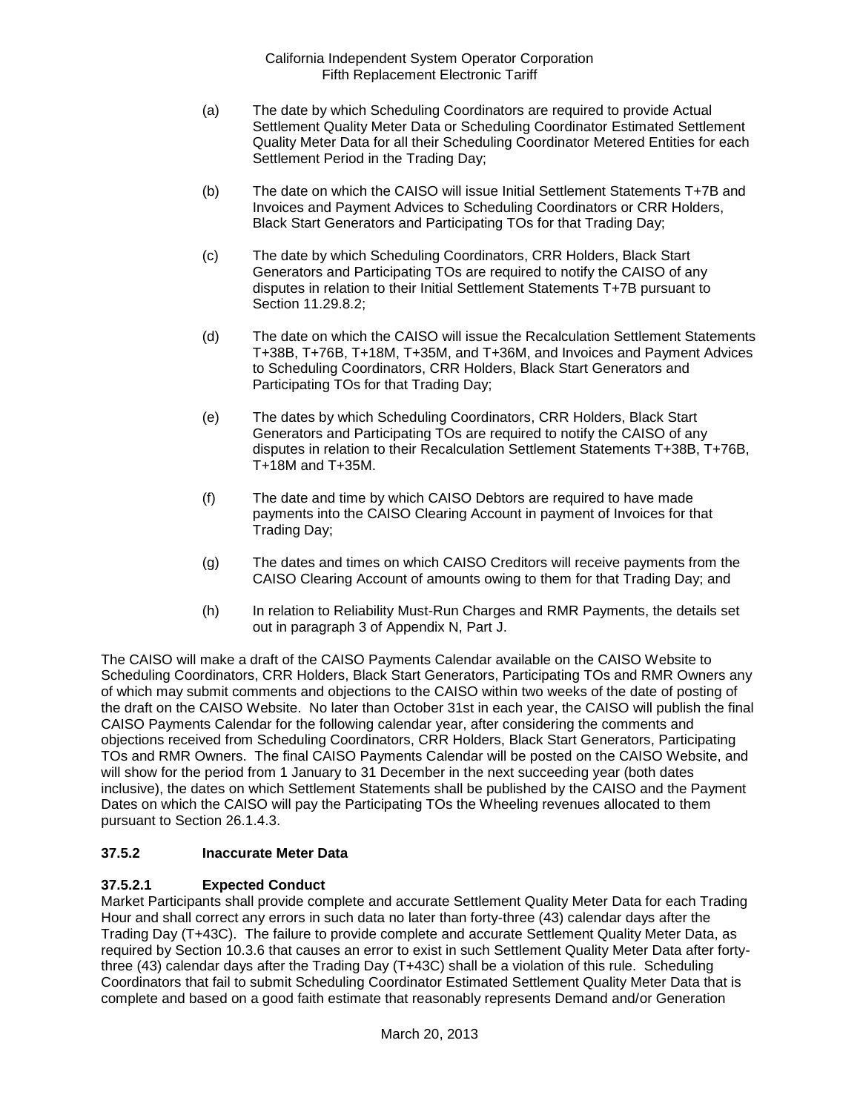- (a) The date by which Scheduling Coordinators are required to provide Actual Settlement Quality Meter Data or Scheduling Coordinator Estimated Settlement Quality Meter Data for all their Scheduling Coordinator Metered Entities for each Settlement Period in the Trading Day;
- (b) The date on which the CAISO will issue Initial Settlement Statements T+7B and Invoices and Payment Advices to Scheduling Coordinators or CRR Holders, Black Start Generators and Participating TOs for that Trading Day;
- (c) The date by which Scheduling Coordinators, CRR Holders, Black Start Generators and Participating TOs are required to notify the CAISO of any disputes in relation to their Initial Settlement Statements T+7B pursuant to Section 11.29.8.2;
- (d) The date on which the CAISO will issue the Recalculation Settlement Statements T+38B, T+76B, T+18M, T+35M, and T+36M, and Invoices and Payment Advices to Scheduling Coordinators, CRR Holders, Black Start Generators and Participating TOs for that Trading Day;
- (e) The dates by which Scheduling Coordinators, CRR Holders, Black Start Generators and Participating TOs are required to notify the CAISO of any disputes in relation to their Recalculation Settlement Statements T+38B, T+76B, T+18M and T+35M.
- (f) The date and time by which CAISO Debtors are required to have made payments into the CAISO Clearing Account in payment of Invoices for that Trading Day;
- (g) The dates and times on which CAISO Creditors will receive payments from the CAISO Clearing Account of amounts owing to them for that Trading Day; and
- (h) In relation to Reliability Must-Run Charges and RMR Payments, the details set out in paragraph 3 of Appendix N, Part J.

The CAISO will make a draft of the CAISO Payments Calendar available on the CAISO Website to Scheduling Coordinators, CRR Holders, Black Start Generators, Participating TOs and RMR Owners any of which may submit comments and objections to the CAISO within two weeks of the date of posting of the draft on the CAISO Website. No later than October 31st in each year, the CAISO will publish the final CAISO Payments Calendar for the following calendar year, after considering the comments and objections received from Scheduling Coordinators, CRR Holders, Black Start Generators, Participating TOs and RMR Owners. The final CAISO Payments Calendar will be posted on the CAISO Website, and will show for the period from 1 January to 31 December in the next succeeding year (both dates inclusive), the dates on which Settlement Statements shall be published by the CAISO and the Payment Dates on which the CAISO will pay the Participating TOs the Wheeling revenues allocated to them pursuant to Section 26.1.4.3.

## **37.5.2 Inaccurate Meter Data**

## **37.5.2.1 Expected Conduct**

Market Participants shall provide complete and accurate Settlement Quality Meter Data for each Trading Hour and shall correct any errors in such data no later than forty-three (43) calendar days after the Trading Day (T+43C). The failure to provide complete and accurate Settlement Quality Meter Data, as required by Section 10.3.6 that causes an error to exist in such Settlement Quality Meter Data after fortythree (43) calendar days after the Trading Day (T+43C) shall be a violation of this rule. Scheduling Coordinators that fail to submit Scheduling Coordinator Estimated Settlement Quality Meter Data that is complete and based on a good faith estimate that reasonably represents Demand and/or Generation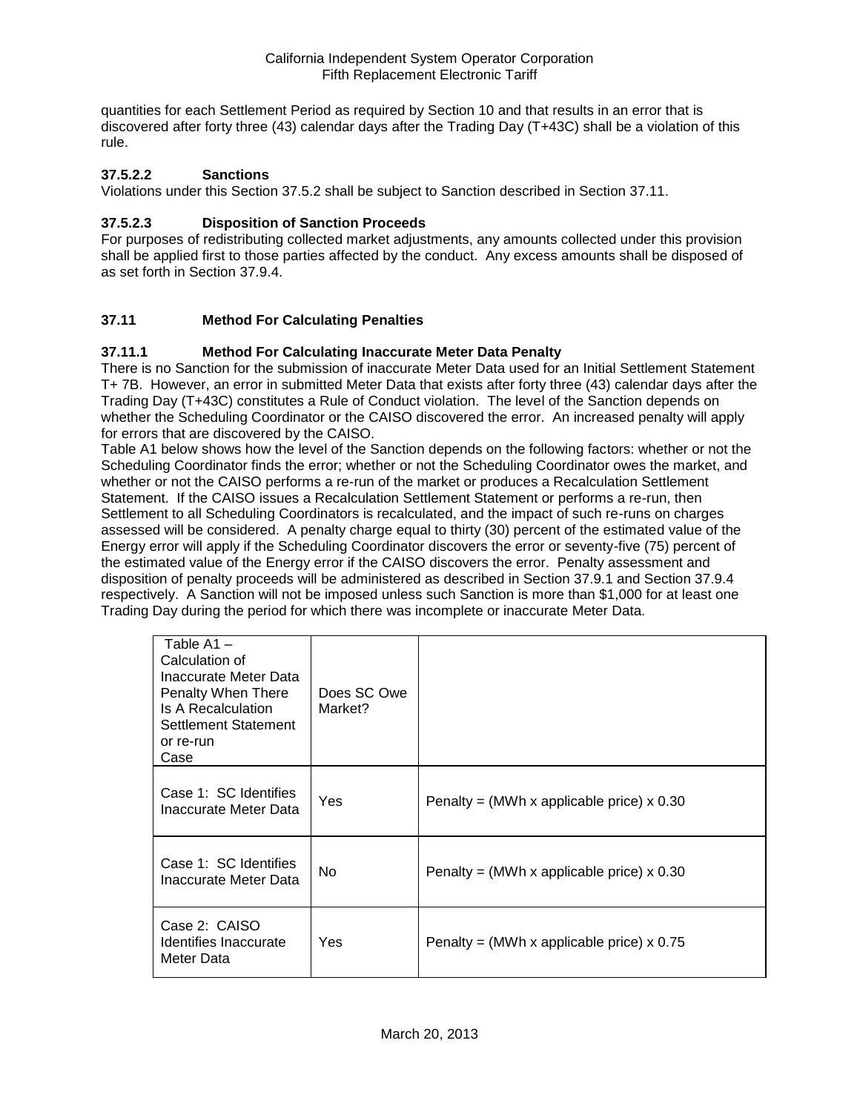quantities for each Settlement Period as required by Section 10 and that results in an error that is discovered after forty three (43) calendar days after the Trading Day (T+43C) shall be a violation of this rule.

### **37.5.2.2 Sanctions**

Violations under this Section 37.5.2 shall be subject to Sanction described in Section 37.11.

### **37.5.2.3 Disposition of Sanction Proceeds**

For purposes of redistributing collected market adjustments, any amounts collected under this provision shall be applied first to those parties affected by the conduct. Any excess amounts shall be disposed of as set forth in Section 37.9.4.

## **37.11 Method For Calculating Penalties**

### **37.11.1 Method For Calculating Inaccurate Meter Data Penalty**

There is no Sanction for the submission of inaccurate Meter Data used for an Initial Settlement Statement T+ 7B. However, an error in submitted Meter Data that exists after forty three (43) calendar days after the Trading Day (T+43C) constitutes a Rule of Conduct violation. The level of the Sanction depends on whether the Scheduling Coordinator or the CAISO discovered the error. An increased penalty will apply for errors that are discovered by the CAISO.

Table A1 below shows how the level of the Sanction depends on the following factors: whether or not the Scheduling Coordinator finds the error; whether or not the Scheduling Coordinator owes the market, and whether or not the CAISO performs a re-run of the market or produces a Recalculation Settlement Statement. If the CAISO issues a Recalculation Settlement Statement or performs a re-run, then Settlement to all Scheduling Coordinators is recalculated, and the impact of such re-runs on charges assessed will be considered. A penalty charge equal to thirty (30) percent of the estimated value of the Energy error will apply if the Scheduling Coordinator discovers the error or seventy-five (75) percent of the estimated value of the Energy error if the CAISO discovers the error. Penalty assessment and disposition of penalty proceeds will be administered as described in Section 37.9.1 and Section 37.9.4 respectively. A Sanction will not be imposed unless such Sanction is more than \$1,000 for at least one Trading Day during the period for which there was incomplete or inaccurate Meter Data.

| Table $A1 -$<br>Calculation of<br>Inaccurate Meter Data<br>Penalty When There<br>Is A Recalculation<br>Settlement Statement<br>or re-run<br>Case | Does SC Owe<br>Market? |                                             |
|--------------------------------------------------------------------------------------------------------------------------------------------------|------------------------|---------------------------------------------|
| Case 1: SC Identifies<br>Inaccurate Meter Data                                                                                                   | Yes                    | Penalty = (MWh x applicable price) $x$ 0.30 |
| Case 1: SC Identifies<br>Inaccurate Meter Data                                                                                                   | No.                    | Penalty = (MWh x applicable price) $x$ 0.30 |
| Case 2: CAISO<br>Identifies Inaccurate<br>Meter Data                                                                                             | Yes                    | Penalty = (MWh x applicable price) $x$ 0.75 |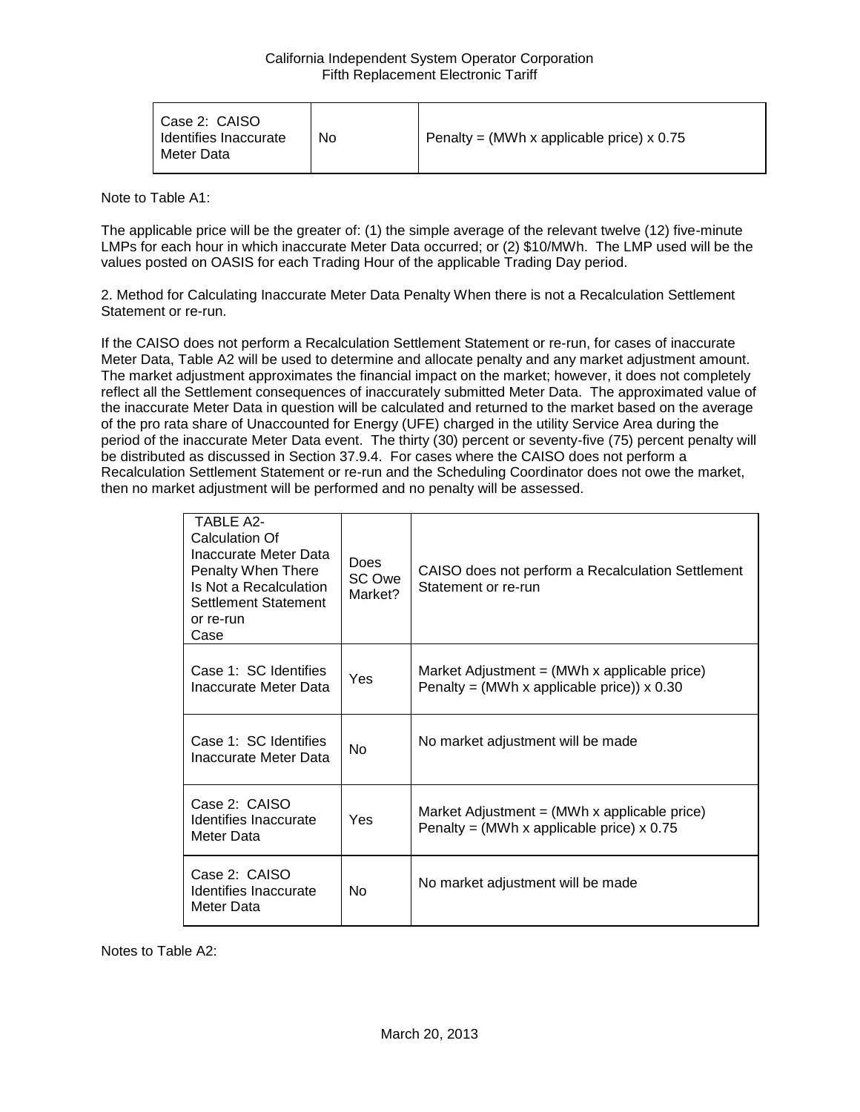| Case 2: CAISO<br>Identifies Inaccurate<br>Meter Data | No | Penalty = (MWh x applicable price) x 0.75 |
|------------------------------------------------------|----|-------------------------------------------|
|------------------------------------------------------|----|-------------------------------------------|

Note to Table A1:

The applicable price will be the greater of: (1) the simple average of the relevant twelve (12) five-minute LMPs for each hour in which inaccurate Meter Data occurred; or (2) \$10/MWh. The LMP used will be the values posted on OASIS for each Trading Hour of the applicable Trading Day period.

2. Method for Calculating Inaccurate Meter Data Penalty When there is not a Recalculation Settlement Statement or re-run.

If the CAISO does not perform a Recalculation Settlement Statement or re-run, for cases of inaccurate Meter Data, Table A2 will be used to determine and allocate penalty and any market adjustment amount. The market adjustment approximates the financial impact on the market; however, it does not completely reflect all the Settlement consequences of inaccurately submitted Meter Data. The approximated value of the inaccurate Meter Data in question will be calculated and returned to the market based on the average of the pro rata share of Unaccounted for Energy (UFE) charged in the utility Service Area during the period of the inaccurate Meter Data event. The thirty (30) percent or seventy-five (75) percent penalty will be distributed as discussed in Section 37.9.4. For cases where the CAISO does not perform a Recalculation Settlement Statement or re-run and the Scheduling Coordinator does not owe the market, then no market adjustment will be performed and no penalty will be assessed.

| <b>TABLE A2-</b><br>Calculation Of<br>Inaccurate Meter Data<br>Penalty When There<br>Is Not a Recalculation<br>Settlement Statement<br>or re-run<br>Case | <b>Does</b><br>SC Owe<br>Market? | CAISO does not perform a Recalculation Settlement<br>Statement or re-run                                        |
|----------------------------------------------------------------------------------------------------------------------------------------------------------|----------------------------------|-----------------------------------------------------------------------------------------------------------------|
| Case 1: SC Identifies<br>Inaccurate Meter Data                                                                                                           | Yes                              | Market Adjustment = $(MWh \times \text{applicable price})$<br>Penalty = (MWh x applicable price)) $\times$ 0.30 |
| Case 1: SC Identifies<br>Inaccurate Meter Data                                                                                                           | <b>No</b>                        | No market adjustment will be made                                                                               |
| Case 2: CAISO<br>Identifies Inaccurate<br>Meter Data                                                                                                     | Yes                              | Market Adjustment $=$ (MWh x applicable price)<br>Penalty = (MWh x applicable price) $x$ 0.75                   |
| Case 2: CAISO<br>Identifies Inaccurate<br>Meter Data                                                                                                     | No                               | No market adjustment will be made                                                                               |

Notes to Table A2: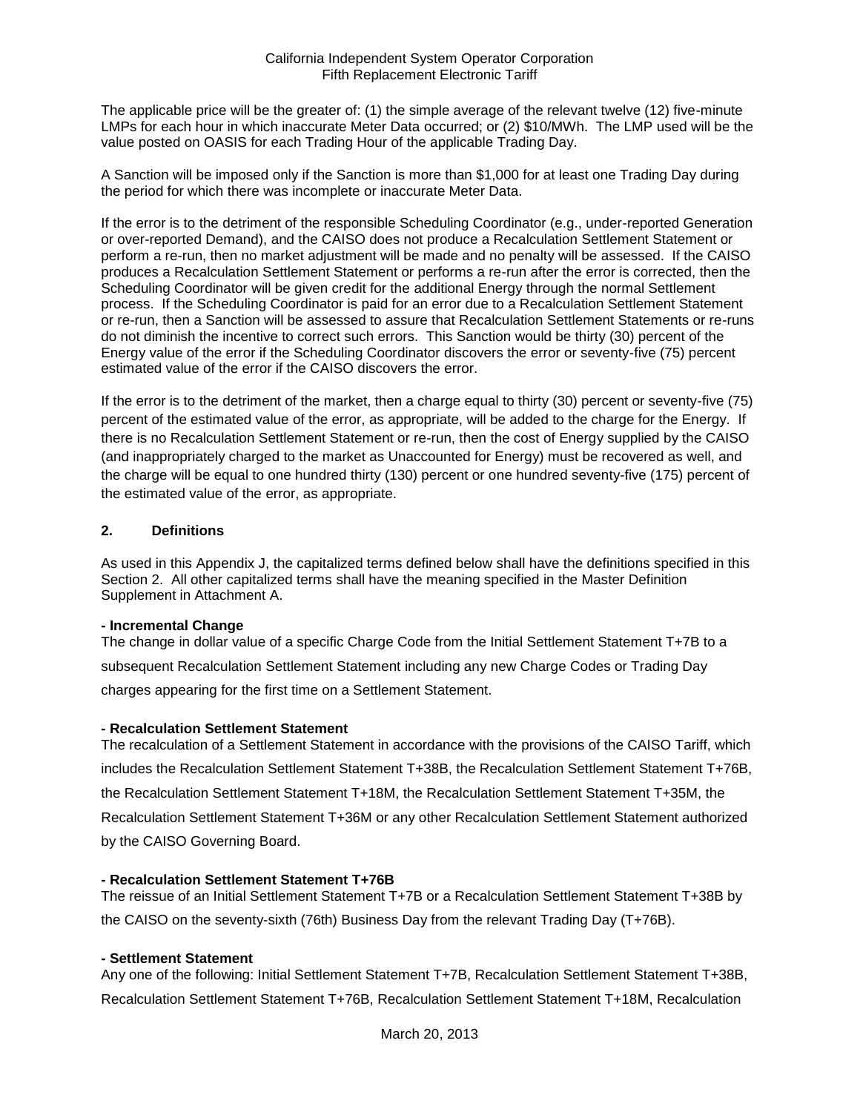The applicable price will be the greater of: (1) the simple average of the relevant twelve (12) five-minute LMPs for each hour in which inaccurate Meter Data occurred; or (2) \$10/MWh. The LMP used will be the value posted on OASIS for each Trading Hour of the applicable Trading Day.

A Sanction will be imposed only if the Sanction is more than \$1,000 for at least one Trading Day during the period for which there was incomplete or inaccurate Meter Data.

If the error is to the detriment of the responsible Scheduling Coordinator (e.g., under-reported Generation or over-reported Demand), and the CAISO does not produce a Recalculation Settlement Statement or perform a re-run, then no market adjustment will be made and no penalty will be assessed. If the CAISO produces a Recalculation Settlement Statement or performs a re-run after the error is corrected, then the Scheduling Coordinator will be given credit for the additional Energy through the normal Settlement process. If the Scheduling Coordinator is paid for an error due to a Recalculation Settlement Statement or re-run, then a Sanction will be assessed to assure that Recalculation Settlement Statements or re-runs do not diminish the incentive to correct such errors. This Sanction would be thirty (30) percent of the Energy value of the error if the Scheduling Coordinator discovers the error or seventy-five (75) percent estimated value of the error if the CAISO discovers the error.

If the error is to the detriment of the market, then a charge equal to thirty (30) percent or seventy-five (75) percent of the estimated value of the error, as appropriate, will be added to the charge for the Energy. If there is no Recalculation Settlement Statement or re-run, then the cost of Energy supplied by the CAISO (and inappropriately charged to the market as Unaccounted for Energy) must be recovered as well, and the charge will be equal to one hundred thirty (130) percent or one hundred seventy-five (175) percent of the estimated value of the error, as appropriate.

### **2. Definitions**

As used in this Appendix J, the capitalized terms defined below shall have the definitions specified in this Section 2. All other capitalized terms shall have the meaning specified in the Master Definition Supplement in Attachment A.

#### **- Incremental Change**

The change in dollar value of a specific Charge Code from the Initial Settlement Statement T+7B to a subsequent Recalculation Settlement Statement including any new Charge Codes or Trading Day charges appearing for the first time on a Settlement Statement.

### **- Recalculation Settlement Statement**

The recalculation of a Settlement Statement in accordance with the provisions of the CAISO Tariff, which includes the Recalculation Settlement Statement T+38B, the Recalculation Settlement Statement T+76B, the Recalculation Settlement Statement T+18M, the Recalculation Settlement Statement T+35M, the Recalculation Settlement Statement T+36M or any other Recalculation Settlement Statement authorized by the CAISO Governing Board.

### **- Recalculation Settlement Statement T+76B**

The reissue of an Initial Settlement Statement T+7B or a Recalculation Settlement Statement T+38B by the CAISO on the seventy-sixth (76th) Business Day from the relevant Trading Day (T+76B).

### **- Settlement Statement**

Any one of the following: Initial Settlement Statement T+7B, Recalculation Settlement Statement T+38B, Recalculation Settlement Statement T+76B, Recalculation Settlement Statement T+18M, Recalculation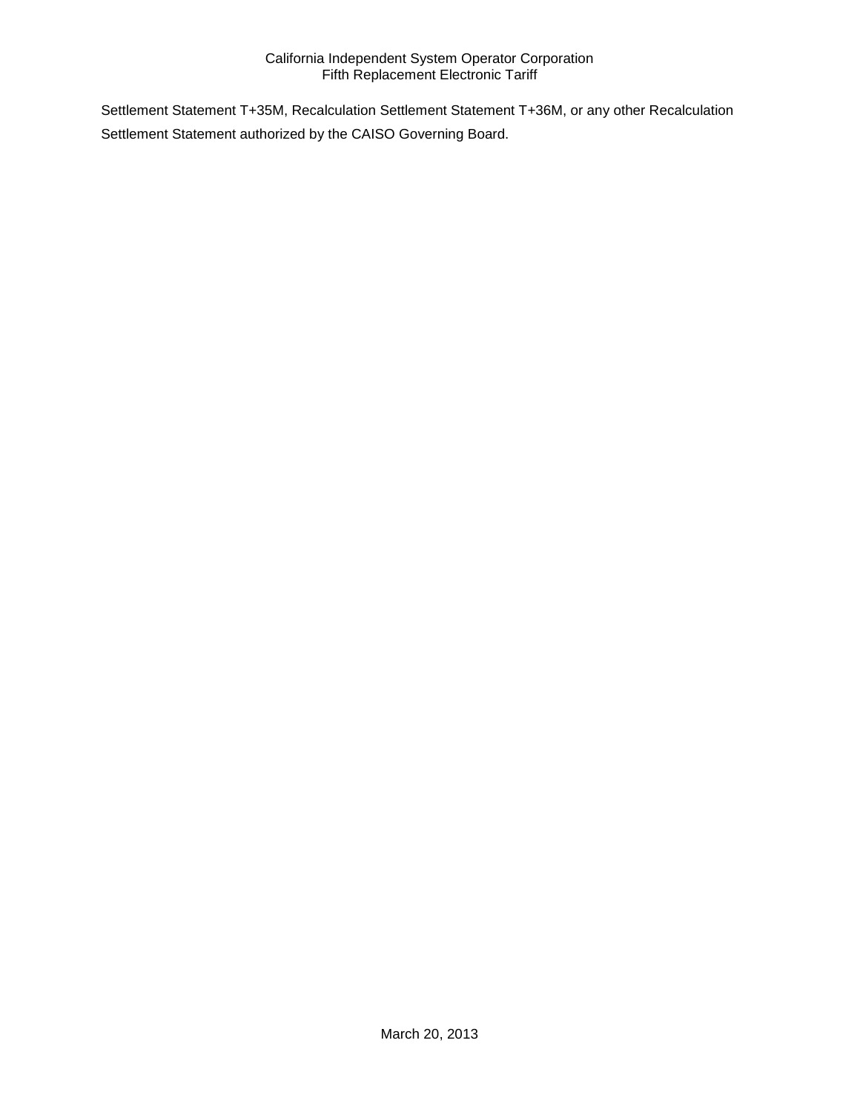Settlement Statement T+35M, Recalculation Settlement Statement T+36M, or any other Recalculation Settlement Statement authorized by the CAISO Governing Board.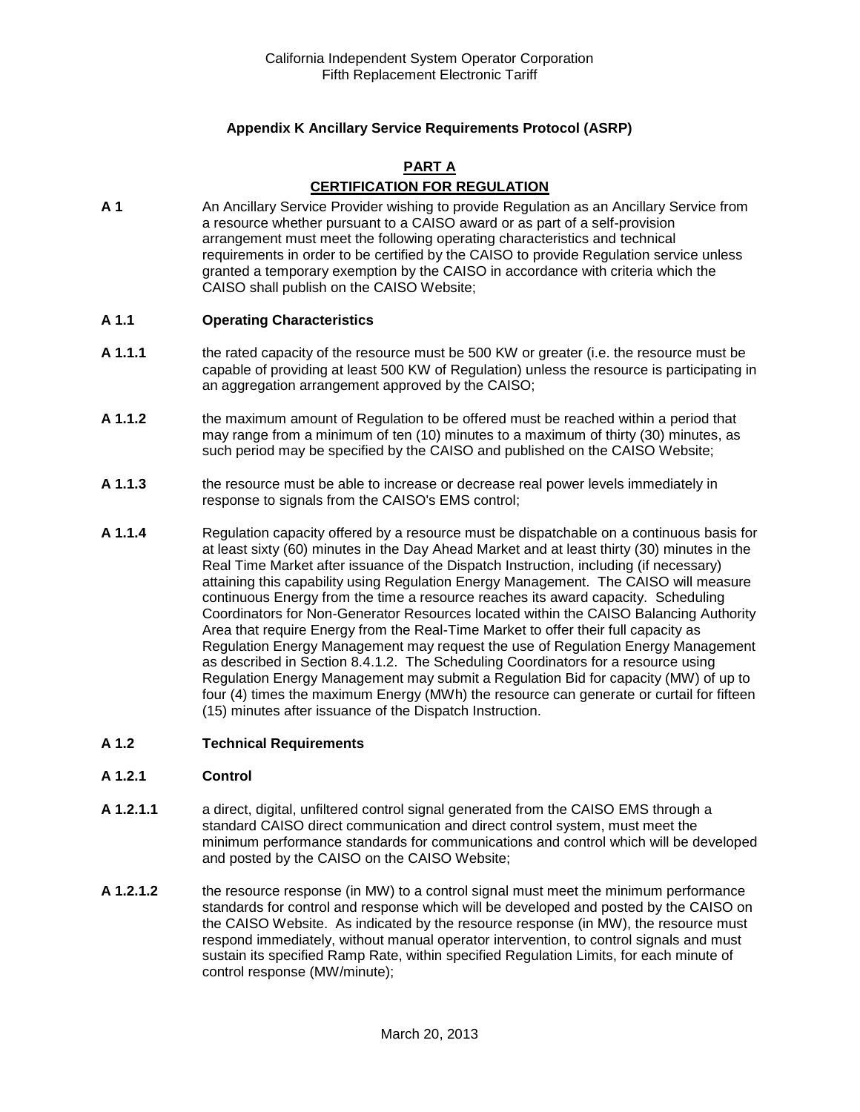## **Appendix K Ancillary Service Requirements Protocol (ASRP)**

### **PART A CERTIFICATION FOR REGULATION**

**A 1** An Ancillary Service Provider wishing to provide Regulation as an Ancillary Service from a resource whether pursuant to a CAISO award or as part of a self-provision arrangement must meet the following operating characteristics and technical requirements in order to be certified by the CAISO to provide Regulation service unless granted a temporary exemption by the CAISO in accordance with criteria which the CAISO shall publish on the CAISO Website;

#### **A 1.1 Operating Characteristics**

- **A 1.1.1** the rated capacity of the resource must be 500 KW or greater (i.e. the resource must be capable of providing at least 500 KW of Regulation) unless the resource is participating in an aggregation arrangement approved by the CAISO;
- **A 1.1.2** the maximum amount of Regulation to be offered must be reached within a period that may range from a minimum of ten (10) minutes to a maximum of thirty (30) minutes, as such period may be specified by the CAISO and published on the CAISO Website;
- **A 1.1.3** the resource must be able to increase or decrease real power levels immediately in response to signals from the CAISO's EMS control;
- **A 1.1.4** Regulation capacity offered by a resource must be dispatchable on a continuous basis for at least sixty (60) minutes in the Day Ahead Market and at least thirty (30) minutes in the Real Time Market after issuance of the Dispatch Instruction, including (if necessary) attaining this capability using Regulation Energy Management. The CAISO will measure continuous Energy from the time a resource reaches its award capacity. Scheduling Coordinators for Non-Generator Resources located within the CAISO Balancing Authority Area that require Energy from the Real-Time Market to offer their full capacity as Regulation Energy Management may request the use of Regulation Energy Management as described in Section 8.4.1.2. The Scheduling Coordinators for a resource using Regulation Energy Management may submit a Regulation Bid for capacity (MW) of up to four (4) times the maximum Energy (MWh) the resource can generate or curtail for fifteen (15) minutes after issuance of the Dispatch Instruction.

#### **A 1.2 Technical Requirements**

#### **A 1.2.1 Control**

- **A 1.2.1.1** a direct, digital, unfiltered control signal generated from the CAISO EMS through a standard CAISO direct communication and direct control system, must meet the minimum performance standards for communications and control which will be developed and posted by the CAISO on the CAISO Website;
- **A 1.2.1.2** the resource response (in MW) to a control signal must meet the minimum performance standards for control and response which will be developed and posted by the CAISO on the CAISO Website. As indicated by the resource response (in MW), the resource must respond immediately, without manual operator intervention, to control signals and must sustain its specified Ramp Rate, within specified Regulation Limits, for each minute of control response (MW/minute);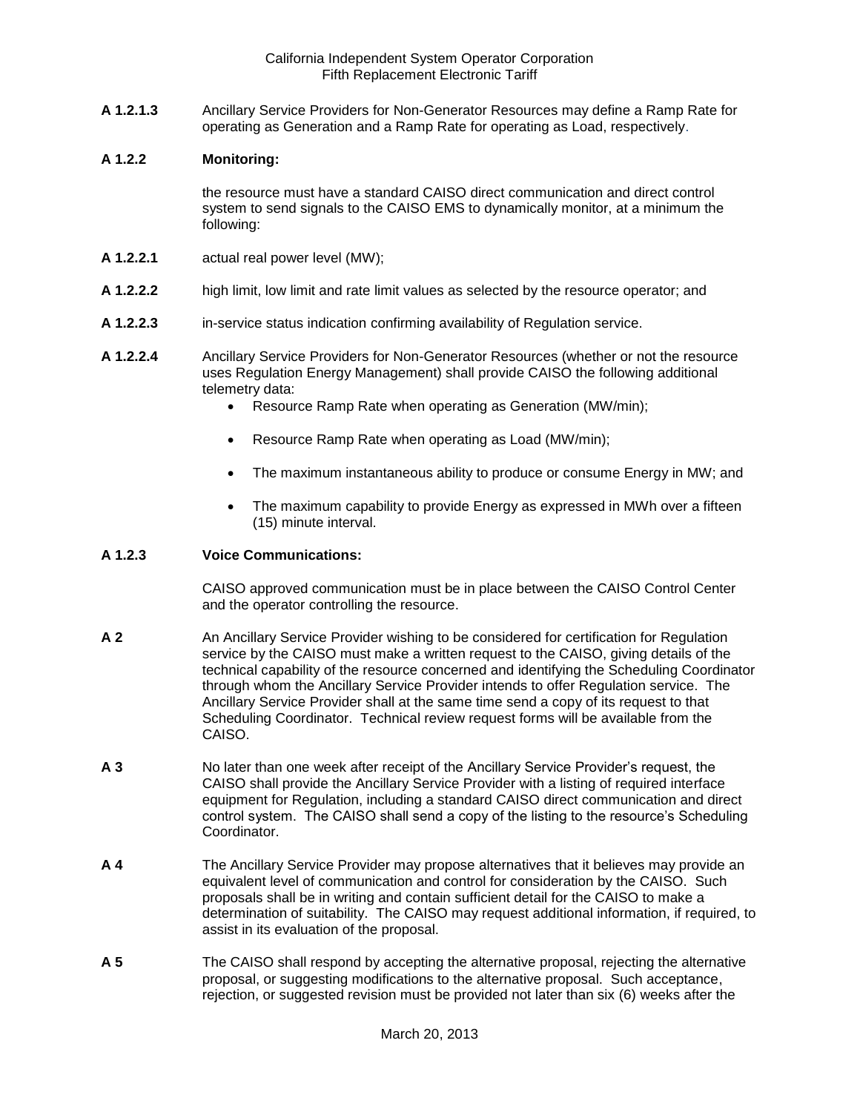**A 1.2.1.3** Ancillary Service Providers for Non-Generator Resources may define a Ramp Rate for operating as Generation and a Ramp Rate for operating as Load, respectively.

#### **A 1.2.2 Monitoring:**

the resource must have a standard CAISO direct communication and direct control system to send signals to the CAISO EMS to dynamically monitor, at a minimum the following:

- **A 1.2.2.1** actual real power level (MW);
- **A 1.2.2.2** high limit, low limit and rate limit values as selected by the resource operator; and
- **A 1.2.2.3** in-service status indication confirming availability of Regulation service.
- **A 1.2.2.4** Ancillary Service Providers for Non-Generator Resources (whether or not the resource uses Regulation Energy Management) shall provide CAISO the following additional telemetry data:
	- Resource Ramp Rate when operating as Generation (MW/min);
	- Resource Ramp Rate when operating as Load (MW/min);
	- The maximum instantaneous ability to produce or consume Energy in MW; and
	- The maximum capability to provide Energy as expressed in MWh over a fifteen (15) minute interval.

### **A 1.2.3 Voice Communications:**

CAISO approved communication must be in place between the CAISO Control Center and the operator controlling the resource.

- **A 2** An Ancillary Service Provider wishing to be considered for certification for Regulation service by the CAISO must make a written request to the CAISO, giving details of the technical capability of the resource concerned and identifying the Scheduling Coordinator through whom the Ancillary Service Provider intends to offer Regulation service. The Ancillary Service Provider shall at the same time send a copy of its request to that Scheduling Coordinator. Technical review request forms will be available from the CAISO.
- **A 3** No later than one week after receipt of the Ancillary Service Provider's request, the CAISO shall provide the Ancillary Service Provider with a listing of required interface equipment for Regulation, including a standard CAISO direct communication and direct control system. The CAISO shall send a copy of the listing to the resource's Scheduling Coordinator.
- **A 4** The Ancillary Service Provider may propose alternatives that it believes may provide an equivalent level of communication and control for consideration by the CAISO. Such proposals shall be in writing and contain sufficient detail for the CAISO to make a determination of suitability. The CAISO may request additional information, if required, to assist in its evaluation of the proposal.
- **A 5** The CAISO shall respond by accepting the alternative proposal, rejecting the alternative proposal, or suggesting modifications to the alternative proposal. Such acceptance, rejection, or suggested revision must be provided not later than six (6) weeks after the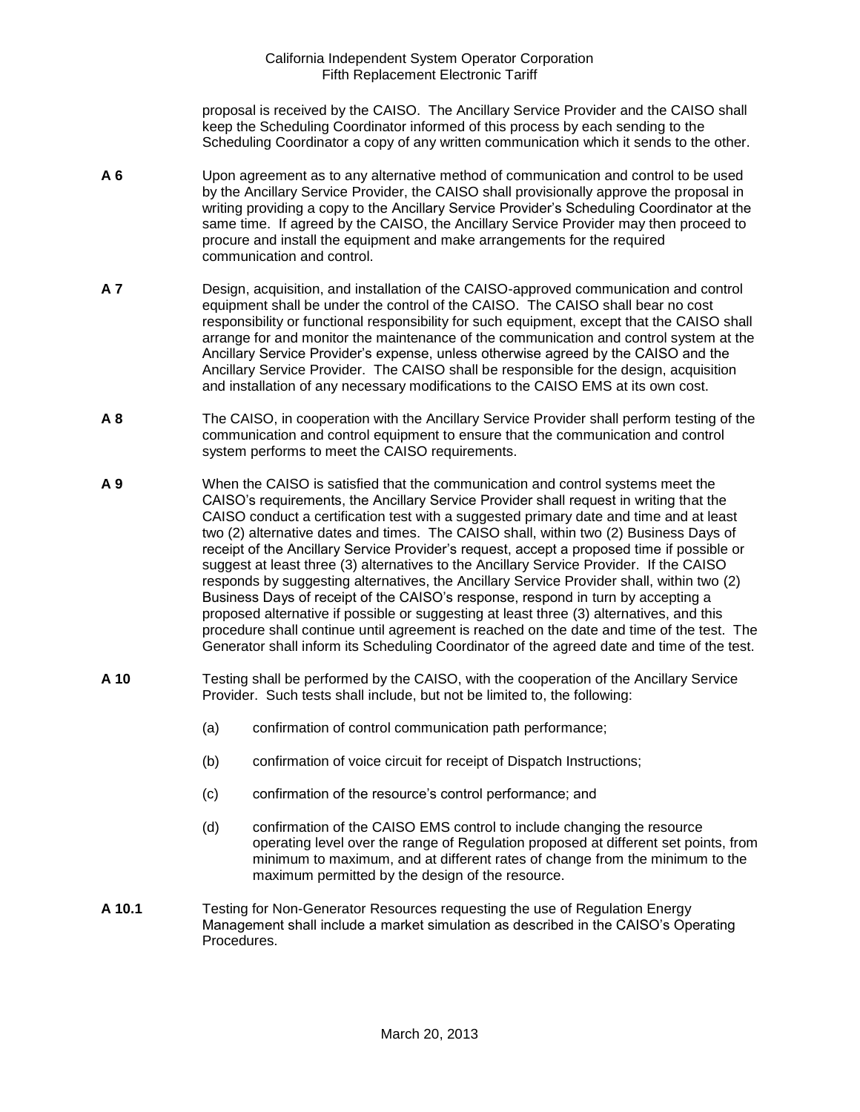proposal is received by the CAISO. The Ancillary Service Provider and the CAISO shall keep the Scheduling Coordinator informed of this process by each sending to the Scheduling Coordinator a copy of any written communication which it sends to the other.

- **A 6** Upon agreement as to any alternative method of communication and control to be used by the Ancillary Service Provider, the CAISO shall provisionally approve the proposal in writing providing a copy to the Ancillary Service Provider's Scheduling Coordinator at the same time. If agreed by the CAISO, the Ancillary Service Provider may then proceed to procure and install the equipment and make arrangements for the required communication and control.
- **A 7** Design, acquisition, and installation of the CAISO-approved communication and control equipment shall be under the control of the CAISO. The CAISO shall bear no cost responsibility or functional responsibility for such equipment, except that the CAISO shall arrange for and monitor the maintenance of the communication and control system at the Ancillary Service Provider's expense, unless otherwise agreed by the CAISO and the Ancillary Service Provider. The CAISO shall be responsible for the design, acquisition and installation of any necessary modifications to the CAISO EMS at its own cost.
- **A 8** The CAISO, in cooperation with the Ancillary Service Provider shall perform testing of the communication and control equipment to ensure that the communication and control system performs to meet the CAISO requirements.
- **A 9** When the CAISO is satisfied that the communication and control systems meet the CAISO's requirements, the Ancillary Service Provider shall request in writing that the CAISO conduct a certification test with a suggested primary date and time and at least two (2) alternative dates and times. The CAISO shall, within two (2) Business Days of receipt of the Ancillary Service Provider's request, accept a proposed time if possible or suggest at least three (3) alternatives to the Ancillary Service Provider. If the CAISO responds by suggesting alternatives, the Ancillary Service Provider shall, within two (2) Business Days of receipt of the CAISO's response, respond in turn by accepting a proposed alternative if possible or suggesting at least three (3) alternatives, and this procedure shall continue until agreement is reached on the date and time of the test. The Generator shall inform its Scheduling Coordinator of the agreed date and time of the test.
- **A 10** Testing shall be performed by the CAISO, with the cooperation of the Ancillary Service Provider. Such tests shall include, but not be limited to, the following:
	- (a) confirmation of control communication path performance;
	- (b) confirmation of voice circuit for receipt of Dispatch Instructions;
	- (c) confirmation of the resource's control performance; and
	- (d) confirmation of the CAISO EMS control to include changing the resource operating level over the range of Regulation proposed at different set points, from minimum to maximum, and at different rates of change from the minimum to the maximum permitted by the design of the resource.
- **A 10.1** Testing for Non-Generator Resources requesting the use of Regulation Energy Management shall include a market simulation as described in the CAISO's Operating Procedures.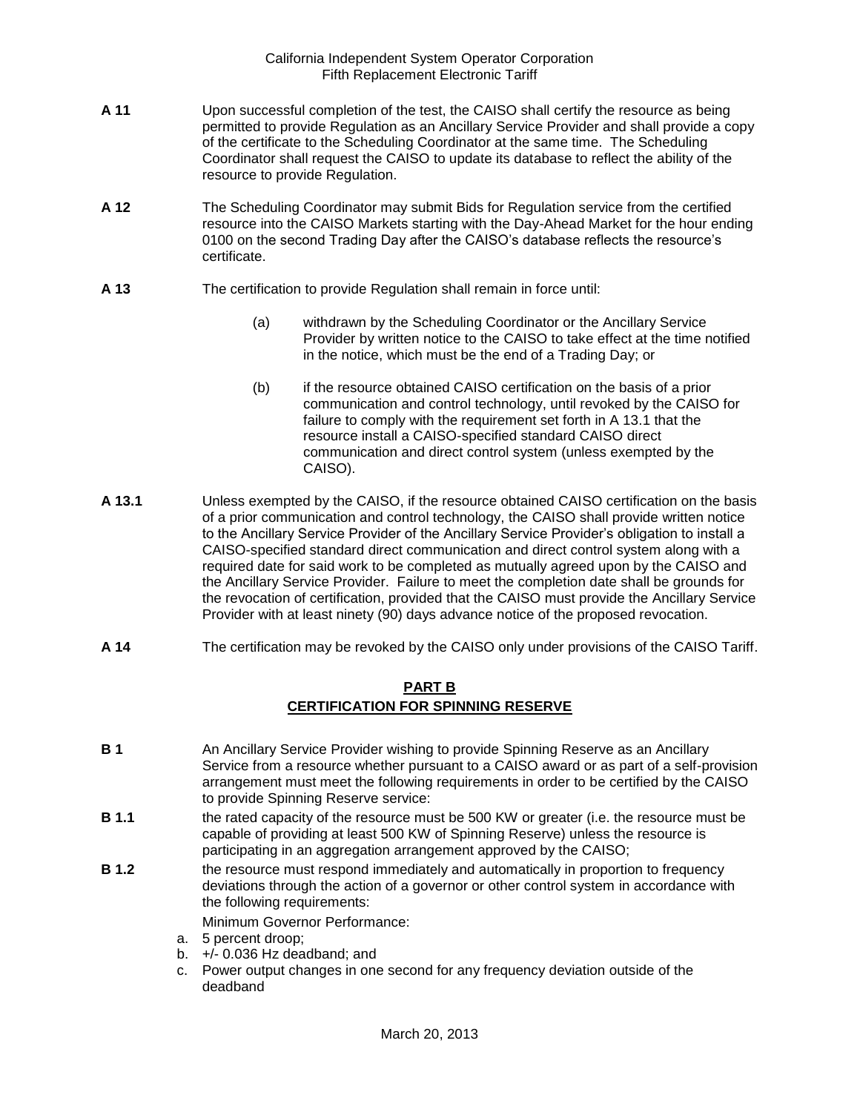- **A 11** Upon successful completion of the test, the CAISO shall certify the resource as being permitted to provide Regulation as an Ancillary Service Provider and shall provide a copy of the certificate to the Scheduling Coordinator at the same time. The Scheduling Coordinator shall request the CAISO to update its database to reflect the ability of the resource to provide Regulation.
- **A 12** The Scheduling Coordinator may submit Bids for Regulation service from the certified resource into the CAISO Markets starting with the Day-Ahead Market for the hour ending 0100 on the second Trading Day after the CAISO's database reflects the resource's certificate.
- **A 13** The certification to provide Regulation shall remain in force until:
	- (a) withdrawn by the Scheduling Coordinator or the Ancillary Service Provider by written notice to the CAISO to take effect at the time notified in the notice, which must be the end of a Trading Day; or
	- (b) if the resource obtained CAISO certification on the basis of a prior communication and control technology, until revoked by the CAISO for failure to comply with the requirement set forth in A 13.1 that the resource install a CAISO-specified standard CAISO direct communication and direct control system (unless exempted by the CAISO).
- **A 13.1** Unless exempted by the CAISO, if the resource obtained CAISO certification on the basis of a prior communication and control technology, the CAISO shall provide written notice to the Ancillary Service Provider of the Ancillary Service Provider's obligation to install a CAISO-specified standard direct communication and direct control system along with a required date for said work to be completed as mutually agreed upon by the CAISO and the Ancillary Service Provider. Failure to meet the completion date shall be grounds for the revocation of certification, provided that the CAISO must provide the Ancillary Service Provider with at least ninety (90) days advance notice of the proposed revocation.
- **A 14** The certification may be revoked by the CAISO only under provisions of the CAISO Tariff.

## **PART B CERTIFICATION FOR SPINNING RESERVE**

- **B 1** An Ancillary Service Provider wishing to provide Spinning Reserve as an Ancillary Service from a resource whether pursuant to a CAISO award or as part of a self-provision arrangement must meet the following requirements in order to be certified by the CAISO to provide Spinning Reserve service:
- **B 1.1** the rated capacity of the resource must be 500 KW or greater (i.e. the resource must be capable of providing at least 500 KW of Spinning Reserve) unless the resource is participating in an aggregation arrangement approved by the CAISO;
- **B 1.2** the resource must respond immediately and automatically in proportion to frequency deviations through the action of a governor or other control system in accordance with the following requirements:

Minimum Governor Performance:

- a. 5 percent droop;
- b.  $+/- 0.036$  Hz deadband; and
- c. Power output changes in one second for any frequency deviation outside of the deadband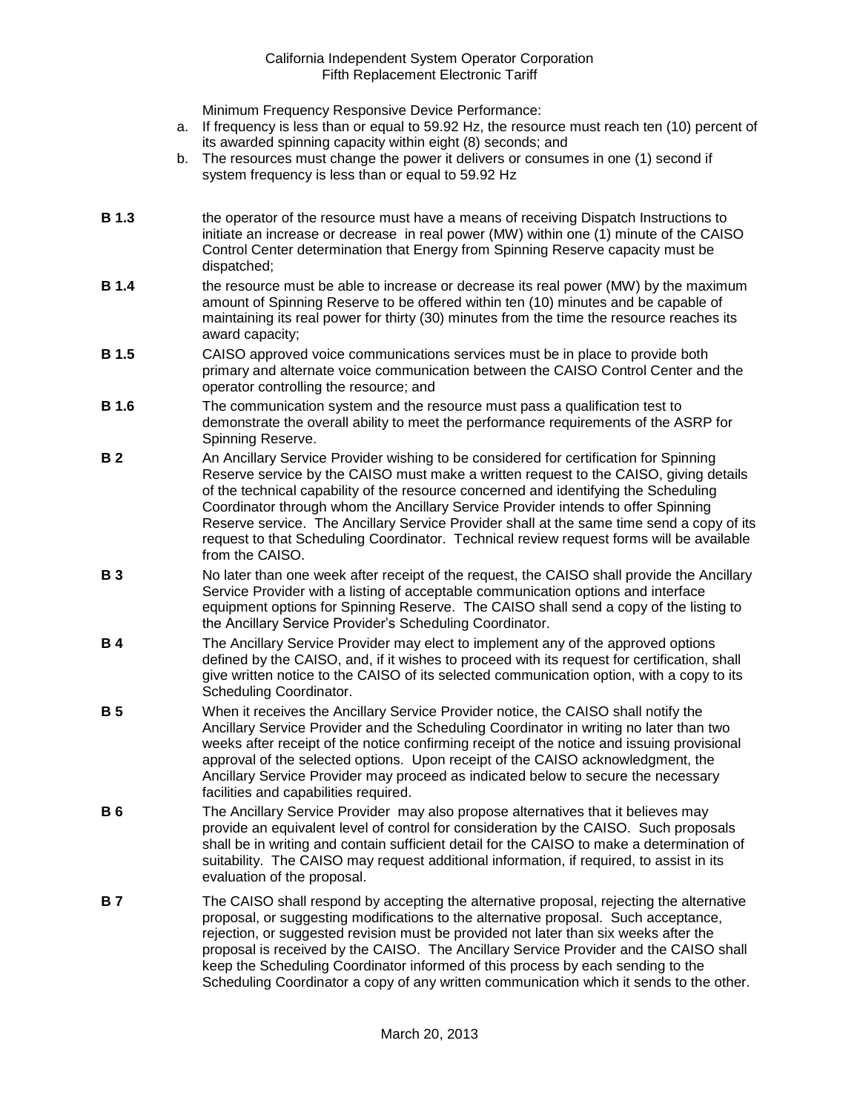Minimum Frequency Responsive Device Performance:

- a. If frequency is less than or equal to 59.92 Hz, the resource must reach ten (10) percent of its awarded spinning capacity within eight (8) seconds; and
- b. The resources must change the power it delivers or consumes in one (1) second if system frequency is less than or equal to 59.92 Hz
- **B 1.3** the operator of the resource must have a means of receiving Dispatch Instructions to initiate an increase or decrease in real power (MW) within one (1) minute of the CAISO Control Center determination that Energy from Spinning Reserve capacity must be dispatched;
- **B 1.4** the resource must be able to increase or decrease its real power (MW) by the maximum amount of Spinning Reserve to be offered within ten (10) minutes and be capable of maintaining its real power for thirty (30) minutes from the time the resource reaches its award capacity;
- **B 1.5** CAISO approved voice communications services must be in place to provide both primary and alternate voice communication between the CAISO Control Center and the operator controlling the resource; and
- **B 1.6** The communication system and the resource must pass a qualification test to demonstrate the overall ability to meet the performance requirements of the ASRP for Spinning Reserve.
- **B 2** An Ancillary Service Provider wishing to be considered for certification for Spinning Reserve service by the CAISO must make a written request to the CAISO, giving details of the technical capability of the resource concerned and identifying the Scheduling Coordinator through whom the Ancillary Service Provider intends to offer Spinning Reserve service. The Ancillary Service Provider shall at the same time send a copy of its request to that Scheduling Coordinator. Technical review request forms will be available from the CAISO.
- **B 3** No later than one week after receipt of the request, the CAISO shall provide the Ancillary Service Provider with a listing of acceptable communication options and interface equipment options for Spinning Reserve. The CAISO shall send a copy of the listing to the Ancillary Service Provider's Scheduling Coordinator.
- **B 4** The Ancillary Service Provider may elect to implement any of the approved options defined by the CAISO, and, if it wishes to proceed with its request for certification, shall give written notice to the CAISO of its selected communication option, with a copy to its Scheduling Coordinator.
- **B 5** When it receives the Ancillary Service Provider notice, the CAISO shall notify the Ancillary Service Provider and the Scheduling Coordinator in writing no later than two weeks after receipt of the notice confirming receipt of the notice and issuing provisional approval of the selected options. Upon receipt of the CAISO acknowledgment, the Ancillary Service Provider may proceed as indicated below to secure the necessary facilities and capabilities required.
- **B 6** The Ancillary Service Provider may also propose alternatives that it believes may provide an equivalent level of control for consideration by the CAISO. Such proposals shall be in writing and contain sufficient detail for the CAISO to make a determination of suitability. The CAISO may request additional information, if required, to assist in its evaluation of the proposal.
- **B 7** The CAISO shall respond by accepting the alternative proposal, rejecting the alternative proposal, or suggesting modifications to the alternative proposal. Such acceptance, rejection, or suggested revision must be provided not later than six weeks after the proposal is received by the CAISO. The Ancillary Service Provider and the CAISO shall keep the Scheduling Coordinator informed of this process by each sending to the Scheduling Coordinator a copy of any written communication which it sends to the other.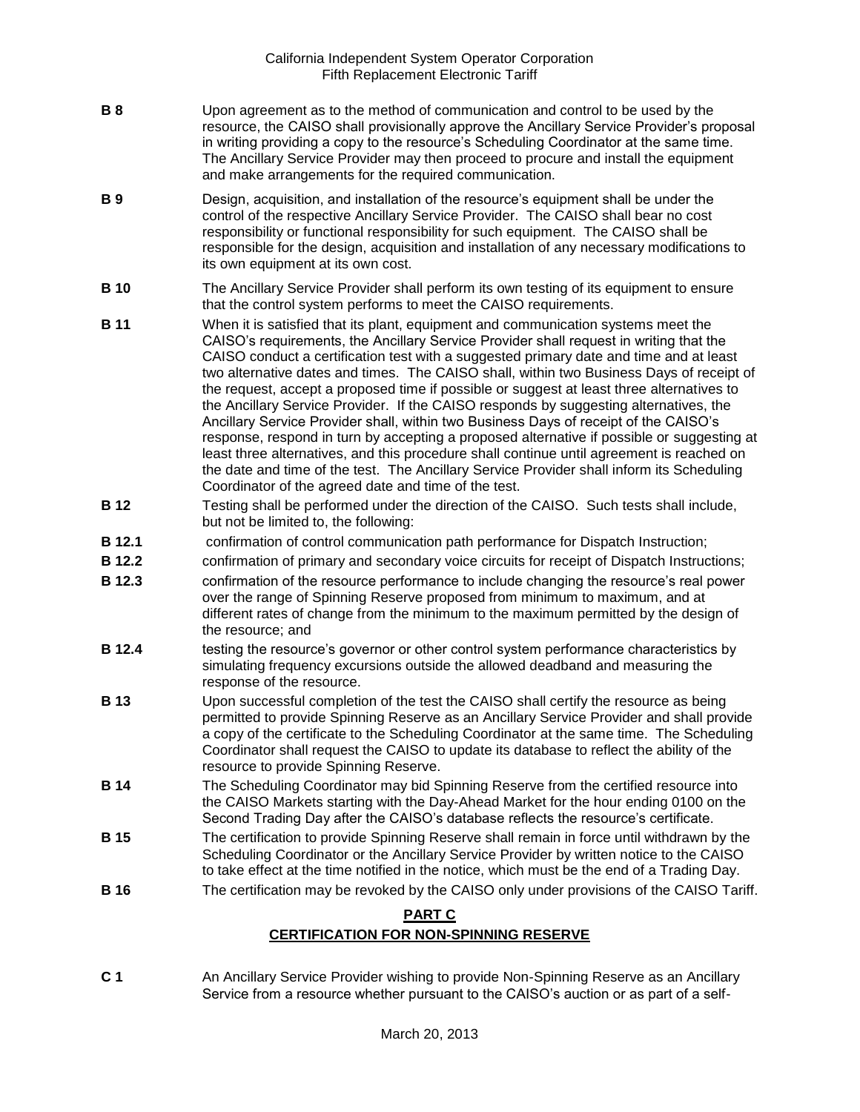- **B 8** Upon agreement as to the method of communication and control to be used by the resource, the CAISO shall provisionally approve the Ancillary Service Provider's proposal in writing providing a copy to the resource's Scheduling Coordinator at the same time. The Ancillary Service Provider may then proceed to procure and install the equipment and make arrangements for the required communication.
- **B 9** Design, acquisition, and installation of the resource's equipment shall be under the control of the respective Ancillary Service Provider. The CAISO shall bear no cost responsibility or functional responsibility for such equipment. The CAISO shall be responsible for the design, acquisition and installation of any necessary modifications to its own equipment at its own cost.
- **B 10** The Ancillary Service Provider shall perform its own testing of its equipment to ensure that the control system performs to meet the CAISO requirements.
- **B 11** When it is satisfied that its plant, equipment and communication systems meet the CAISO's requirements, the Ancillary Service Provider shall request in writing that the CAISO conduct a certification test with a suggested primary date and time and at least two alternative dates and times. The CAISO shall, within two Business Days of receipt of the request, accept a proposed time if possible or suggest at least three alternatives to the Ancillary Service Provider. If the CAISO responds by suggesting alternatives, the Ancillary Service Provider shall, within two Business Days of receipt of the CAISO's response, respond in turn by accepting a proposed alternative if possible or suggesting at least three alternatives, and this procedure shall continue until agreement is reached on the date and time of the test. The Ancillary Service Provider shall inform its Scheduling Coordinator of the agreed date and time of the test.
- **B 12** Testing shall be performed under the direction of the CAISO. Such tests shall include, but not be limited to, the following:
- **B 12.1** confirmation of control communication path performance for Dispatch Instruction;
- **B 12.2** confirmation of primary and secondary voice circuits for receipt of Dispatch Instructions;
- **B 12.3** confirmation of the resource performance to include changing the resource's real power over the range of Spinning Reserve proposed from minimum to maximum, and at different rates of change from the minimum to the maximum permitted by the design of the resource; and
- **B 12.4** testing the resource's governor or other control system performance characteristics by simulating frequency excursions outside the allowed deadband and measuring the response of the resource.
- **B 13** Upon successful completion of the test the CAISO shall certify the resource as being permitted to provide Spinning Reserve as an Ancillary Service Provider and shall provide a copy of the certificate to the Scheduling Coordinator at the same time. The Scheduling Coordinator shall request the CAISO to update its database to reflect the ability of the resource to provide Spinning Reserve.
- **B 14** The Scheduling Coordinator may bid Spinning Reserve from the certified resource into the CAISO Markets starting with the Day-Ahead Market for the hour ending 0100 on the Second Trading Day after the CAISO's database reflects the resource's certificate.
- **B 15** The certification to provide Spinning Reserve shall remain in force until withdrawn by the Scheduling Coordinator or the Ancillary Service Provider by written notice to the CAISO to take effect at the time notified in the notice, which must be the end of a Trading Day.
- **B 16** The certification may be revoked by the CAISO only under provisions of the CAISO Tariff.

## **PART C**

## **CERTIFICATION FOR NON-SPINNING RESERVE**

**C 1** An Ancillary Service Provider wishing to provide Non-Spinning Reserve as an Ancillary Service from a resource whether pursuant to the CAISO's auction or as part of a self-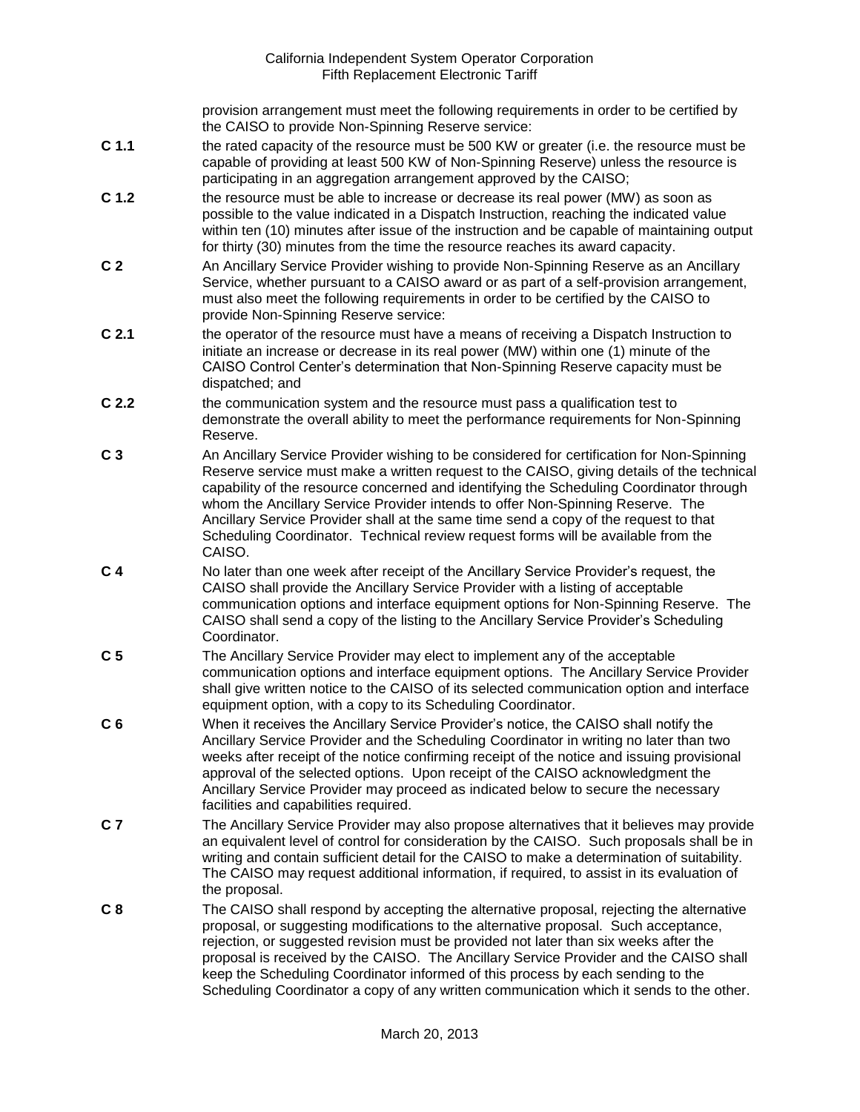provision arrangement must meet the following requirements in order to be certified by the CAISO to provide Non-Spinning Reserve service:

- **C 1.1** the rated capacity of the resource must be 500 KW or greater (i.e. the resource must be capable of providing at least 500 KW of Non-Spinning Reserve) unless the resource is participating in an aggregation arrangement approved by the CAISO;
- **C 1.2** the resource must be able to increase or decrease its real power (MW) as soon as possible to the value indicated in a Dispatch Instruction, reaching the indicated value within ten (10) minutes after issue of the instruction and be capable of maintaining output for thirty (30) minutes from the time the resource reaches its award capacity.
- **C 2** An Ancillary Service Provider wishing to provide Non-Spinning Reserve as an Ancillary Service, whether pursuant to a CAISO award or as part of a self-provision arrangement, must also meet the following requirements in order to be certified by the CAISO to provide Non-Spinning Reserve service:
- **C 2.1** the operator of the resource must have a means of receiving a Dispatch Instruction to initiate an increase or decrease in its real power (MW) within one (1) minute of the CAISO Control Center's determination that Non-Spinning Reserve capacity must be dispatched; and
- **C 2.2** the communication system and the resource must pass a qualification test to demonstrate the overall ability to meet the performance requirements for Non-Spinning Reserve.
- **C 3** An Ancillary Service Provider wishing to be considered for certification for Non-Spinning Reserve service must make a written request to the CAISO, giving details of the technical capability of the resource concerned and identifying the Scheduling Coordinator through whom the Ancillary Service Provider intends to offer Non-Spinning Reserve. The Ancillary Service Provider shall at the same time send a copy of the request to that Scheduling Coordinator. Technical review request forms will be available from the CAISO.
- **C 4** No later than one week after receipt of the Ancillary Service Provider's request, the CAISO shall provide the Ancillary Service Provider with a listing of acceptable communication options and interface equipment options for Non-Spinning Reserve. The CAISO shall send a copy of the listing to the Ancillary Service Provider's Scheduling Coordinator.
- **C 5** The Ancillary Service Provider may elect to implement any of the acceptable communication options and interface equipment options. The Ancillary Service Provider shall give written notice to the CAISO of its selected communication option and interface equipment option, with a copy to its Scheduling Coordinator.
- **C 6** When it receives the Ancillary Service Provider's notice, the CAISO shall notify the Ancillary Service Provider and the Scheduling Coordinator in writing no later than two weeks after receipt of the notice confirming receipt of the notice and issuing provisional approval of the selected options. Upon receipt of the CAISO acknowledgment the Ancillary Service Provider may proceed as indicated below to secure the necessary facilities and capabilities required.
- **C 7** The Ancillary Service Provider may also propose alternatives that it believes may provide an equivalent level of control for consideration by the CAISO. Such proposals shall be in writing and contain sufficient detail for the CAISO to make a determination of suitability. The CAISO may request additional information, if required, to assist in its evaluation of the proposal.
- **C 8** The CAISO shall respond by accepting the alternative proposal, rejecting the alternative proposal, or suggesting modifications to the alternative proposal. Such acceptance, rejection, or suggested revision must be provided not later than six weeks after the proposal is received by the CAISO. The Ancillary Service Provider and the CAISO shall keep the Scheduling Coordinator informed of this process by each sending to the Scheduling Coordinator a copy of any written communication which it sends to the other.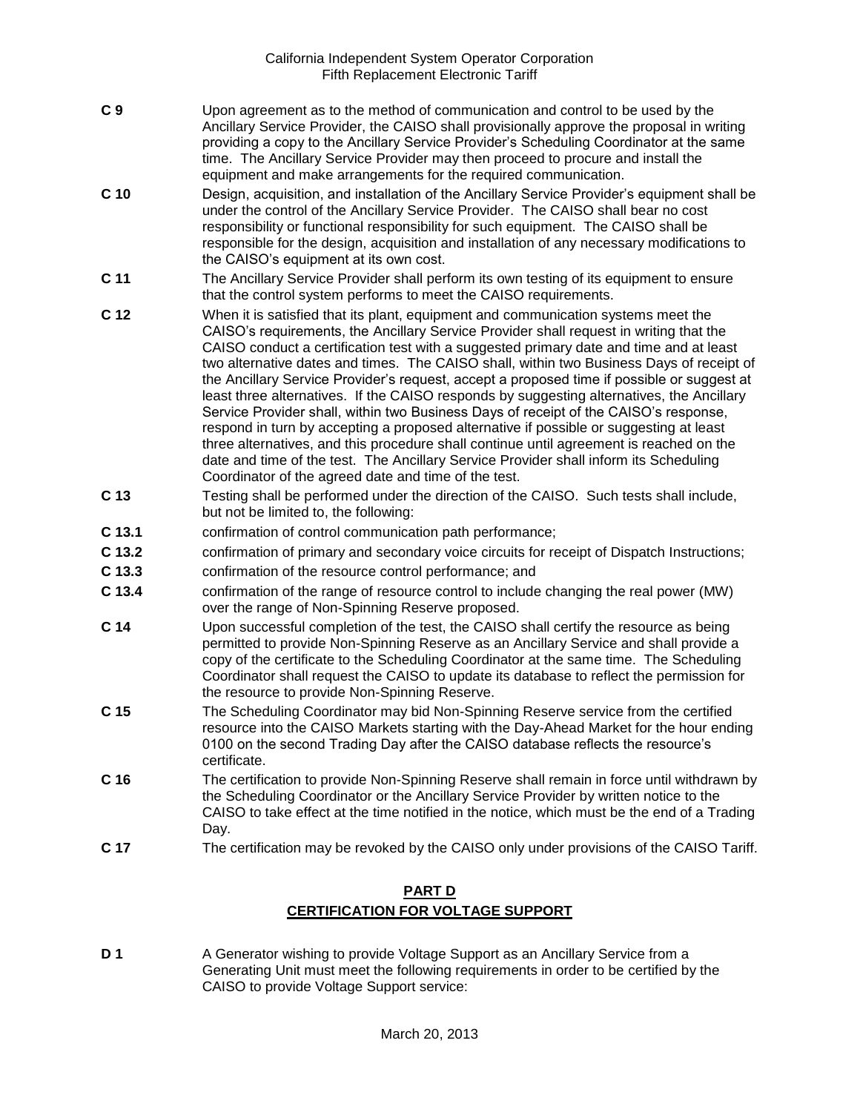- **C 9** Upon agreement as to the method of communication and control to be used by the Ancillary Service Provider, the CAISO shall provisionally approve the proposal in writing providing a copy to the Ancillary Service Provider's Scheduling Coordinator at the same time. The Ancillary Service Provider may then proceed to procure and install the equipment and make arrangements for the required communication.
- **C 10** Design, acquisition, and installation of the Ancillary Service Provider's equipment shall be under the control of the Ancillary Service Provider. The CAISO shall bear no cost responsibility or functional responsibility for such equipment. The CAISO shall be responsible for the design, acquisition and installation of any necessary modifications to the CAISO's equipment at its own cost.
- **C 11** The Ancillary Service Provider shall perform its own testing of its equipment to ensure that the control system performs to meet the CAISO requirements.
- **C 12** When it is satisfied that its plant, equipment and communication systems meet the CAISO's requirements, the Ancillary Service Provider shall request in writing that the CAISO conduct a certification test with a suggested primary date and time and at least two alternative dates and times. The CAISO shall, within two Business Days of receipt of the Ancillary Service Provider's request, accept a proposed time if possible or suggest at least three alternatives. If the CAISO responds by suggesting alternatives, the Ancillary Service Provider shall, within two Business Days of receipt of the CAISO's response, respond in turn by accepting a proposed alternative if possible or suggesting at least three alternatives, and this procedure shall continue until agreement is reached on the date and time of the test. The Ancillary Service Provider shall inform its Scheduling Coordinator of the agreed date and time of the test.
- **C 13** Testing shall be performed under the direction of the CAISO. Such tests shall include, but not be limited to, the following:
- **C 13.1** confirmation of control communication path performance;
- **C 13.2** confirmation of primary and secondary voice circuits for receipt of Dispatch Instructions;
- **C 13.3** confirmation of the resource control performance; and
- **C 13.4** confirmation of the range of resource control to include changing the real power (MW) over the range of Non-Spinning Reserve proposed.
- **C 14** Upon successful completion of the test, the CAISO shall certify the resource as being permitted to provide Non-Spinning Reserve as an Ancillary Service and shall provide a copy of the certificate to the Scheduling Coordinator at the same time. The Scheduling Coordinator shall request the CAISO to update its database to reflect the permission for the resource to provide Non-Spinning Reserve.
- **C 15** The Scheduling Coordinator may bid Non-Spinning Reserve service from the certified resource into the CAISO Markets starting with the Day-Ahead Market for the hour ending 0100 on the second Trading Day after the CAISO database reflects the resource's certificate.
- **C 16** The certification to provide Non-Spinning Reserve shall remain in force until withdrawn by the Scheduling Coordinator or the Ancillary Service Provider by written notice to the CAISO to take effect at the time notified in the notice, which must be the end of a Trading Day.
- **C 17** The certification may be revoked by the CAISO only under provisions of the CAISO Tariff.

## **PART D CERTIFICATION FOR VOLTAGE SUPPORT**

**D 1** A Generator wishing to provide Voltage Support as an Ancillary Service from a Generating Unit must meet the following requirements in order to be certified by the CAISO to provide Voltage Support service: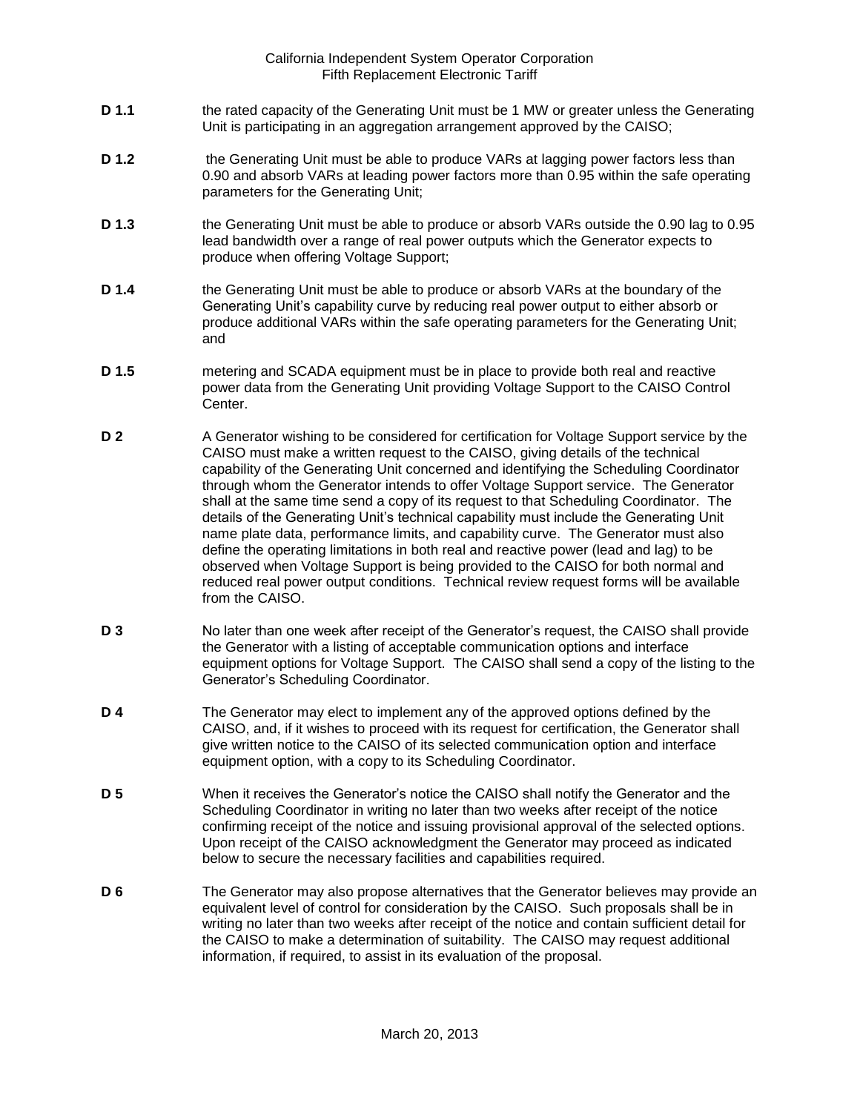- **D 1.1** the rated capacity of the Generating Unit must be 1 MW or greater unless the Generating Unit is participating in an aggregation arrangement approved by the CAISO;
- **D 1.2** the Generating Unit must be able to produce VARs at lagging power factors less than 0.90 and absorb VARs at leading power factors more than 0.95 within the safe operating parameters for the Generating Unit;
- **D 1.3** the Generating Unit must be able to produce or absorb VARs outside the 0.90 lag to 0.95 lead bandwidth over a range of real power outputs which the Generator expects to produce when offering Voltage Support;
- **D 1.4** the Generating Unit must be able to produce or absorb VARs at the boundary of the Generating Unit's capability curve by reducing real power output to either absorb or produce additional VARs within the safe operating parameters for the Generating Unit; and
- **D 1.5** metering and SCADA equipment must be in place to provide both real and reactive power data from the Generating Unit providing Voltage Support to the CAISO Control Center.
- **D 2** A Generator wishing to be considered for certification for Voltage Support service by the CAISO must make a written request to the CAISO, giving details of the technical capability of the Generating Unit concerned and identifying the Scheduling Coordinator through whom the Generator intends to offer Voltage Support service. The Generator shall at the same time send a copy of its request to that Scheduling Coordinator. The details of the Generating Unit's technical capability must include the Generating Unit name plate data, performance limits, and capability curve. The Generator must also define the operating limitations in both real and reactive power (lead and lag) to be observed when Voltage Support is being provided to the CAISO for both normal and reduced real power output conditions. Technical review request forms will be available from the CAISO.
- **D 3** No later than one week after receipt of the Generator's request, the CAISO shall provide the Generator with a listing of acceptable communication options and interface equipment options for Voltage Support. The CAISO shall send a copy of the listing to the Generator's Scheduling Coordinator.
- **D 4** The Generator may elect to implement any of the approved options defined by the CAISO, and, if it wishes to proceed with its request for certification, the Generator shall give written notice to the CAISO of its selected communication option and interface equipment option, with a copy to its Scheduling Coordinator.
- **D 5** When it receives the Generator's notice the CAISO shall notify the Generator and the Scheduling Coordinator in writing no later than two weeks after receipt of the notice confirming receipt of the notice and issuing provisional approval of the selected options. Upon receipt of the CAISO acknowledgment the Generator may proceed as indicated below to secure the necessary facilities and capabilities required.
- **D 6** The Generator may also propose alternatives that the Generator believes may provide an equivalent level of control for consideration by the CAISO. Such proposals shall be in writing no later than two weeks after receipt of the notice and contain sufficient detail for the CAISO to make a determination of suitability. The CAISO may request additional information, if required, to assist in its evaluation of the proposal.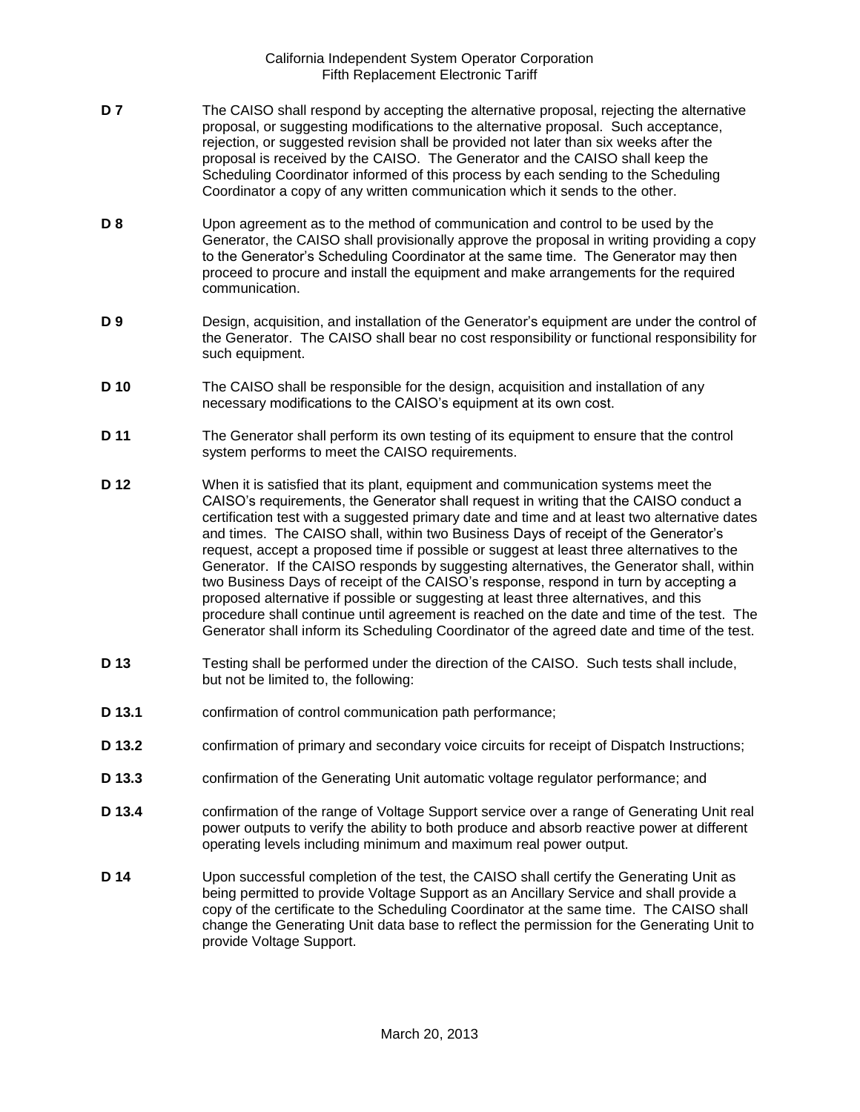- **D 7** The CAISO shall respond by accepting the alternative proposal, rejecting the alternative proposal, or suggesting modifications to the alternative proposal. Such acceptance, rejection, or suggested revision shall be provided not later than six weeks after the proposal is received by the CAISO. The Generator and the CAISO shall keep the Scheduling Coordinator informed of this process by each sending to the Scheduling Coordinator a copy of any written communication which it sends to the other.
- **D 8** Upon agreement as to the method of communication and control to be used by the Generator, the CAISO shall provisionally approve the proposal in writing providing a copy to the Generator's Scheduling Coordinator at the same time. The Generator may then proceed to procure and install the equipment and make arrangements for the required communication.
- **D 9** Design, acquisition, and installation of the Generator's equipment are under the control of the Generator. The CAISO shall bear no cost responsibility or functional responsibility for such equipment.
- **D 10** The CAISO shall be responsible for the design, acquisition and installation of any necessary modifications to the CAISO's equipment at its own cost.
- **D 11** The Generator shall perform its own testing of its equipment to ensure that the control system performs to meet the CAISO requirements.
- **D 12** When it is satisfied that its plant, equipment and communication systems meet the CAISO's requirements, the Generator shall request in writing that the CAISO conduct a certification test with a suggested primary date and time and at least two alternative dates and times. The CAISO shall, within two Business Days of receipt of the Generator's request, accept a proposed time if possible or suggest at least three alternatives to the Generator. If the CAISO responds by suggesting alternatives, the Generator shall, within two Business Days of receipt of the CAISO's response, respond in turn by accepting a proposed alternative if possible or suggesting at least three alternatives, and this procedure shall continue until agreement is reached on the date and time of the test. The Generator shall inform its Scheduling Coordinator of the agreed date and time of the test.
- **D 13** Testing shall be performed under the direction of the CAISO. Such tests shall include, but not be limited to, the following:
- **D 13.1** confirmation of control communication path performance;
- **D 13.2** confirmation of primary and secondary voice circuits for receipt of Dispatch Instructions;
- **D 13.3** confirmation of the Generating Unit automatic voltage regulator performance; and
- **D 13.4** confirmation of the range of Voltage Support service over a range of Generating Unit real power outputs to verify the ability to both produce and absorb reactive power at different operating levels including minimum and maximum real power output.
- **D 14** Upon successful completion of the test, the CAISO shall certify the Generating Unit as being permitted to provide Voltage Support as an Ancillary Service and shall provide a copy of the certificate to the Scheduling Coordinator at the same time. The CAISO shall change the Generating Unit data base to reflect the permission for the Generating Unit to provide Voltage Support.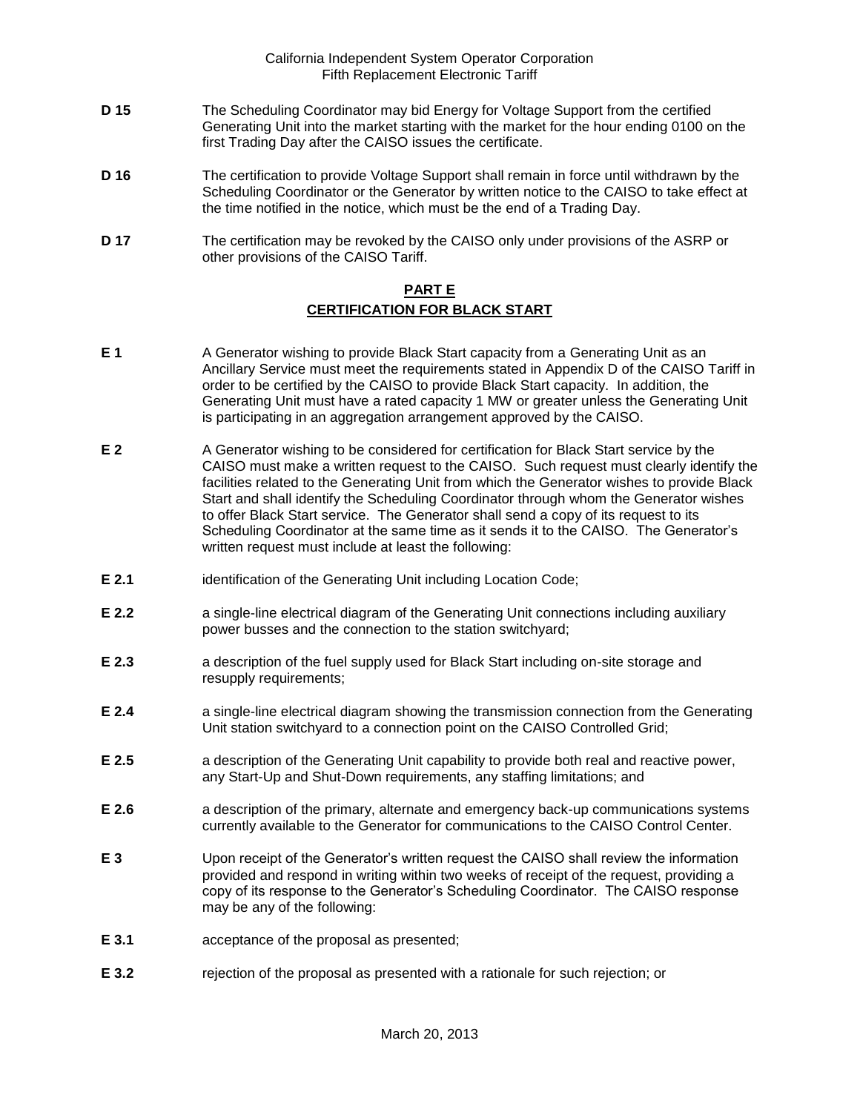- **D 15** The Scheduling Coordinator may bid Energy for Voltage Support from the certified Generating Unit into the market starting with the market for the hour ending 0100 on the first Trading Day after the CAISO issues the certificate.
- **D 16** The certification to provide Voltage Support shall remain in force until withdrawn by the Scheduling Coordinator or the Generator by written notice to the CAISO to take effect at the time notified in the notice, which must be the end of a Trading Day.
- **D 17** The certification may be revoked by the CAISO only under provisions of the ASRP or other provisions of the CAISO Tariff.

### **PART E CERTIFICATION FOR BLACK START**

- **E 1** A Generator wishing to provide Black Start capacity from a Generating Unit as an Ancillary Service must meet the requirements stated in Appendix D of the CAISO Tariff in order to be certified by the CAISO to provide Black Start capacity. In addition, the Generating Unit must have a rated capacity 1 MW or greater unless the Generating Unit is participating in an aggregation arrangement approved by the CAISO.
- **E 2** A Generator wishing to be considered for certification for Black Start service by the CAISO must make a written request to the CAISO. Such request must clearly identify the facilities related to the Generating Unit from which the Generator wishes to provide Black Start and shall identify the Scheduling Coordinator through whom the Generator wishes to offer Black Start service. The Generator shall send a copy of its request to its Scheduling Coordinator at the same time as it sends it to the CAISO. The Generator's written request must include at least the following:
- **E 2.1** identification of the Generating Unit including Location Code;
- **E 2.2 a** single-line electrical diagram of the Generating Unit connections including auxiliary power busses and the connection to the station switchyard;
- **E 2.3** a description of the fuel supply used for Black Start including on-site storage and resupply requirements;
- **E 2.4** a single-line electrical diagram showing the transmission connection from the Generating Unit station switchyard to a connection point on the CAISO Controlled Grid;
- **E 2.5** a description of the Generating Unit capability to provide both real and reactive power, any Start-Up and Shut-Down requirements, any staffing limitations; and
- **E 2.6** a description of the primary, alternate and emergency back-up communications systems currently available to the Generator for communications to the CAISO Control Center.
- **E 3** Upon receipt of the Generator's written request the CAISO shall review the information provided and respond in writing within two weeks of receipt of the request, providing a copy of its response to the Generator's Scheduling Coordinator. The CAISO response may be any of the following:
- **E 3.1** acceptance of the proposal as presented;
- **E 3.2** rejection of the proposal as presented with a rationale for such rejection; or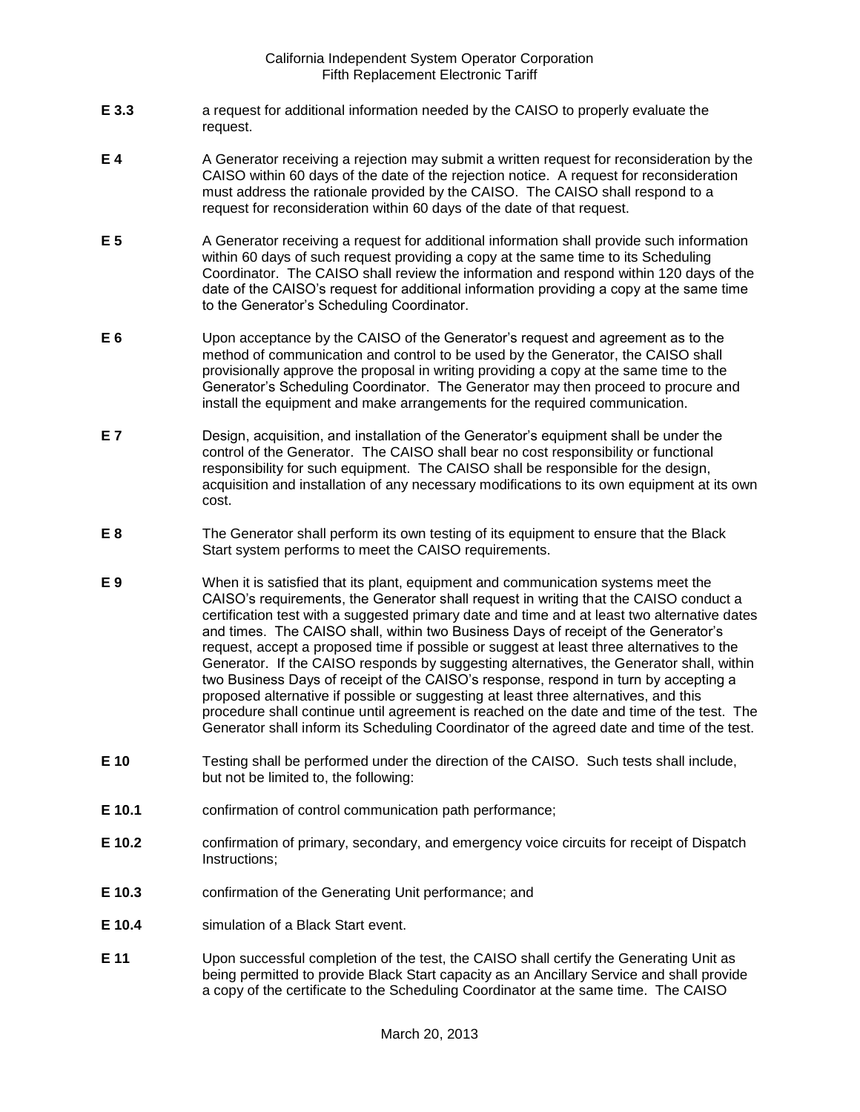- **E 3.3** a request for additional information needed by the CAISO to properly evaluate the request.
- **E 4** A Generator receiving a rejection may submit a written request for reconsideration by the CAISO within 60 days of the date of the rejection notice. A request for reconsideration must address the rationale provided by the CAISO. The CAISO shall respond to a request for reconsideration within 60 days of the date of that request.
- **E 5** A Generator receiving a request for additional information shall provide such information within 60 days of such request providing a copy at the same time to its Scheduling Coordinator. The CAISO shall review the information and respond within 120 days of the date of the CAISO's request for additional information providing a copy at the same time to the Generator's Scheduling Coordinator.
- **E 6** Upon acceptance by the CAISO of the Generator's request and agreement as to the method of communication and control to be used by the Generator, the CAISO shall provisionally approve the proposal in writing providing a copy at the same time to the Generator's Scheduling Coordinator. The Generator may then proceed to procure and install the equipment and make arrangements for the required communication.
- **E 7** Design, acquisition, and installation of the Generator's equipment shall be under the control of the Generator. The CAISO shall bear no cost responsibility or functional responsibility for such equipment. The CAISO shall be responsible for the design, acquisition and installation of any necessary modifications to its own equipment at its own cost.
- **E 8** The Generator shall perform its own testing of its equipment to ensure that the Black Start system performs to meet the CAISO requirements.
- **E 9** When it is satisfied that its plant, equipment and communication systems meet the CAISO's requirements, the Generator shall request in writing that the CAISO conduct a certification test with a suggested primary date and time and at least two alternative dates and times. The CAISO shall, within two Business Days of receipt of the Generator's request, accept a proposed time if possible or suggest at least three alternatives to the Generator. If the CAISO responds by suggesting alternatives, the Generator shall, within two Business Days of receipt of the CAISO's response, respond in turn by accepting a proposed alternative if possible or suggesting at least three alternatives, and this procedure shall continue until agreement is reached on the date and time of the test. The Generator shall inform its Scheduling Coordinator of the agreed date and time of the test.
- **E 10** Testing shall be performed under the direction of the CAISO. Such tests shall include, but not be limited to, the following:
- **E 10.1** confirmation of control communication path performance;
- **E 10.2** confirmation of primary, secondary, and emergency voice circuits for receipt of Dispatch Instructions;
- **E 10.3** confirmation of the Generating Unit performance; and
- **E 10.4** simulation of a Black Start event.
- **E 11** Upon successful completion of the test, the CAISO shall certify the Generating Unit as being permitted to provide Black Start capacity as an Ancillary Service and shall provide a copy of the certificate to the Scheduling Coordinator at the same time. The CAISO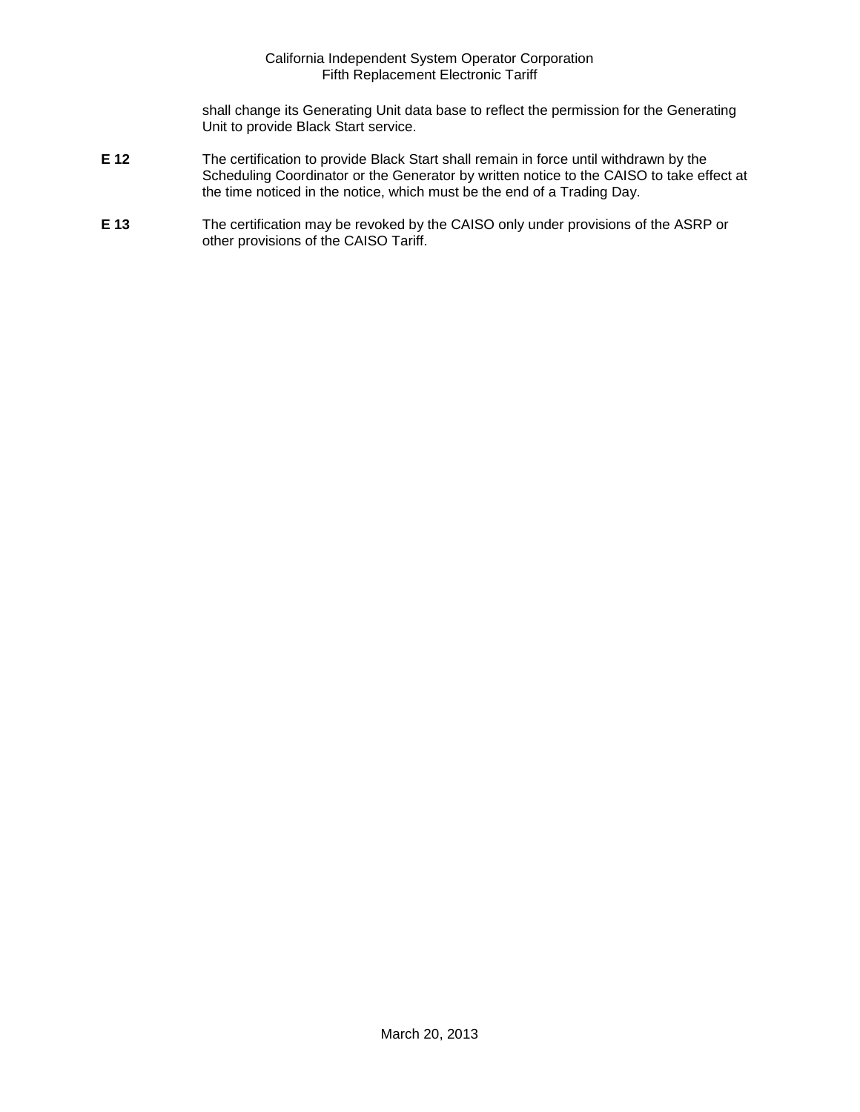shall change its Generating Unit data base to reflect the permission for the Generating Unit to provide Black Start service.

- **E 12** The certification to provide Black Start shall remain in force until withdrawn by the Scheduling Coordinator or the Generator by written notice to the CAISO to take effect at the time noticed in the notice, which must be the end of a Trading Day.
- **E 13** The certification may be revoked by the CAISO only under provisions of the ASRP or other provisions of the CAISO Tariff.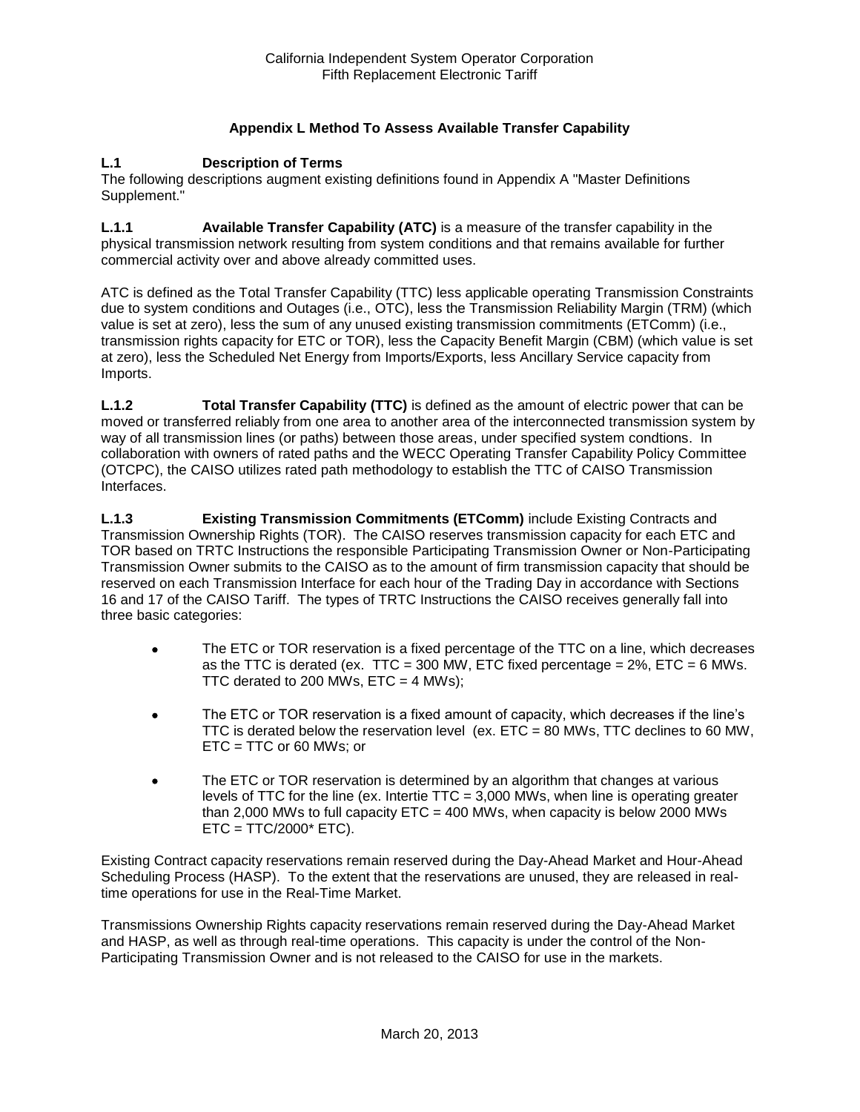## **Appendix L Method To Assess Available Transfer Capability**

#### **L.1 Description of Terms**

The following descriptions augment existing definitions found in Appendix A "Master Definitions Supplement."

**L.1.1 Available Transfer Capability (ATC)** is a measure of the transfer capability in the physical transmission network resulting from system conditions and that remains available for further commercial activity over and above already committed uses.

ATC is defined as the Total Transfer Capability (TTC) less applicable operating Transmission Constraints due to system conditions and Outages (i.e., OTC), less the Transmission Reliability Margin (TRM) (which value is set at zero), less the sum of any unused existing transmission commitments (ETComm) (i.e., transmission rights capacity for ETC or TOR), less the Capacity Benefit Margin (CBM) (which value is set at zero), less the Scheduled Net Energy from Imports/Exports, less Ancillary Service capacity from Imports.

**L.1.2 Total Transfer Capability (TTC)** is defined as the amount of electric power that can be moved or transferred reliably from one area to another area of the interconnected transmission system by way of all transmission lines (or paths) between those areas, under specified system condtions. In collaboration with owners of rated paths and the WECC Operating Transfer Capability Policy Committee (OTCPC), the CAISO utilizes rated path methodology to establish the TTC of CAISO Transmission Interfaces.

**L.1.3 Existing Transmission Commitments (ETComm)** include Existing Contracts and Transmission Ownership Rights (TOR). The CAISO reserves transmission capacity for each ETC and TOR based on TRTC Instructions the responsible Participating Transmission Owner or Non-Participating Transmission Owner submits to the CAISO as to the amount of firm transmission capacity that should be reserved on each Transmission Interface for each hour of the Trading Day in accordance with Sections 16 and 17 of the CAISO Tariff. The types of TRTC Instructions the CAISO receives generally fall into three basic categories:

- The ETC or TOR reservation is a fixed percentage of the TTC on a line, which decreases as the TTC is derated (ex. TTC = 300 MW, ETC fixed percentage =  $2\%$ , ETC = 6 MWs. TTC derated to 200 MWs,  $ETC = 4$  MWs);
- The ETC or TOR reservation is a fixed amount of capacity, which decreases if the line's TTC is derated below the reservation level (ex.  $ETC = 80$  MWs, TTC declines to 60 MW, ETC = TTC or 60 MWs; or
- The ETC or TOR reservation is determined by an algorithm that changes at various levels of TTC for the line (ex. Intertie TTC = 3,000 MWs, when line is operating greater than 2,000 MWs to full capacity  $ETC = 400$  MWs, when capacity is below 2000 MWs  $ETC = TTC/2000* ETC$ ).

Existing Contract capacity reservations remain reserved during the Day-Ahead Market and Hour-Ahead Scheduling Process (HASP). To the extent that the reservations are unused, they are released in realtime operations for use in the Real-Time Market.

Transmissions Ownership Rights capacity reservations remain reserved during the Day-Ahead Market and HASP, as well as through real-time operations. This capacity is under the control of the Non-Participating Transmission Owner and is not released to the CAISO for use in the markets.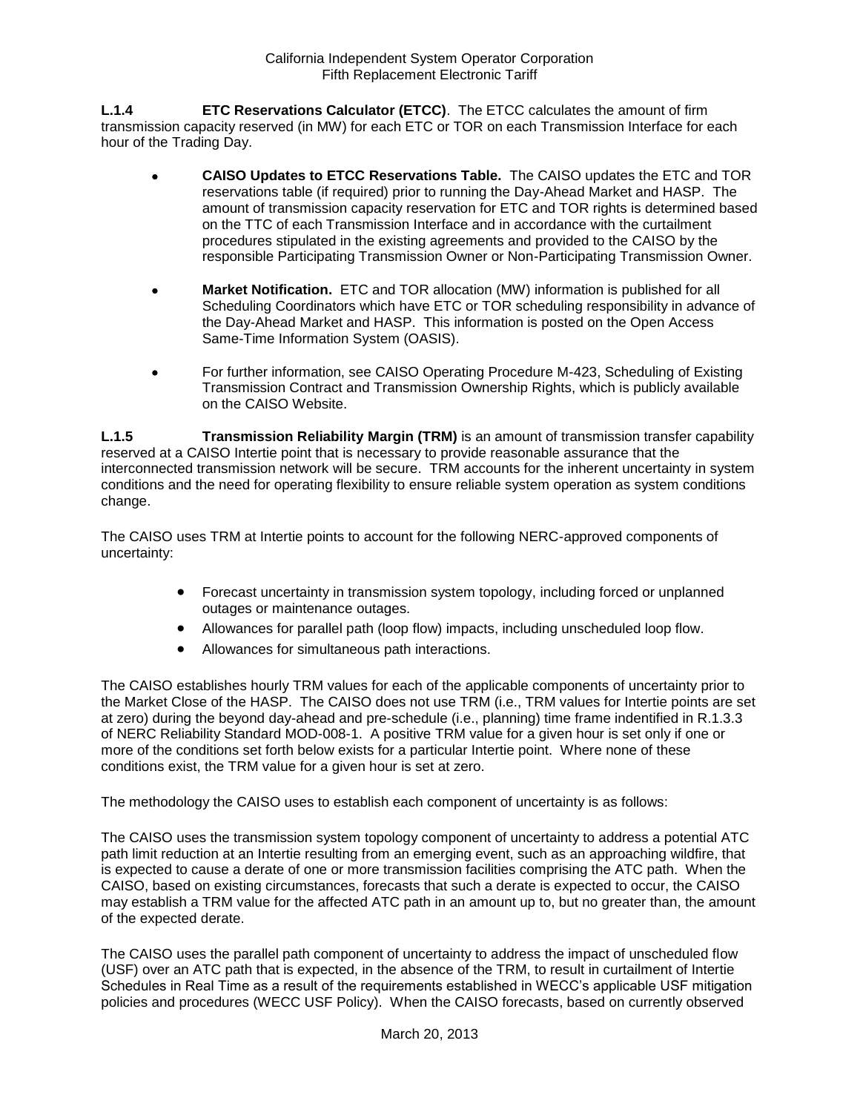**L.1.4 ETC Reservations Calculator (ETCC)**. The ETCC calculates the amount of firm transmission capacity reserved (in MW) for each ETC or TOR on each Transmission Interface for each hour of the Trading Day.

- **CAISO Updates to ETCC Reservations Table.** The CAISO updates the ETC and TOR reservations table (if required) prior to running the Day-Ahead Market and HASP. The amount of transmission capacity reservation for ETC and TOR rights is determined based on the TTC of each Transmission Interface and in accordance with the curtailment procedures stipulated in the existing agreements and provided to the CAISO by the responsible Participating Transmission Owner or Non-Participating Transmission Owner.
- **Market Notification.** ETC and TOR allocation (MW) information is published for all Scheduling Coordinators which have ETC or TOR scheduling responsibility in advance of the Day-Ahead Market and HASP. This information is posted on the Open Access Same-Time Information System (OASIS).
- For further information, see CAISO Operating Procedure M-423, Scheduling of Existing Transmission Contract and Transmission Ownership Rights, which is publicly available on the CAISO Website.

**L.1.5 Transmission Reliability Margin (TRM)** is an amount of transmission transfer capability reserved at a CAISO Intertie point that is necessary to provide reasonable assurance that the interconnected transmission network will be secure. TRM accounts for the inherent uncertainty in system conditions and the need for operating flexibility to ensure reliable system operation as system conditions change.

The CAISO uses TRM at Intertie points to account for the following NERC-approved components of uncertainty:

- Forecast uncertainty in transmission system topology, including forced or unplanned outages or maintenance outages.
- Allowances for parallel path (loop flow) impacts, including unscheduled loop flow.
- Allowances for simultaneous path interactions.

The CAISO establishes hourly TRM values for each of the applicable components of uncertainty prior to the Market Close of the HASP. The CAISO does not use TRM (i.e., TRM values for Intertie points are set at zero) during the beyond day-ahead and pre-schedule (i.e., planning) time frame indentified in R.1.3.3 of NERC Reliability Standard MOD-008-1. A positive TRM value for a given hour is set only if one or more of the conditions set forth below exists for a particular Intertie point. Where none of these conditions exist, the TRM value for a given hour is set at zero.

The methodology the CAISO uses to establish each component of uncertainty is as follows:

The CAISO uses the transmission system topology component of uncertainty to address a potential ATC path limit reduction at an Intertie resulting from an emerging event, such as an approaching wildfire, that is expected to cause a derate of one or more transmission facilities comprising the ATC path. When the CAISO, based on existing circumstances, forecasts that such a derate is expected to occur, the CAISO may establish a TRM value for the affected ATC path in an amount up to, but no greater than, the amount of the expected derate.

The CAISO uses the parallel path component of uncertainty to address the impact of unscheduled flow (USF) over an ATC path that is expected, in the absence of the TRM, to result in curtailment of Intertie Schedules in Real Time as a result of the requirements established in WECC's applicable USF mitigation policies and procedures (WECC USF Policy). When the CAISO forecasts, based on currently observed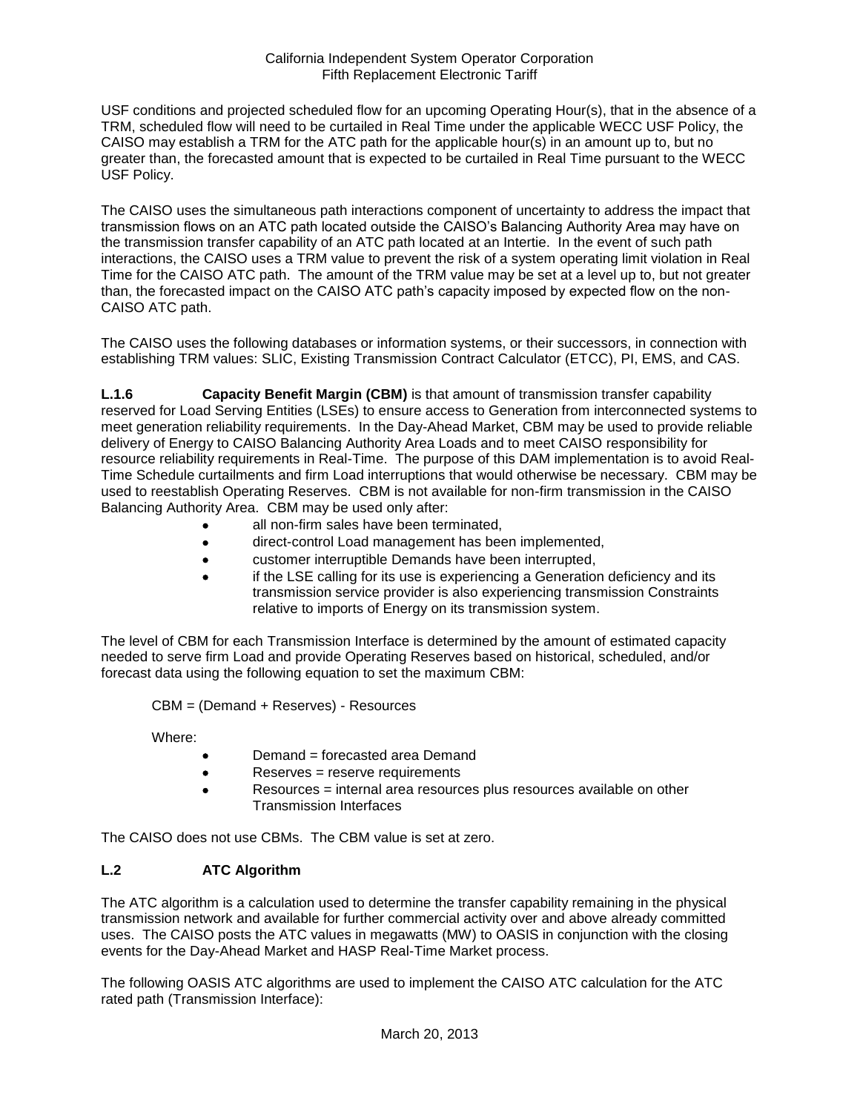USF conditions and projected scheduled flow for an upcoming Operating Hour(s), that in the absence of a TRM, scheduled flow will need to be curtailed in Real Time under the applicable WECC USF Policy, the CAISO may establish a TRM for the ATC path for the applicable hour(s) in an amount up to, but no greater than, the forecasted amount that is expected to be curtailed in Real Time pursuant to the WECC USF Policy.

The CAISO uses the simultaneous path interactions component of uncertainty to address the impact that transmission flows on an ATC path located outside the CAISO's Balancing Authority Area may have on the transmission transfer capability of an ATC path located at an Intertie. In the event of such path interactions, the CAISO uses a TRM value to prevent the risk of a system operating limit violation in Real Time for the CAISO ATC path. The amount of the TRM value may be set at a level up to, but not greater than, the forecasted impact on the CAISO ATC path's capacity imposed by expected flow on the non-CAISO ATC path.

The CAISO uses the following databases or information systems, or their successors, in connection with establishing TRM values: SLIC, Existing Transmission Contract Calculator (ETCC), PI, EMS, and CAS.

**L.1.6 Capacity Benefit Margin (CBM)** is that amount of transmission transfer capability reserved for Load Serving Entities (LSEs) to ensure access to Generation from interconnected systems to meet generation reliability requirements. In the Day-Ahead Market, CBM may be used to provide reliable delivery of Energy to CAISO Balancing Authority Area Loads and to meet CAISO responsibility for resource reliability requirements in Real-Time. The purpose of this DAM implementation is to avoid Real-Time Schedule curtailments and firm Load interruptions that would otherwise be necessary. CBM may be used to reestablish Operating Reserves. CBM is not available for non-firm transmission in the CAISO Balancing Authority Area. CBM may be used only after:

- all non-firm sales have been terminated,
- direct-control Load management has been implemented,
- customer interruptible Demands have been interrupted,
- if the LSE calling for its use is experiencing a Generation deficiency and its transmission service provider is also experiencing transmission Constraints relative to imports of Energy on its transmission system.

The level of CBM for each Transmission Interface is determined by the amount of estimated capacity needed to serve firm Load and provide Operating Reserves based on historical, scheduled, and/or forecast data using the following equation to set the maximum CBM:

CBM = (Demand + Reserves) - Resources

Where:

- Demand = forecasted area Demand
- Reserves = reserve requirements
- Resources = internal area resources plus resources available on other Transmission Interfaces

The CAISO does not use CBMs. The CBM value is set at zero.

### **L.2 ATC Algorithm**

The ATC algorithm is a calculation used to determine the transfer capability remaining in the physical transmission network and available for further commercial activity over and above already committed uses. The CAISO posts the ATC values in megawatts (MW) to OASIS in conjunction with the closing events for the Day-Ahead Market and HASP Real-Time Market process.

The following OASIS ATC algorithms are used to implement the CAISO ATC calculation for the ATC rated path (Transmission Interface):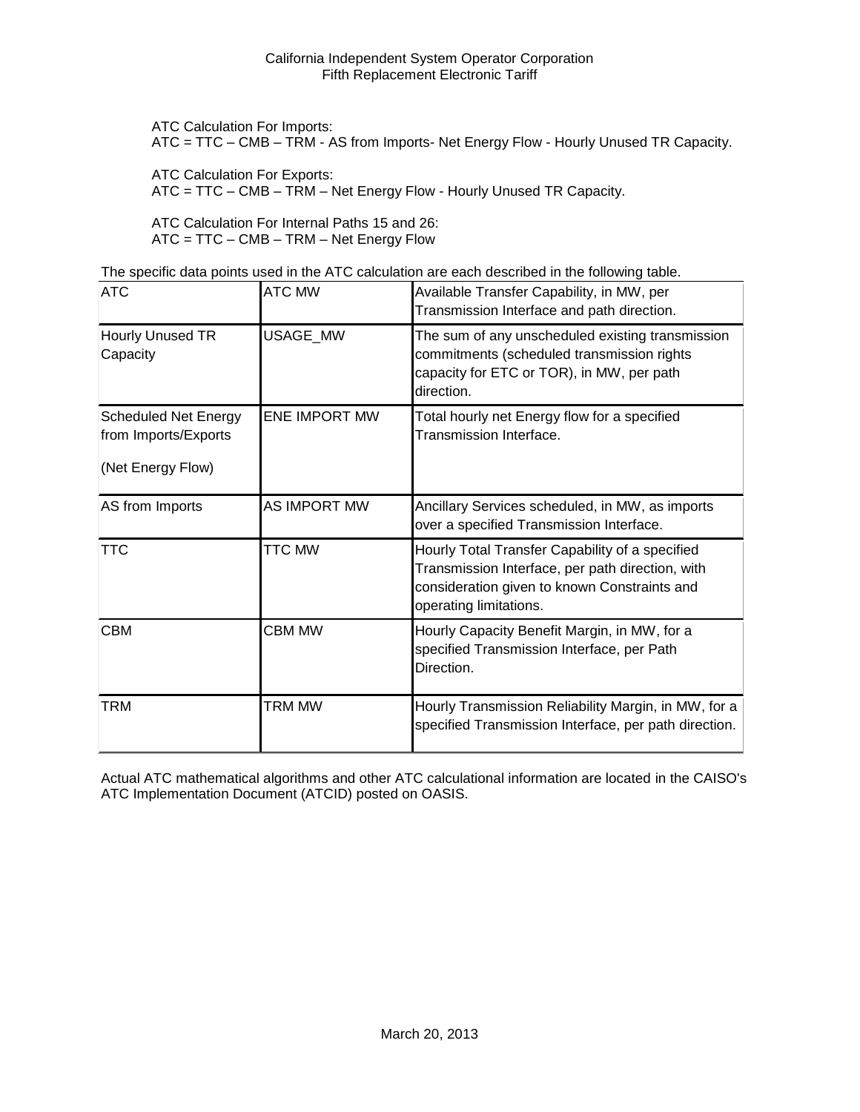ATC Calculation For Imports:

ATC = TTC – CMB – TRM - AS from Imports- Net Energy Flow - Hourly Unused TR Capacity.

ATC Calculation For Exports:

ATC = TTC – CMB – TRM – Net Energy Flow - Hourly Unused TR Capacity.

ATC Calculation For Internal Paths 15 and 26: ATC = TTC – CMB – TRM – Net Energy Flow

The specific data points used in the ATC calculation are each described in the following table.

| <b>ATC</b>                                                               | <b>ATC MW</b>        | Available Transfer Capability, in MW, per<br>Transmission Interface and path direction.                                                                                       |
|--------------------------------------------------------------------------|----------------------|-------------------------------------------------------------------------------------------------------------------------------------------------------------------------------|
| Hourly Unused TR<br>Capacity                                             | USAGE_MW             | The sum of any unscheduled existing transmission<br>commitments (scheduled transmission rights<br>capacity for ETC or TOR), in MW, per path<br>direction.                     |
| <b>Scheduled Net Energy</b><br>from Imports/Exports<br>(Net Energy Flow) | <b>ENE IMPORT MW</b> | Total hourly net Energy flow for a specified<br>Transmission Interface.                                                                                                       |
| AS from Imports                                                          | AS IMPORT MW         | Ancillary Services scheduled, in MW, as imports<br>over a specified Transmission Interface.                                                                                   |
| <b>TTC</b>                                                               | TTC MW               | Hourly Total Transfer Capability of a specified<br>Transmission Interface, per path direction, with<br>consideration given to known Constraints and<br>operating limitations. |
| <b>CBM</b>                                                               | <b>CBM MW</b>        | Hourly Capacity Benefit Margin, in MW, for a<br>specified Transmission Interface, per Path<br>Direction.                                                                      |
| TRM                                                                      | <b>TRM MW</b>        | Hourly Transmission Reliability Margin, in MW, for a<br>specified Transmission Interface, per path direction.                                                                 |

Actual ATC mathematical algorithms and other ATC calculational information are located in the CAISO's ATC Implementation Document (ATCID) posted on OASIS.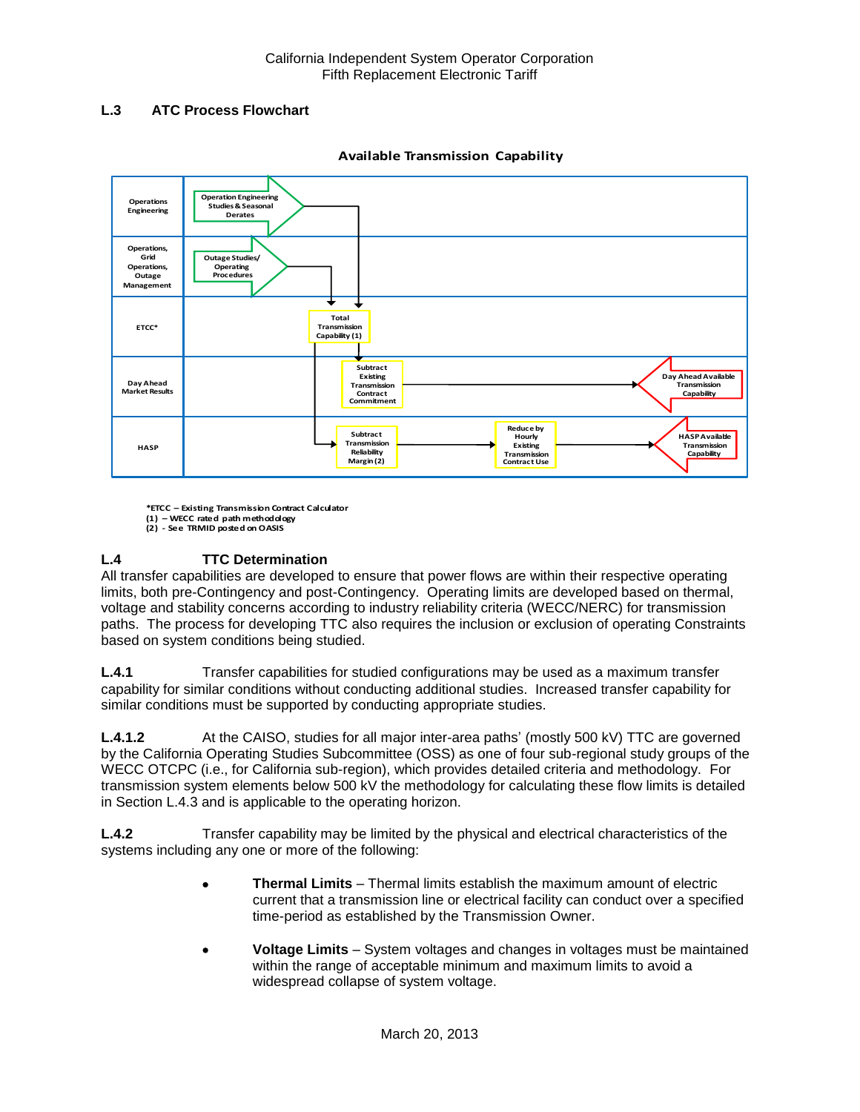## **L.3 ATC Process Flowchart**



**Available Transmission Capability**

**\*ETCC – Existing Transmission Contract Calculator (1) – WECC rated path methodology**

**(2) - See TRMID posted on OASIS**

## **L.4 TTC Determination**

All transfer capabilities are developed to ensure that power flows are within their respective operating limits, both pre-Contingency and post-Contingency. Operating limits are developed based on thermal, voltage and stability concerns according to industry reliability criteria (WECC/NERC) for transmission paths. The process for developing TTC also requires the inclusion or exclusion of operating Constraints based on system conditions being studied.

**L.4.1** Transfer capabilities for studied configurations may be used as a maximum transfer capability for similar conditions without conducting additional studies. Increased transfer capability for similar conditions must be supported by conducting appropriate studies.

**L.4.1.2** At the CAISO, studies for all major inter-area paths' (mostly 500 kV) TTC are governed by the California Operating Studies Subcommittee (OSS) as one of four sub-regional study groups of the WECC OTCPC (i.e., for California sub-region), which provides detailed criteria and methodology. For transmission system elements below 500 kV the methodology for calculating these flow limits is detailed in Section L.4.3 and is applicable to the operating horizon.

**L.4.2** Transfer capability may be limited by the physical and electrical characteristics of the systems including any one or more of the following:

- **Thermal Limits** Thermal limits establish the maximum amount of electric current that a transmission line or electrical facility can conduct over a specified time-period as established by the Transmission Owner.
- **Voltage Limits** System voltages and changes in voltages must be maintained within the range of acceptable minimum and maximum limits to avoid a widespread collapse of system voltage.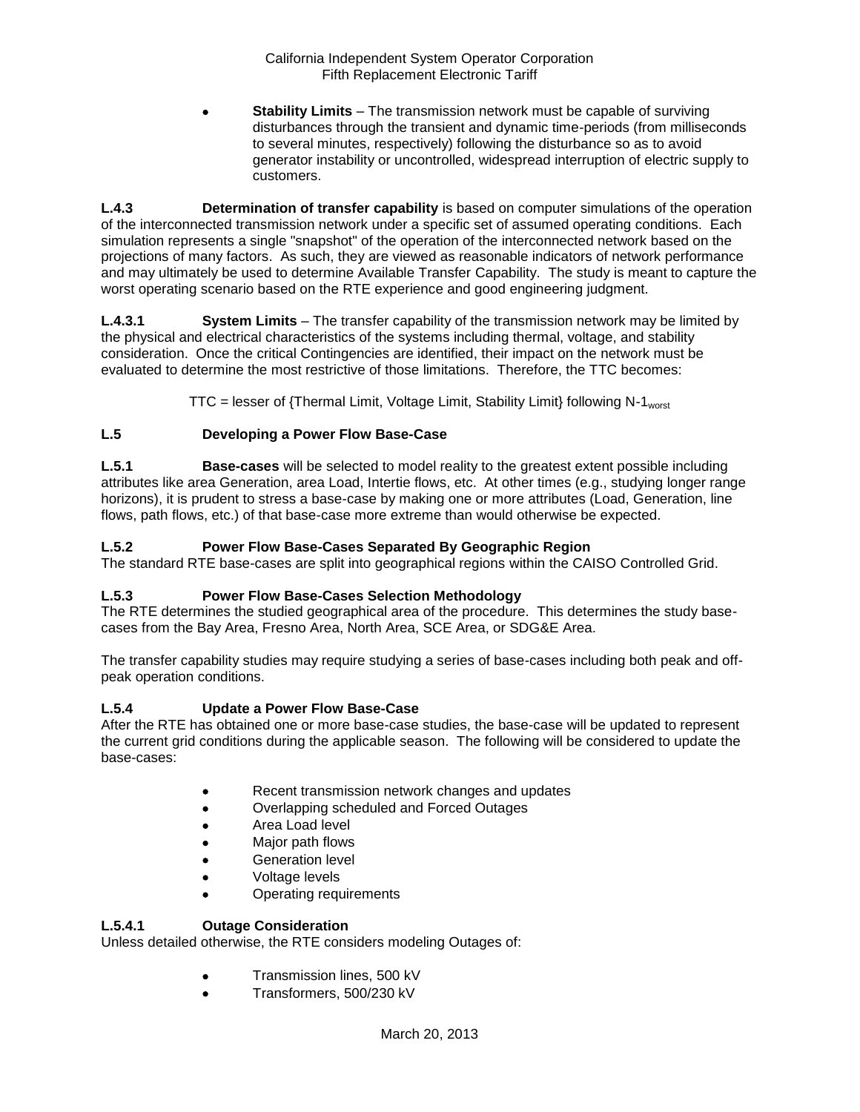**Stability Limits** – The transmission network must be capable of surviving disturbances through the transient and dynamic time-periods (from milliseconds to several minutes, respectively) following the disturbance so as to avoid generator instability or uncontrolled, widespread interruption of electric supply to customers.

**L.4.3 Determination of transfer capability** is based on computer simulations of the operation of the interconnected transmission network under a specific set of assumed operating conditions. Each simulation represents a single "snapshot" of the operation of the interconnected network based on the projections of many factors. As such, they are viewed as reasonable indicators of network performance and may ultimately be used to determine Available Transfer Capability. The study is meant to capture the worst operating scenario based on the RTE experience and good engineering judgment.

**L.4.3.1 System Limits** – The transfer capability of the transmission network may be limited by the physical and electrical characteristics of the systems including thermal, voltage, and stability consideration. Once the critical Contingencies are identified, their impact on the network must be evaluated to determine the most restrictive of those limitations. Therefore, the TTC becomes:

 $TTC =$  lesser of {Thermal Limit, Voltage Limit, Stability Limit} following N-1<sub>worst</sub>

## **L.5 Developing a Power Flow Base-Case**

**L.5.1 Base-cases** will be selected to model reality to the greatest extent possible including attributes like area Generation, area Load, Intertie flows, etc. At other times (e.g., studying longer range horizons), it is prudent to stress a base-case by making one or more attributes (Load, Generation, line flows, path flows, etc.) of that base-case more extreme than would otherwise be expected.

## **L.5.2 Power Flow Base-Cases Separated By Geographic Region**

The standard RTE base-cases are split into geographical regions within the CAISO Controlled Grid.

### **L.5.3 Power Flow Base-Cases Selection Methodology**

The RTE determines the studied geographical area of the procedure. This determines the study basecases from the Bay Area, Fresno Area, North Area, SCE Area, or SDG&E Area.

The transfer capability studies may require studying a series of base-cases including both peak and offpeak operation conditions.

### **L.5.4 Update a Power Flow Base-Case**

After the RTE has obtained one or more base-case studies, the base-case will be updated to represent the current grid conditions during the applicable season. The following will be considered to update the base-cases:

- Recent transmission network changes and updates
- Overlapping scheduled and Forced Outages
- Area Load level
- Major path flows
- Generation level
- Voltage levels
- Operating requirements

## **L.5.4.1 Outage Consideration**

Unless detailed otherwise, the RTE considers modeling Outages of:

- **Transmission lines, 500 kV**
- Transformers, 500/230 kV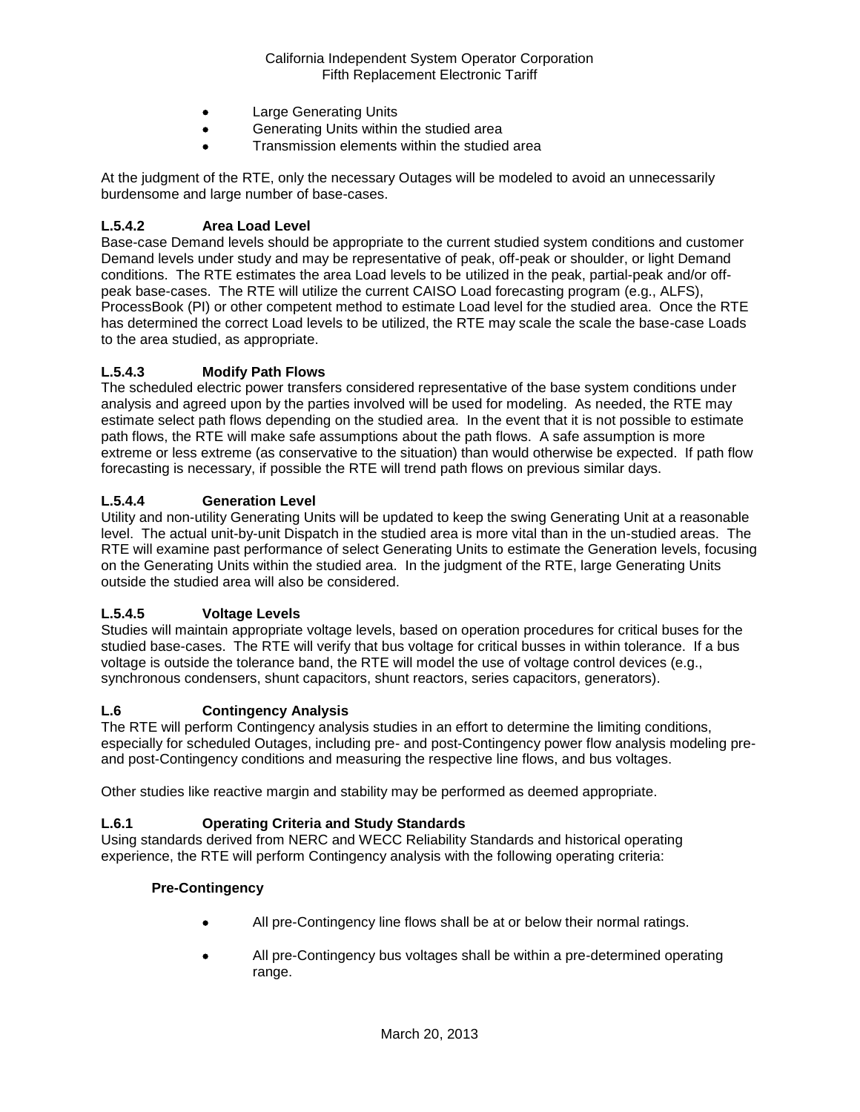- Large Generating Units
- Generating Units within the studied area
- Transmission elements within the studied area

At the judgment of the RTE, only the necessary Outages will be modeled to avoid an unnecessarily burdensome and large number of base-cases.

### **L.5.4.2 Area Load Level**

Base-case Demand levels should be appropriate to the current studied system conditions and customer Demand levels under study and may be representative of peak, off-peak or shoulder, or light Demand conditions. The RTE estimates the area Load levels to be utilized in the peak, partial-peak and/or offpeak base-cases. The RTE will utilize the current CAISO Load forecasting program (e.g., ALFS), ProcessBook (PI) or other competent method to estimate Load level for the studied area. Once the RTE has determined the correct Load levels to be utilized, the RTE may scale the scale the base-case Loads to the area studied, as appropriate.

### **L.5.4.3 Modify Path Flows**

The scheduled electric power transfers considered representative of the base system conditions under analysis and agreed upon by the parties involved will be used for modeling. As needed, the RTE may estimate select path flows depending on the studied area. In the event that it is not possible to estimate path flows, the RTE will make safe assumptions about the path flows. A safe assumption is more extreme or less extreme (as conservative to the situation) than would otherwise be expected. If path flow forecasting is necessary, if possible the RTE will trend path flows on previous similar days.

### **L.5.4.4 Generation Level**

Utility and non-utility Generating Units will be updated to keep the swing Generating Unit at a reasonable level. The actual unit-by-unit Dispatch in the studied area is more vital than in the un-studied areas. The RTE will examine past performance of select Generating Units to estimate the Generation levels, focusing on the Generating Units within the studied area. In the judgment of the RTE, large Generating Units outside the studied area will also be considered.

### **L.5.4.5 Voltage Levels**

Studies will maintain appropriate voltage levels, based on operation procedures for critical buses for the studied base-cases. The RTE will verify that bus voltage for critical busses in within tolerance. If a bus voltage is outside the tolerance band, the RTE will model the use of voltage control devices (e.g., synchronous condensers, shunt capacitors, shunt reactors, series capacitors, generators).

#### **L.6 Contingency Analysis**

The RTE will perform Contingency analysis studies in an effort to determine the limiting conditions, especially for scheduled Outages, including pre- and post-Contingency power flow analysis modeling preand post-Contingency conditions and measuring the respective line flows, and bus voltages.

Other studies like reactive margin and stability may be performed as deemed appropriate.

### **L.6.1 Operating Criteria and Study Standards**

Using standards derived from NERC and WECC Reliability Standards and historical operating experience, the RTE will perform Contingency analysis with the following operating criteria:

#### **Pre-Contingency**

- All pre-Contingency line flows shall be at or below their normal ratings.
- All pre-Contingency bus voltages shall be within a pre-determined operating range.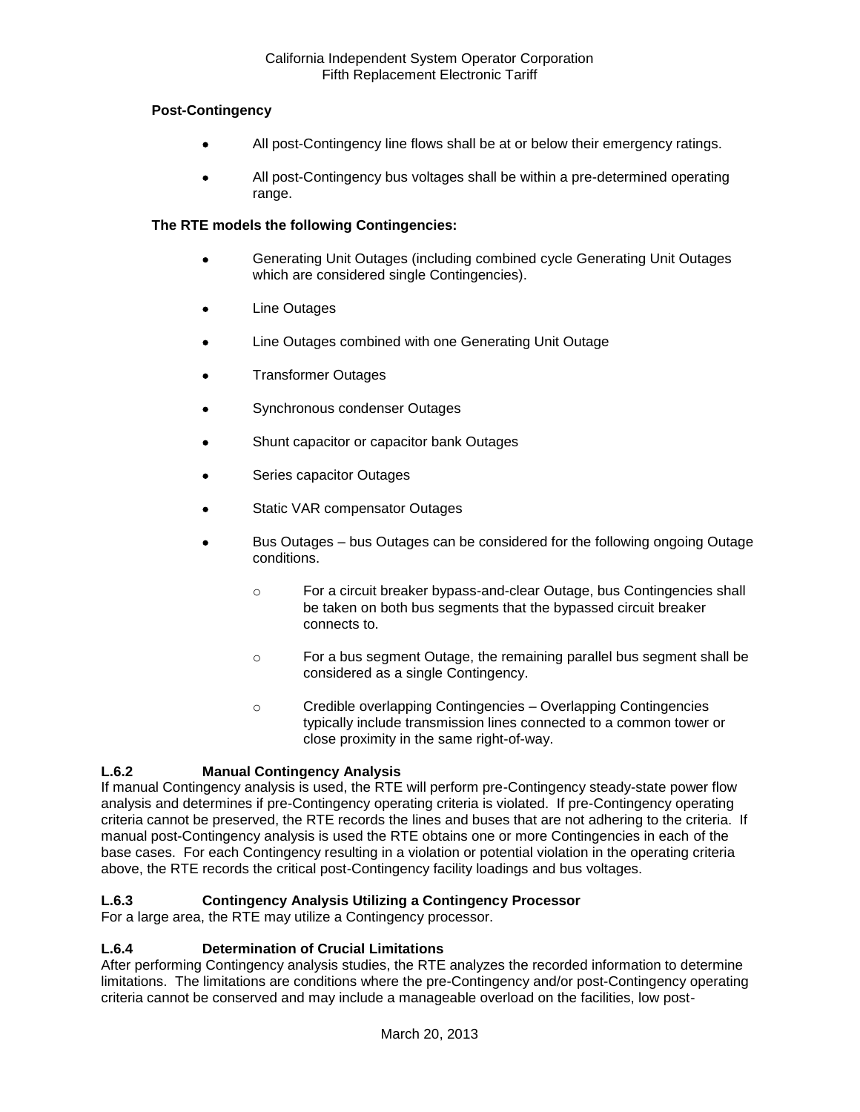### **Post-Contingency**

- All post-Contingency line flows shall be at or below their emergency ratings.
- All post-Contingency bus voltages shall be within a pre-determined operating range.

### **The RTE models the following Contingencies:**

- Generating Unit Outages (including combined cycle Generating Unit Outages which are considered single Contingencies).
- Line Outages
- Line Outages combined with one Generating Unit Outage
- Transformer Outages
- Synchronous condenser Outages
- Shunt capacitor or capacitor bank Outages
- Series capacitor Outages
- Static VAR compensator Outages
- Bus Outages bus Outages can be considered for the following ongoing Outage conditions.
	- o For a circuit breaker bypass-and-clear Outage, bus Contingencies shall be taken on both bus segments that the bypassed circuit breaker connects to.
	- o For a bus segment Outage, the remaining parallel bus segment shall be considered as a single Contingency.
	- o Credible overlapping Contingencies Overlapping Contingencies typically include transmission lines connected to a common tower or close proximity in the same right-of-way.

## **L.6.2 Manual Contingency Analysis**

If manual Contingency analysis is used, the RTE will perform pre-Contingency steady-state power flow analysis and determines if pre-Contingency operating criteria is violated. If pre-Contingency operating criteria cannot be preserved, the RTE records the lines and buses that are not adhering to the criteria. If manual post-Contingency analysis is used the RTE obtains one or more Contingencies in each of the base cases. For each Contingency resulting in a violation or potential violation in the operating criteria above, the RTE records the critical post-Contingency facility loadings and bus voltages.

## **L.6.3 Contingency Analysis Utilizing a Contingency Processor**

For a large area, the RTE may utilize a Contingency processor.

### **L.6.4 Determination of Crucial Limitations**

After performing Contingency analysis studies, the RTE analyzes the recorded information to determine limitations. The limitations are conditions where the pre-Contingency and/or post-Contingency operating criteria cannot be conserved and may include a manageable overload on the facilities, low post